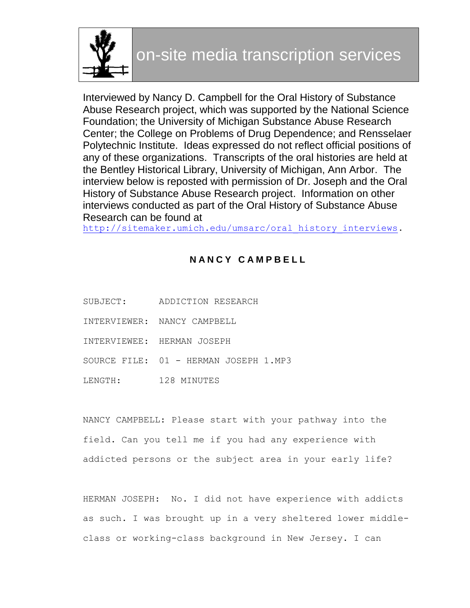

Interviewed by Nancy D. Campbell for the Oral History of Substance Abuse Research project, which was supported by the National Science Foundation; the University of Michigan Substance Abuse Research Center; the College on Problems of Drug Dependence; and Rensselaer Polytechnic Institute. Ideas expressed do not reflect official positions of any of these organizations. Transcripts of the oral histories are held at the Bentley Historical Library, University of Michigan, Ann Arbor. The interview below is reposted with permission of Dr. Joseph and the Oral History of Substance Abuse Research project. Information on other interviews conducted as part of the Oral History of Substance Abuse Research can be found at

http://sitemaker.umich.edu/umsarc/oral history interviews.

# **N A N C Y C A M P B E L L**

- SUBJECT: ADDICTION RESEARCH INTERVIEWER: NANCY CAMPBELL
- INTERVIEWEE: HERMAN JOSEPH
- SOURCE FILE: 01 HERMAN JOSEPH 1.MP3
- LENGTH: 128 MINUTES

NANCY CAMPBELL: Please start with your pathway into the field. Can you tell me if you had any experience with addicted persons or the subject area in your early life?

HERMAN JOSEPH: No. I did not have experience with addicts as such. I was brought up in a very sheltered lower middleclass or working-class background in New Jersey. I can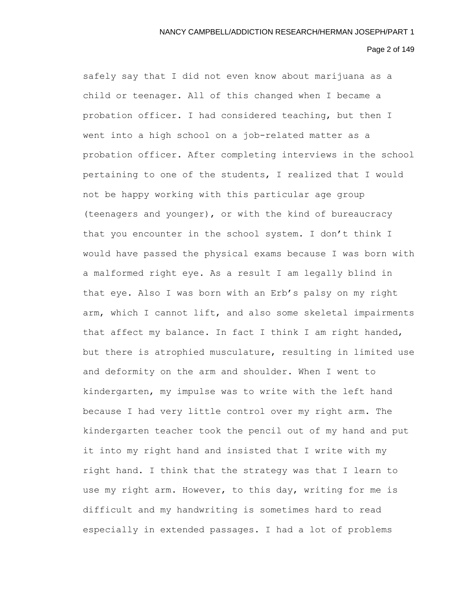Page 2 of 149

safely say that I did not even know about marijuana as a child or teenager. All of this changed when I became a probation officer. I had considered teaching, but then I went into a high school on a job-related matter as a probation officer. After completing interviews in the school pertaining to one of the students, I realized that I would not be happy working with this particular age group (teenagers and younger), or with the kind of bureaucracy that you encounter in the school system. I don't think I would have passed the physical exams because I was born with a malformed right eye. As a result I am legally blind in that eye. Also I was born with an Erb's palsy on my right arm, which I cannot lift, and also some skeletal impairments that affect my balance. In fact I think I am right handed, but there is atrophied musculature, resulting in limited use and deformity on the arm and shoulder. When I went to kindergarten, my impulse was to write with the left hand because I had very little control over my right arm. The kindergarten teacher took the pencil out of my hand and put it into my right hand and insisted that I write with my right hand. I think that the strategy was that I learn to use my right arm. However, to this day, writing for me is difficult and my handwriting is sometimes hard to read especially in extended passages. I had a lot of problems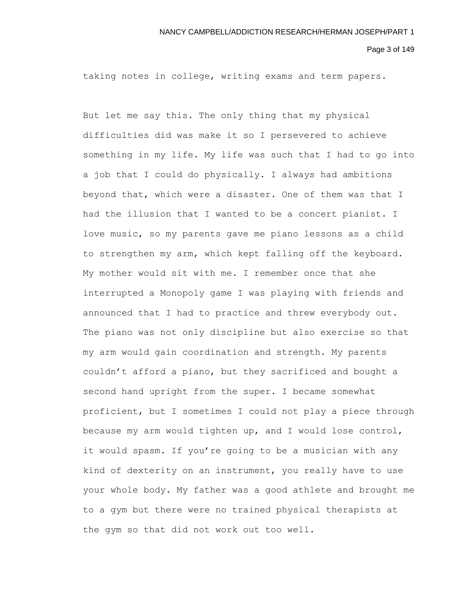Page 3 of 149

taking notes in college, writing exams and term papers.

But let me say this. The only thing that my physical difficulties did was make it so I persevered to achieve something in my life. My life was such that I had to go into a job that I could do physically. I always had ambitions beyond that, which were a disaster. One of them was that I had the illusion that I wanted to be a concert pianist. I love music, so my parents gave me piano lessons as a child to strengthen my arm, which kept falling off the keyboard. My mother would sit with me. I remember once that she interrupted a Monopoly game I was playing with friends and announced that I had to practice and threw everybody out. The piano was not only discipline but also exercise so that my arm would gain coordination and strength. My parents couldn't afford a piano, but they sacrificed and bought a second hand upright from the super. I became somewhat proficient, but I sometimes I could not play a piece through because my arm would tighten up, and I would lose control, it would spasm. If you're going to be a musician with any kind of dexterity on an instrument, you really have to use your whole body. My father was a good athlete and brought me to a gym but there were no trained physical therapists at the gym so that did not work out too well.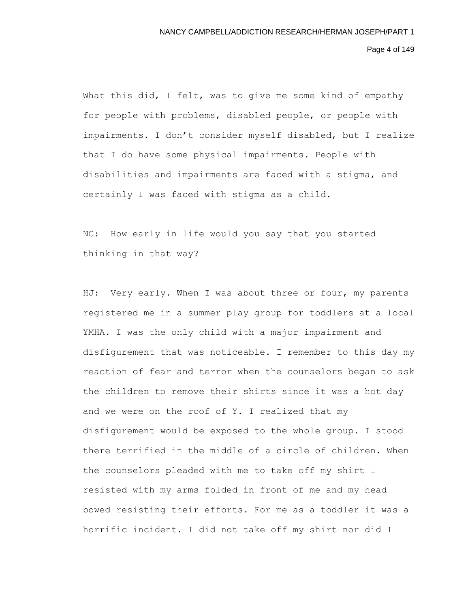Page 4 of 149

What this did, I felt, was to give me some kind of empathy for people with problems, disabled people, or people with impairments. I don't consider myself disabled, but I realize that I do have some physical impairments. People with disabilities and impairments are faced with a stigma, and certainly I was faced with stigma as a child.

NC: How early in life would you say that you started thinking in that way?

HJ: Very early. When I was about three or four, my parents registered me in a summer play group for toddlers at a local YMHA. I was the only child with a major impairment and disfigurement that was noticeable. I remember to this day my reaction of fear and terror when the counselors began to ask the children to remove their shirts since it was a hot day and we were on the roof of Y. I realized that my disfigurement would be exposed to the whole group. I stood there terrified in the middle of a circle of children. When the counselors pleaded with me to take off my shirt I resisted with my arms folded in front of me and my head bowed resisting their efforts. For me as a toddler it was a horrific incident. I did not take off my shirt nor did I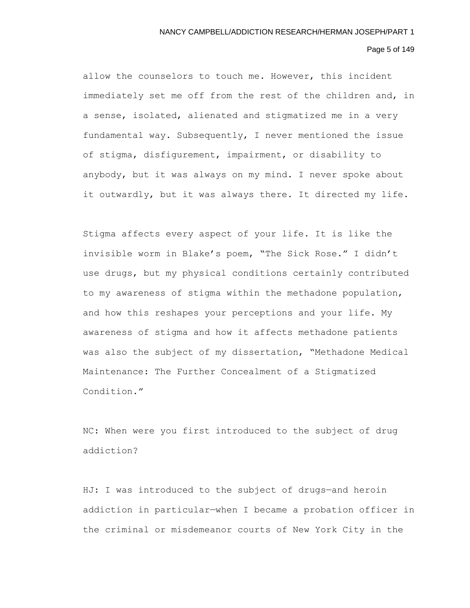# Page 5 of 149

allow the counselors to touch me. However, this incident immediately set me off from the rest of the children and, in a sense, isolated, alienated and stigmatized me in a very fundamental way. Subsequently, I never mentioned the issue of stigma, disfigurement, impairment, or disability to anybody, but it was always on my mind. I never spoke about it outwardly, but it was always there. It directed my life.

Stigma affects every aspect of your life. It is like the invisible worm in Blake's poem, "The Sick Rose." I didn't use drugs, but my physical conditions certainly contributed to my awareness of stigma within the methadone population, and how this reshapes your perceptions and your life. My awareness of stigma and how it affects methadone patients was also the subject of my dissertation, "Methadone Medical Maintenance: The Further Concealment of a Stigmatized Condition."

NC: When were you first introduced to the subject of drug addiction?

HJ: I was introduced to the subject of drugs—and heroin addiction in particular—when I became a probation officer in the criminal or misdemeanor courts of New York City in the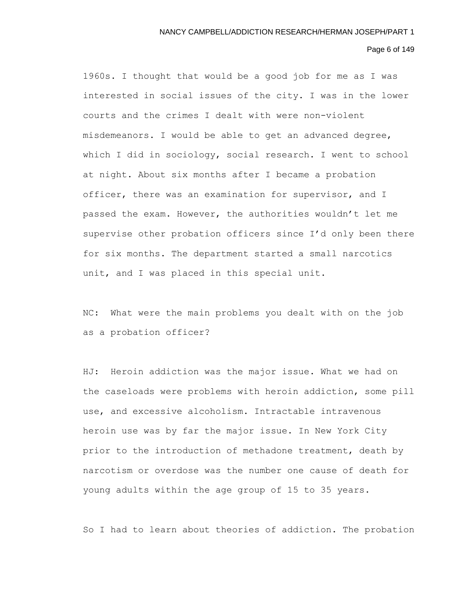# Page 6 of 149

1960s. I thought that would be a good job for me as I was interested in social issues of the city. I was in the lower courts and the crimes I dealt with were non-violent misdemeanors. I would be able to get an advanced degree, which I did in sociology, social research. I went to school at night. About six months after I became a probation officer, there was an examination for supervisor, and I passed the exam. However, the authorities wouldn't let me supervise other probation officers since I'd only been there for six months. The department started a small narcotics unit, and I was placed in this special unit.

NC: What were the main problems you dealt with on the job as a probation officer?

HJ: Heroin addiction was the major issue. What we had on the caseloads were problems with heroin addiction, some pill use, and excessive alcoholism. Intractable intravenous heroin use was by far the major issue. In New York City prior to the introduction of methadone treatment, death by narcotism or overdose was the number one cause of death for young adults within the age group of 15 to 35 years.

So I had to learn about theories of addiction. The probation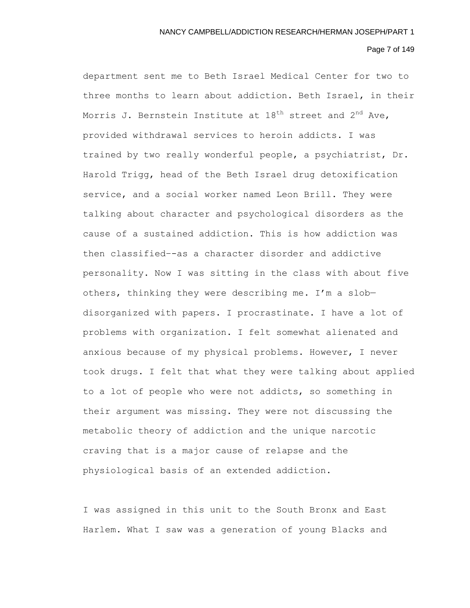# Page 7 of 149

department sent me to Beth Israel Medical Center for two to three months to learn about addiction. Beth Israel, in their Morris J. Bernstein Institute at  $18^{th}$  street and  $2^{nd}$  Ave, provided withdrawal services to heroin addicts. I was trained by two really wonderful people, a psychiatrist, Dr. Harold Trigg, head of the Beth Israel drug detoxification service, and a social worker named Leon Brill. They were talking about character and psychological disorders as the cause of a sustained addiction. This is how addiction was then classified–-as a character disorder and addictive personality. Now I was sitting in the class with about five others, thinking they were describing me. I'm a slob disorganized with papers. I procrastinate. I have a lot of problems with organization. I felt somewhat alienated and anxious because of my physical problems. However, I never took drugs. I felt that what they were talking about applied to a lot of people who were not addicts, so something in their argument was missing. They were not discussing the metabolic theory of addiction and the unique narcotic craving that is a major cause of relapse and the physiological basis of an extended addiction.

I was assigned in this unit to the South Bronx and East Harlem. What I saw was a generation of young Blacks and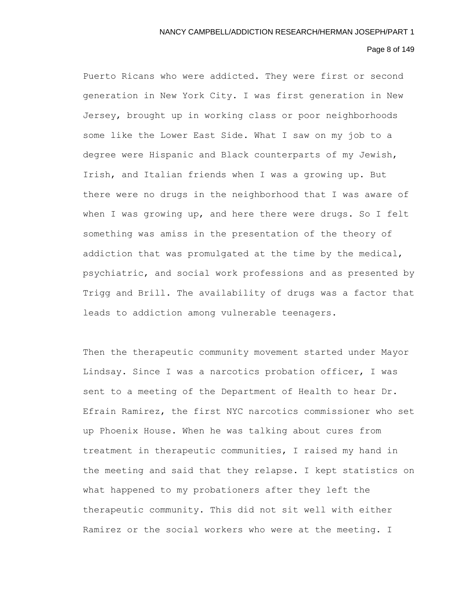# Page 8 of 149

Puerto Ricans who were addicted. They were first or second generation in New York City. I was first generation in New Jersey, brought up in working class or poor neighborhoods some like the Lower East Side. What I saw on my job to a degree were Hispanic and Black counterparts of my Jewish, Irish, and Italian friends when I was a growing up. But there were no drugs in the neighborhood that I was aware of when I was growing up, and here there were drugs. So I felt something was amiss in the presentation of the theory of addiction that was promulgated at the time by the medical, psychiatric, and social work professions and as presented by Trigg and Brill. The availability of drugs was a factor that leads to addiction among vulnerable teenagers.

Then the therapeutic community movement started under Mayor Lindsay. Since I was a narcotics probation officer, I was sent to a meeting of the Department of Health to hear Dr. Efrain Ramirez, the first NYC narcotics commissioner who set up Phoenix House. When he was talking about cures from treatment in therapeutic communities, I raised my hand in the meeting and said that they relapse. I kept statistics on what happened to my probationers after they left the therapeutic community. This did not sit well with either Ramirez or the social workers who were at the meeting. I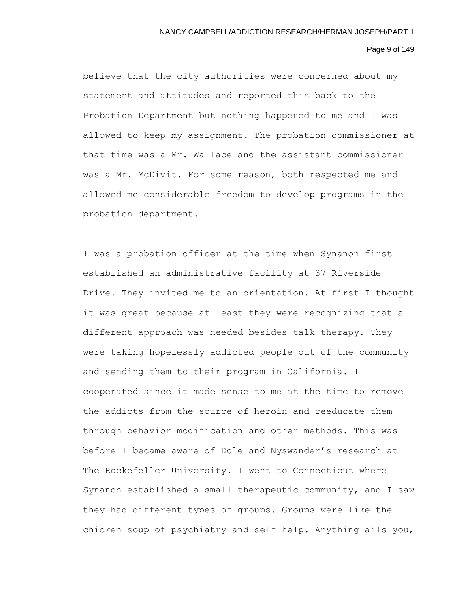#### Page 9 of 149

believe that the city authorities were concerned about my statement and attitudes and reported this back to the Probation Department but nothing happened to me and I was allowed to keep my assignment. The probation commissioner at that time was a Mr. Wallace and the assistant commissioner was a Mr. McDivit. For some reason, both respected me and allowed me considerable freedom to develop programs in the probation department.

I was a probation officer at the time when Synanon first established an administrative facility at 37 Riverside Drive. They invited me to an orientation. At first I thought it was great because at least they were recognizing that a different approach was needed besides talk therapy. They were taking hopelessly addicted people out of the community and sending them to their program in California. I cooperated since it made sense to me at the time to remove the addicts from the source of heroin and reeducate them through behavior modification and other methods. This was before I became aware of Dole and Nyswander's research at The Rockefeller University. I went to Connecticut where Synanon established a small therapeutic community, and I saw they had different types of groups. Groups were like the chicken soup of psychiatry and self help. Anything ails you,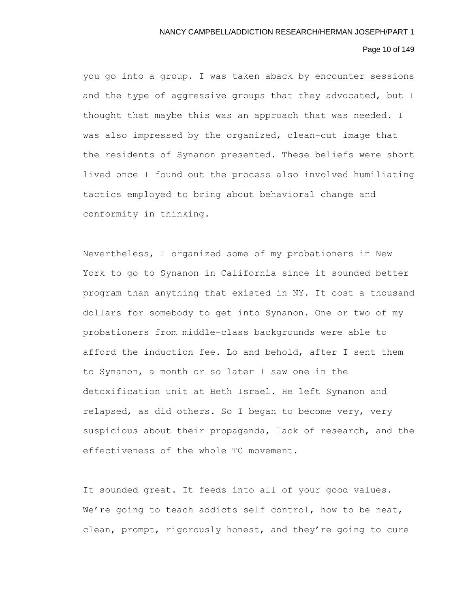# Page 10 of 149

you go into a group. I was taken aback by encounter sessions and the type of aggressive groups that they advocated, but I thought that maybe this was an approach that was needed. I was also impressed by the organized, clean-cut image that the residents of Synanon presented. These beliefs were short lived once I found out the process also involved humiliating tactics employed to bring about behavioral change and conformity in thinking.

Nevertheless, I organized some of my probationers in New York to go to Synanon in California since it sounded better program than anything that existed in NY. It cost a thousand dollars for somebody to get into Synanon. One or two of my probationers from middle-class backgrounds were able to afford the induction fee. Lo and behold, after I sent them to Synanon, a month or so later I saw one in the detoxification unit at Beth Israel. He left Synanon and relapsed, as did others. So I began to become very, very suspicious about their propaganda, lack of research, and the effectiveness of the whole TC movement.

It sounded great. It feeds into all of your good values. We're going to teach addicts self control, how to be neat, clean, prompt, rigorously honest, and they're going to cure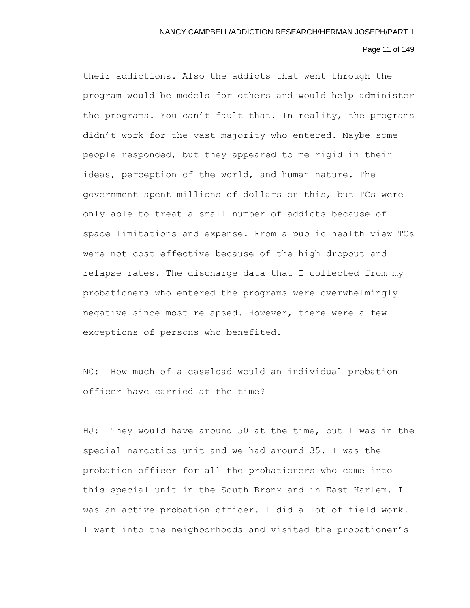# Page 11 of 149

their addictions. Also the addicts that went through the program would be models for others and would help administer the programs. You can't fault that. In reality, the programs didn't work for the vast majority who entered. Maybe some people responded, but they appeared to me rigid in their ideas, perception of the world, and human nature. The government spent millions of dollars on this, but TCs were only able to treat a small number of addicts because of space limitations and expense. From a public health view TCs were not cost effective because of the high dropout and relapse rates. The discharge data that I collected from my probationers who entered the programs were overwhelmingly negative since most relapsed. However, there were a few exceptions of persons who benefited.

NC: How much of a caseload would an individual probation officer have carried at the time?

HJ: They would have around 50 at the time, but I was in the special narcotics unit and we had around 35. I was the probation officer for all the probationers who came into this special unit in the South Bronx and in East Harlem. I was an active probation officer. I did a lot of field work. I went into the neighborhoods and visited the probationer's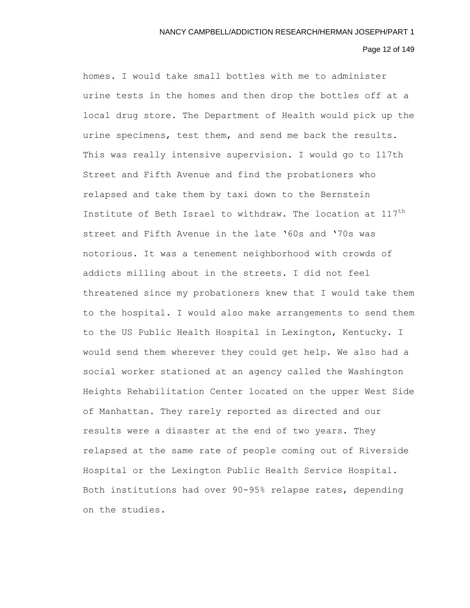# Page 12 of 149

homes. I would take small bottles with me to administer urine tests in the homes and then drop the bottles off at a local drug store. The Department of Health would pick up the urine specimens, test them, and send me back the results. This was really intensive supervision. I would go to 117th Street and Fifth Avenue and find the probationers who relapsed and take them by taxi down to the Bernstein Institute of Beth Israel to withdraw. The location at 117<sup>th</sup> street and Fifth Avenue in the late '60s and '70s was notorious. It was a tenement neighborhood with crowds of addicts milling about in the streets. I did not feel threatened since my probationers knew that I would take them to the hospital. I would also make arrangements to send them to the US Public Health Hospital in Lexington, Kentucky. I would send them wherever they could get help. We also had a social worker stationed at an agency called the Washington Heights Rehabilitation Center located on the upper West Side of Manhattan. They rarely reported as directed and our results were a disaster at the end of two years. They relapsed at the same rate of people coming out of Riverside Hospital or the Lexington Public Health Service Hospital. Both institutions had over 90-95% relapse rates, depending on the studies.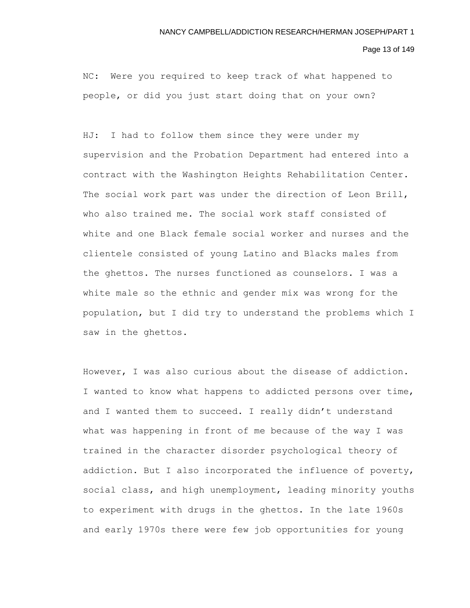Page 13 of 149

NC: Were you required to keep track of what happened to people, or did you just start doing that on your own?

HJ: I had to follow them since they were under my supervision and the Probation Department had entered into a contract with the Washington Heights Rehabilitation Center. The social work part was under the direction of Leon Brill, who also trained me. The social work staff consisted of white and one Black female social worker and nurses and the clientele consisted of young Latino and Blacks males from the ghettos. The nurses functioned as counselors. I was a white male so the ethnic and gender mix was wrong for the population, but I did try to understand the problems which I saw in the ghettos.

However, I was also curious about the disease of addiction. I wanted to know what happens to addicted persons over time, and I wanted them to succeed. I really didn't understand what was happening in front of me because of the way I was trained in the character disorder psychological theory of addiction. But I also incorporated the influence of poverty, social class, and high unemployment, leading minority youths to experiment with drugs in the ghettos. In the late 1960s and early 1970s there were few job opportunities for young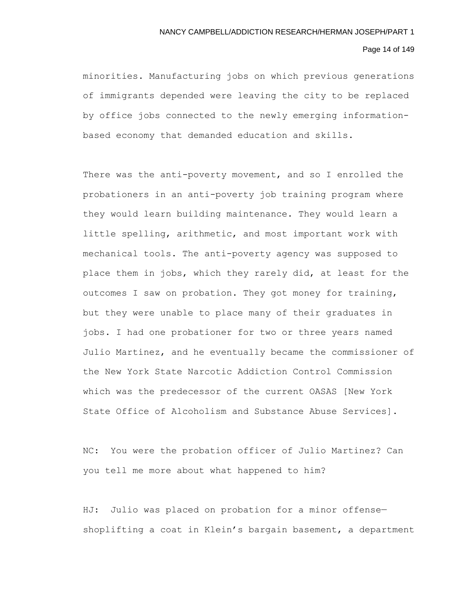# Page 14 of 149

minorities. Manufacturing jobs on which previous generations of immigrants depended were leaving the city to be replaced by office jobs connected to the newly emerging informationbased economy that demanded education and skills.

There was the anti-poverty movement, and so I enrolled the probationers in an anti-poverty job training program where they would learn building maintenance. They would learn a little spelling, arithmetic, and most important work with mechanical tools. The anti-poverty agency was supposed to place them in jobs, which they rarely did, at least for the outcomes I saw on probation. They got money for training, but they were unable to place many of their graduates in jobs. I had one probationer for two or three years named Julio Martinez, and he eventually became the commissioner of the New York State Narcotic Addiction Control Commission which was the predecessor of the current OASAS [New York State Office of Alcoholism and Substance Abuse Services].

NC: You were the probation officer of Julio Martinez? Can you tell me more about what happened to him?

HJ: Julio was placed on probation for a minor offense shoplifting a coat in Klein's bargain basement, a department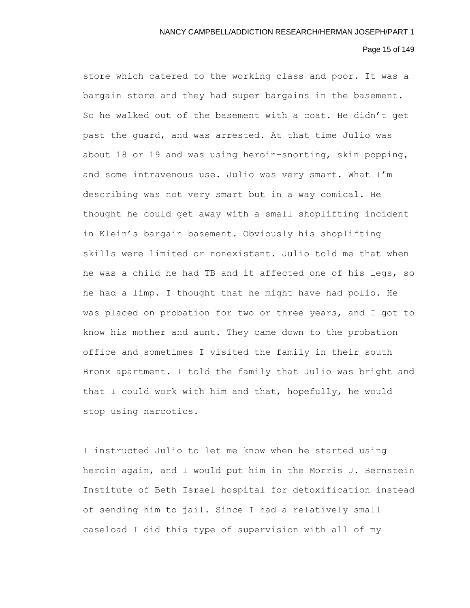# Page 15 of 149

store which catered to the working class and poor. It was a bargain store and they had super bargains in the basement. So he walked out of the basement with a coat. He didn't get past the guard, and was arrested. At that time Julio was about 18 or 19 and was using heroin–snorting, skin popping, and some intravenous use. Julio was very smart. What I'm describing was not very smart but in a way comical. He thought he could get away with a small shoplifting incident in Klein's bargain basement. Obviously his shoplifting skills were limited or nonexistent. Julio told me that when he was a child he had TB and it affected one of his legs, so he had a limp. I thought that he might have had polio. He was placed on probation for two or three years, and I got to know his mother and aunt. They came down to the probation office and sometimes I visited the family in their south Bronx apartment. I told the family that Julio was bright and that I could work with him and that, hopefully, he would stop using narcotics.

I instructed Julio to let me know when he started using heroin again, and I would put him in the Morris J. Bernstein Institute of Beth Israel hospital for detoxification instead of sending him to jail. Since I had a relatively small caseload I did this type of supervision with all of my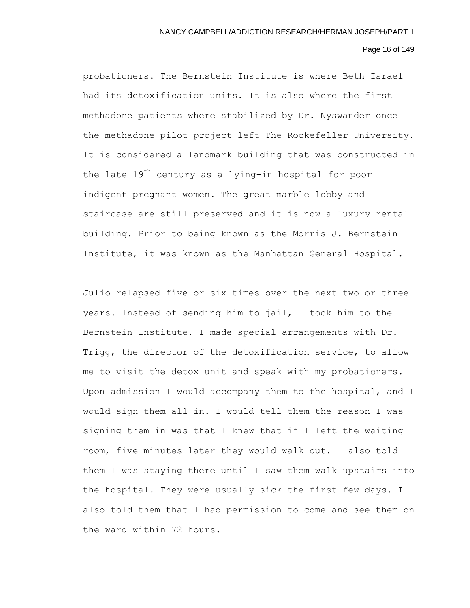# Page 16 of 149

probationers. The Bernstein Institute is where Beth Israel had its detoxification units. It is also where the first methadone patients where stabilized by Dr. Nyswander once the methadone pilot project left The Rockefeller University. It is considered a landmark building that was constructed in the late  $19^{th}$  century as a lying-in hospital for poor indigent pregnant women. The great marble lobby and staircase are still preserved and it is now a luxury rental building. Prior to being known as the Morris J. Bernstein Institute, it was known as the Manhattan General Hospital.

Julio relapsed five or six times over the next two or three years. Instead of sending him to jail, I took him to the Bernstein Institute. I made special arrangements with Dr. Trigg, the director of the detoxification service, to allow me to visit the detox unit and speak with my probationers. Upon admission I would accompany them to the hospital, and I would sign them all in. I would tell them the reason I was signing them in was that I knew that if I left the waiting room, five minutes later they would walk out. I also told them I was staying there until I saw them walk upstairs into the hospital. They were usually sick the first few days. I also told them that I had permission to come and see them on the ward within 72 hours.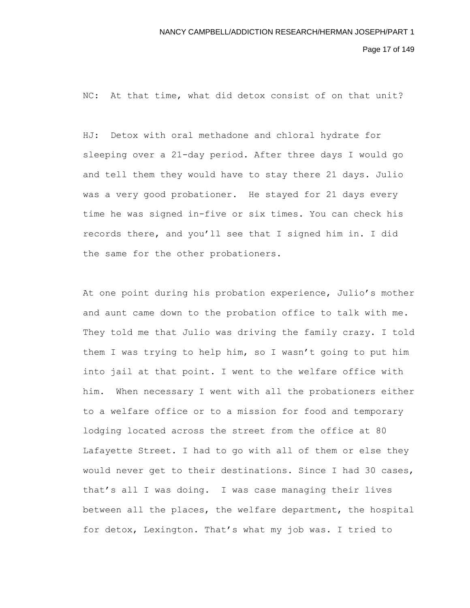Page 17 of 149

NC: At that time, what did detox consist of on that unit?

HJ: Detox with oral methadone and chloral hydrate for sleeping over a 21-day period. After three days I would go and tell them they would have to stay there 21 days. Julio was a very good probationer. He stayed for 21 days every time he was signed in-five or six times. You can check his records there, and you'll see that I signed him in. I did the same for the other probationers.

At one point during his probation experience, Julio's mother and aunt came down to the probation office to talk with me. They told me that Julio was driving the family crazy. I told them I was trying to help him, so I wasn't going to put him into jail at that point. I went to the welfare office with him. When necessary I went with all the probationers either to a welfare office or to a mission for food and temporary lodging located across the street from the office at 80 Lafayette Street. I had to go with all of them or else they would never get to their destinations. Since I had 30 cases, that's all I was doing. I was case managing their lives between all the places, the welfare department, the hospital for detox, Lexington. That's what my job was. I tried to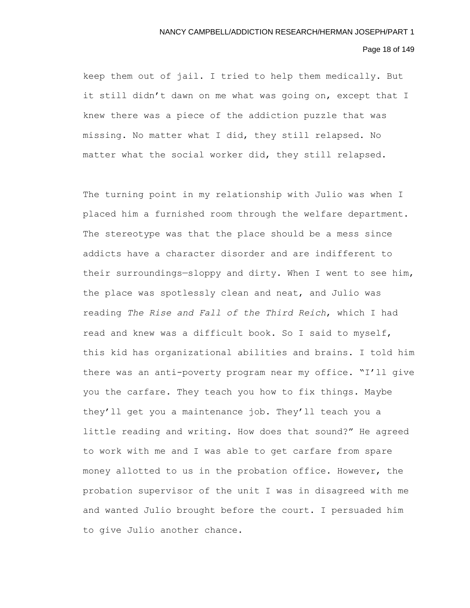# Page 18 of 149

keep them out of jail. I tried to help them medically. But it still didn't dawn on me what was going on, except that I knew there was a piece of the addiction puzzle that was missing. No matter what I did, they still relapsed. No matter what the social worker did, they still relapsed.

The turning point in my relationship with Julio was when I placed him a furnished room through the welfare department. The stereotype was that the place should be a mess since addicts have a character disorder and are indifferent to their surroundings—sloppy and dirty. When I went to see him, the place was spotlessly clean and neat, and Julio was reading *The Rise and Fall of the Third Reich*, which I had read and knew was a difficult book. So I said to myself, this kid has organizational abilities and brains. I told him there was an anti-poverty program near my office. "I'll give you the carfare. They teach you how to fix things. Maybe they'll get you a maintenance job. They'll teach you a little reading and writing. How does that sound?" He agreed to work with me and I was able to get carfare from spare money allotted to us in the probation office. However, the probation supervisor of the unit I was in disagreed with me and wanted Julio brought before the court. I persuaded him to give Julio another chance.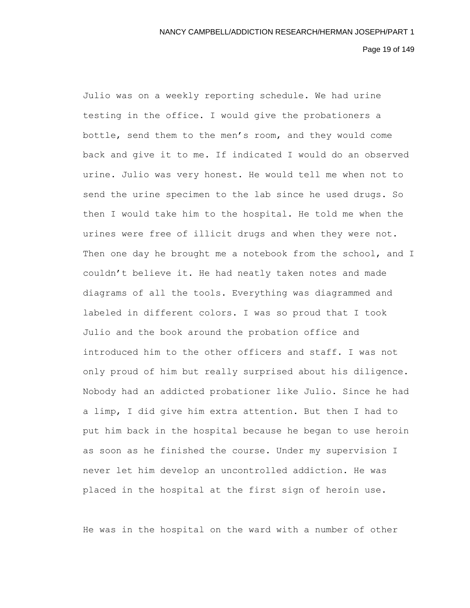Page 19 of 149

Julio was on a weekly reporting schedule. We had urine testing in the office. I would give the probationers a bottle, send them to the men's room, and they would come back and give it to me. If indicated I would do an observed urine. Julio was very honest. He would tell me when not to send the urine specimen to the lab since he used drugs. So then I would take him to the hospital. He told me when the urines were free of illicit drugs and when they were not. Then one day he brought me a notebook from the school, and I couldn't believe it. He had neatly taken notes and made diagrams of all the tools. Everything was diagrammed and labeled in different colors. I was so proud that I took Julio and the book around the probation office and introduced him to the other officers and staff. I was not only proud of him but really surprised about his diligence. Nobody had an addicted probationer like Julio. Since he had a limp, I did give him extra attention. But then I had to put him back in the hospital because he began to use heroin as soon as he finished the course. Under my supervision I never let him develop an uncontrolled addiction. He was placed in the hospital at the first sign of heroin use.

He was in the hospital on the ward with a number of other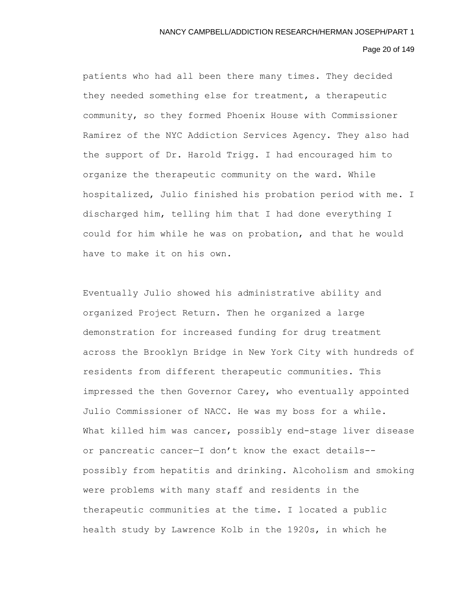# Page 20 of 149

patients who had all been there many times. They decided they needed something else for treatment, a therapeutic community, so they formed Phoenix House with Commissioner Ramirez of the NYC Addiction Services Agency. They also had the support of Dr. Harold Trigg. I had encouraged him to organize the therapeutic community on the ward. While hospitalized, Julio finished his probation period with me. I discharged him, telling him that I had done everything I could for him while he was on probation, and that he would have to make it on his own.

Eventually Julio showed his administrative ability and organized Project Return. Then he organized a large demonstration for increased funding for drug treatment across the Brooklyn Bridge in New York City with hundreds of residents from different therapeutic communities. This impressed the then Governor Carey, who eventually appointed Julio Commissioner of NACC. He was my boss for a while. What killed him was cancer, possibly end-stage liver disease or pancreatic cancer—I don't know the exact details- possibly from hepatitis and drinking. Alcoholism and smoking were problems with many staff and residents in the therapeutic communities at the time. I located a public health study by Lawrence Kolb in the 1920s, in which he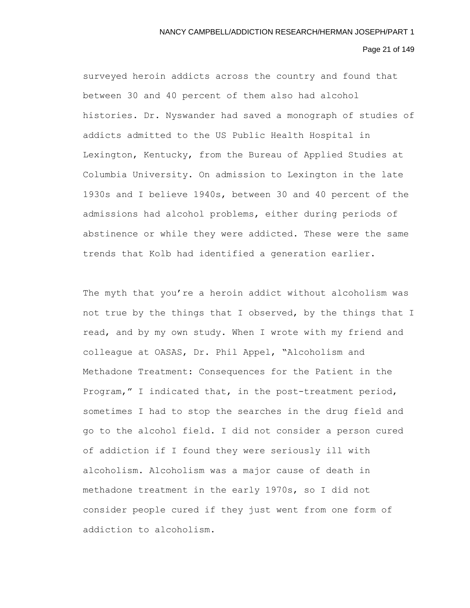# Page 21 of 149

surveyed heroin addicts across the country and found that between 30 and 40 percent of them also had alcohol histories. Dr. Nyswander had saved a monograph of studies of addicts admitted to the US Public Health Hospital in Lexington, Kentucky, from the Bureau of Applied Studies at Columbia University. On admission to Lexington in the late 1930s and I believe 1940s, between 30 and 40 percent of the admissions had alcohol problems, either during periods of abstinence or while they were addicted. These were the same trends that Kolb had identified a generation earlier.

The myth that you're a heroin addict without alcoholism was not true by the things that I observed, by the things that I read, and by my own study. When I wrote with my friend and colleague at OASAS, Dr. Phil Appel, "Alcoholism and Methadone Treatment: Consequences for the Patient in the Program," I indicated that, in the post-treatment period, sometimes I had to stop the searches in the drug field and go to the alcohol field. I did not consider a person cured of addiction if I found they were seriously ill with alcoholism. Alcoholism was a major cause of death in methadone treatment in the early 1970s, so I did not consider people cured if they just went from one form of addiction to alcoholism.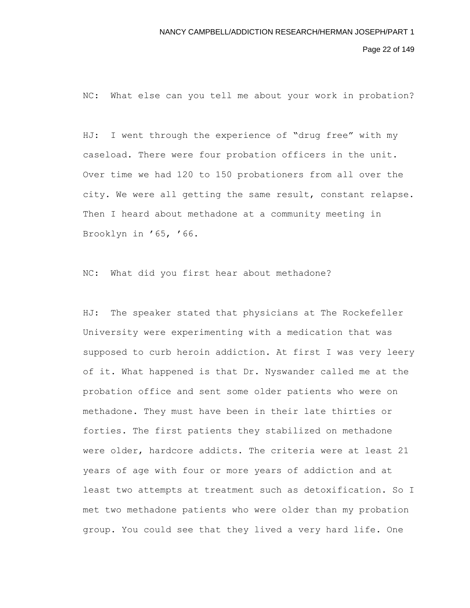Page 22 of 149

NC: What else can you tell me about your work in probation?

HJ: I went through the experience of "drug free" with my caseload. There were four probation officers in the unit. Over time we had 120 to 150 probationers from all over the city. We were all getting the same result, constant relapse. Then I heard about methadone at a community meeting in Brooklyn in '65, '66.

NC: What did you first hear about methadone?

HJ: The speaker stated that physicians at The Rockefeller University were experimenting with a medication that was supposed to curb heroin addiction. At first I was very leery of it. What happened is that Dr. Nyswander called me at the probation office and sent some older patients who were on methadone. They must have been in their late thirties or forties. The first patients they stabilized on methadone were older, hardcore addicts. The criteria were at least 21 years of age with four or more years of addiction and at least two attempts at treatment such as detoxification. So I met two methadone patients who were older than my probation group. You could see that they lived a very hard life. One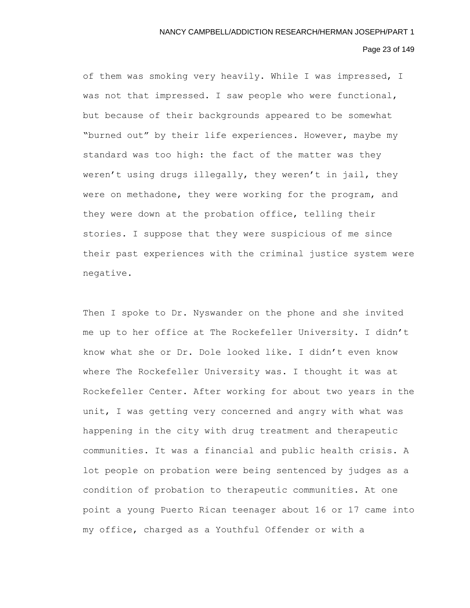#### Page 23 of 149

of them was smoking very heavily. While I was impressed, I was not that impressed. I saw people who were functional, but because of their backgrounds appeared to be somewhat "burned out" by their life experiences. However, maybe my standard was too high: the fact of the matter was they weren't using drugs illegally, they weren't in jail, they were on methadone, they were working for the program, and they were down at the probation office, telling their stories. I suppose that they were suspicious of me since their past experiences with the criminal justice system were negative.

Then I spoke to Dr. Nyswander on the phone and she invited me up to her office at The Rockefeller University. I didn't know what she or Dr. Dole looked like. I didn't even know where The Rockefeller University was. I thought it was at Rockefeller Center. After working for about two years in the unit, I was getting very concerned and angry with what was happening in the city with drug treatment and therapeutic communities. It was a financial and public health crisis. A lot people on probation were being sentenced by judges as a condition of probation to therapeutic communities. At one point a young Puerto Rican teenager about 16 or 17 came into my office, charged as a Youthful Offender or with a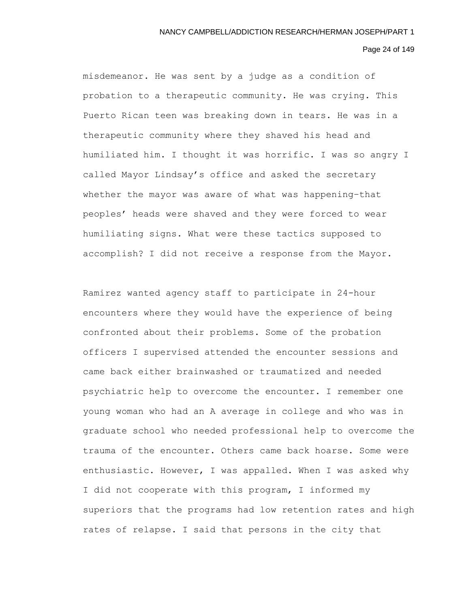## Page 24 of 149

misdemeanor. He was sent by a judge as a condition of probation to a therapeutic community. He was crying. This Puerto Rican teen was breaking down in tears. He was in a therapeutic community where they shaved his head and humiliated him. I thought it was horrific. I was so angry I called Mayor Lindsay's office and asked the secretary whether the mayor was aware of what was happening–that peoples' heads were shaved and they were forced to wear humiliating signs. What were these tactics supposed to accomplish? I did not receive a response from the Mayor.

Ramirez wanted agency staff to participate in 24-hour encounters where they would have the experience of being confronted about their problems. Some of the probation officers I supervised attended the encounter sessions and came back either brainwashed or traumatized and needed psychiatric help to overcome the encounter. I remember one young woman who had an A average in college and who was in graduate school who needed professional help to overcome the trauma of the encounter. Others came back hoarse. Some were enthusiastic. However, I was appalled. When I was asked why I did not cooperate with this program, I informed my superiors that the programs had low retention rates and high rates of relapse. I said that persons in the city that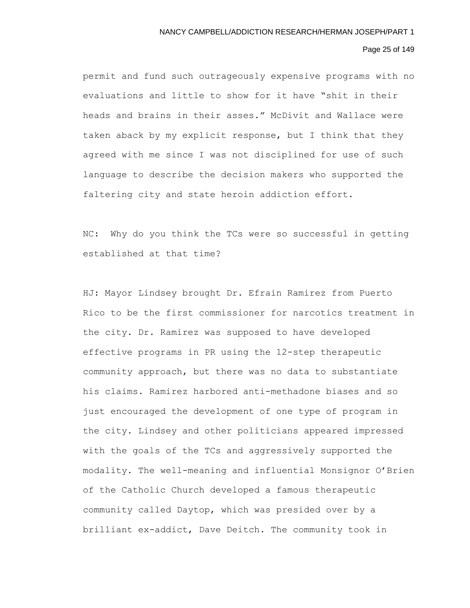## Page 25 of 149

permit and fund such outrageously expensive programs with no evaluations and little to show for it have "shit in their heads and brains in their asses." McDivit and Wallace were taken aback by my explicit response, but I think that they agreed with me since I was not disciplined for use of such language to describe the decision makers who supported the faltering city and state heroin addiction effort.

NC: Why do you think the TCs were so successful in getting established at that time?

HJ: Mayor Lindsey brought Dr. Efrain Ramirez from Puerto Rico to be the first commissioner for narcotics treatment in the city. Dr. Ramirez was supposed to have developed effective programs in PR using the 12-step therapeutic community approach, but there was no data to substantiate his claims. Ramirez harbored anti-methadone biases and so just encouraged the development of one type of program in the city. Lindsey and other politicians appeared impressed with the goals of the TCs and aggressively supported the modality. The well-meaning and influential Monsignor O'Brien of the Catholic Church developed a famous therapeutic community called Daytop, which was presided over by a brilliant ex-addict, Dave Deitch. The community took in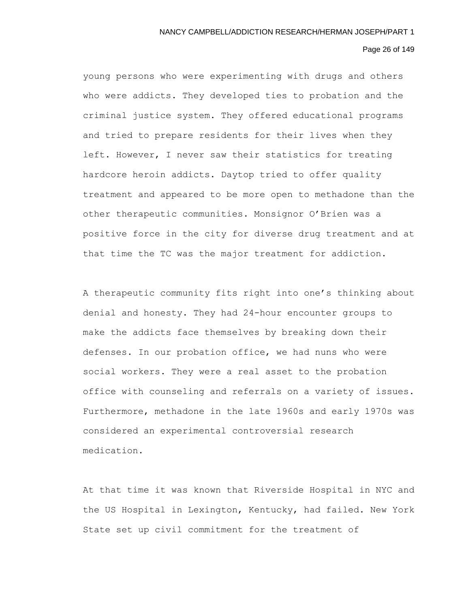# Page 26 of 149

young persons who were experimenting with drugs and others who were addicts. They developed ties to probation and the criminal justice system. They offered educational programs and tried to prepare residents for their lives when they left. However, I never saw their statistics for treating hardcore heroin addicts. Daytop tried to offer quality treatment and appeared to be more open to methadone than the other therapeutic communities. Monsignor O'Brien was a positive force in the city for diverse drug treatment and at that time the TC was the major treatment for addiction.

A therapeutic community fits right into one's thinking about denial and honesty. They had 24-hour encounter groups to make the addicts face themselves by breaking down their defenses. In our probation office, we had nuns who were social workers. They were a real asset to the probation office with counseling and referrals on a variety of issues. Furthermore, methadone in the late 1960s and early 1970s was considered an experimental controversial research medication.

At that time it was known that Riverside Hospital in NYC and the US Hospital in Lexington, Kentucky, had failed. New York State set up civil commitment for the treatment of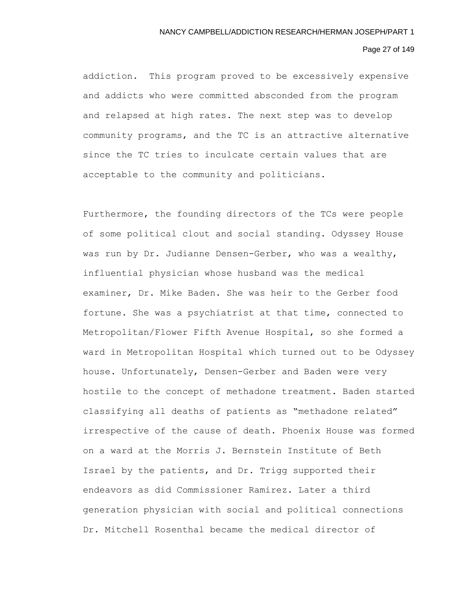# Page 27 of 149

addiction. This program proved to be excessively expensive and addicts who were committed absconded from the program and relapsed at high rates. The next step was to develop community programs, and the TC is an attractive alternative since the TC tries to inculcate certain values that are acceptable to the community and politicians.

Furthermore, the founding directors of the TCs were people of some political clout and social standing. Odyssey House was run by Dr. Judianne Densen-Gerber, who was a wealthy, influential physician whose husband was the medical examiner, Dr. Mike Baden. She was heir to the Gerber food fortune. She was a psychiatrist at that time, connected to Metropolitan/Flower Fifth Avenue Hospital, so she formed a ward in Metropolitan Hospital which turned out to be Odyssey house. Unfortunately, Densen-Gerber and Baden were very hostile to the concept of methadone treatment. Baden started classifying all deaths of patients as "methadone related" irrespective of the cause of death. Phoenix House was formed on a ward at the Morris J. Bernstein Institute of Beth Israel by the patients, and Dr. Trigg supported their endeavors as did Commissioner Ramirez. Later a third generation physician with social and political connections Dr. Mitchell Rosenthal became the medical director of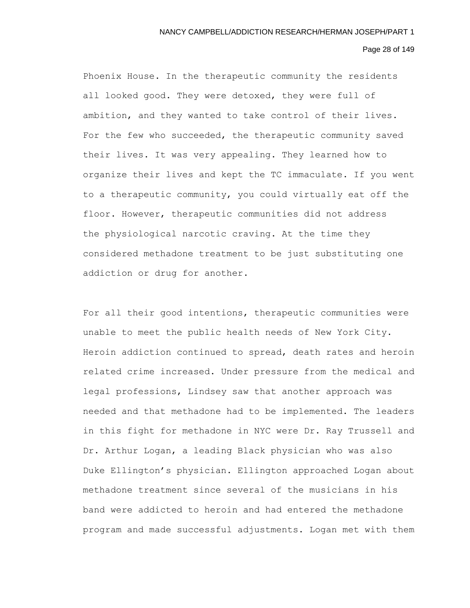# Page 28 of 149

Phoenix House. In the therapeutic community the residents all looked good. They were detoxed, they were full of ambition, and they wanted to take control of their lives. For the few who succeeded, the therapeutic community saved their lives. It was very appealing. They learned how to organize their lives and kept the TC immaculate. If you went to a therapeutic community, you could virtually eat off the floor. However, therapeutic communities did not address the physiological narcotic craving. At the time they considered methadone treatment to be just substituting one addiction or drug for another.

For all their good intentions, therapeutic communities were unable to meet the public health needs of New York City. Heroin addiction continued to spread, death rates and heroin related crime increased. Under pressure from the medical and legal professions, Lindsey saw that another approach was needed and that methadone had to be implemented. The leaders in this fight for methadone in NYC were Dr. Ray Trussell and Dr. Arthur Logan, a leading Black physician who was also Duke Ellington's physician. Ellington approached Logan about methadone treatment since several of the musicians in his band were addicted to heroin and had entered the methadone program and made successful adjustments. Logan met with them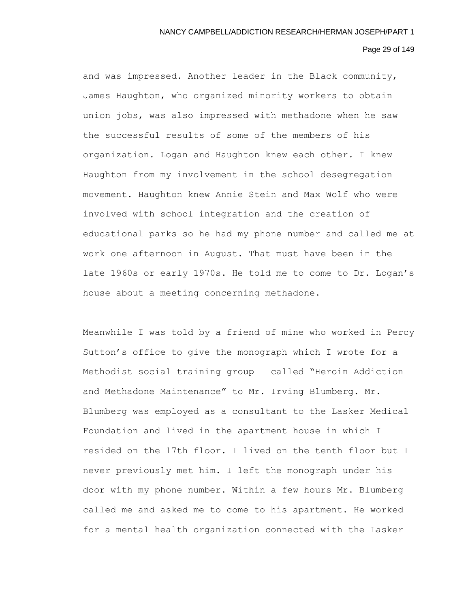#### Page 29 of 149

and was impressed. Another leader in the Black community, James Haughton, who organized minority workers to obtain union jobs, was also impressed with methadone when he saw the successful results of some of the members of his organization. Logan and Haughton knew each other. I knew Haughton from my involvement in the school desegregation movement. Haughton knew Annie Stein and Max Wolf who were involved with school integration and the creation of educational parks so he had my phone number and called me at work one afternoon in August. That must have been in the late 1960s or early 1970s. He told me to come to Dr. Logan's house about a meeting concerning methadone.

Meanwhile I was told by a friend of mine who worked in Percy Sutton's office to give the monograph which I wrote for a Methodist social training group called "Heroin Addiction and Methadone Maintenance" to Mr. Irving Blumberg. Mr. Blumberg was employed as a consultant to the Lasker Medical Foundation and lived in the apartment house in which I resided on the 17th floor. I lived on the tenth floor but I never previously met him. I left the monograph under his door with my phone number. Within a few hours Mr. Blumberg called me and asked me to come to his apartment. He worked for a mental health organization connected with the Lasker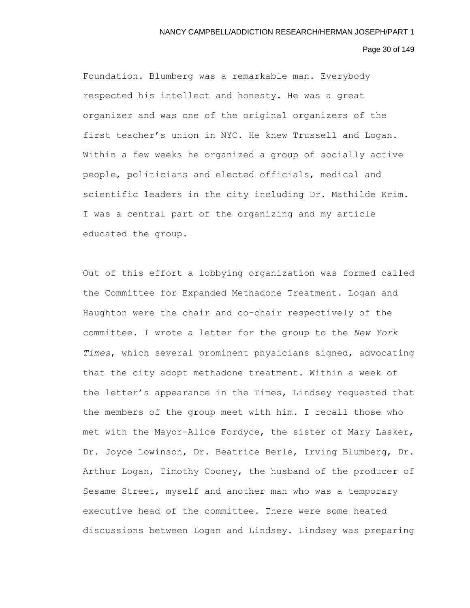#### Page 30 of 149

Foundation. Blumberg was a remarkable man. Everybody respected his intellect and honesty. He was a great organizer and was one of the original organizers of the first teacher's union in NYC. He knew Trussell and Logan. Within a few weeks he organized a group of socially active people, politicians and elected officials, medical and scientific leaders in the city including Dr. Mathilde Krim. I was a central part of the organizing and my article educated the group.

Out of this effort a lobbying organization was formed called the Committee for Expanded Methadone Treatment. Logan and Haughton were the chair and co-chair respectively of the committee. I wrote a letter for the group to the *New York Times*, which several prominent physicians signed, advocating that the city adopt methadone treatment. Within a week of the letter's appearance in the Times, Lindsey requested that the members of the group meet with him. I recall those who met with the Mayor-Alice Fordyce, the sister of Mary Lasker, Dr. Joyce Lowinson, Dr. Beatrice Berle, Irving Blumberg, Dr. Arthur Logan, Timothy Cooney, the husband of the producer of Sesame Street, myself and another man who was a temporary executive head of the committee. There were some heated discussions between Logan and Lindsey. Lindsey was preparing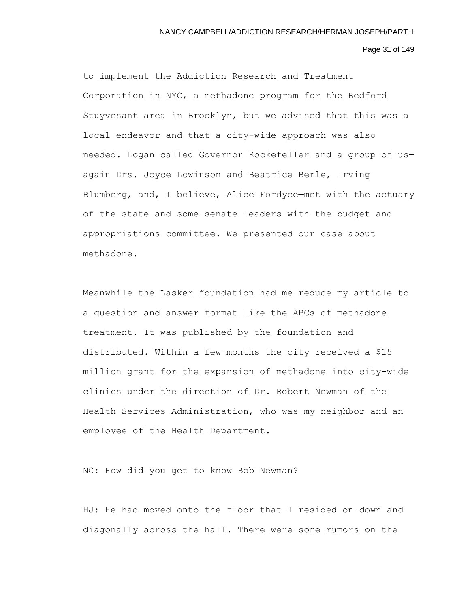Page 31 of 149

to implement the Addiction Research and Treatment Corporation in NYC, a methadone program for the Bedford Stuyvesant area in Brooklyn, but we advised that this was a local endeavor and that a city-wide approach was also needed. Logan called Governor Rockefeller and a group of us again Drs. Joyce Lowinson and Beatrice Berle, Irving Blumberg, and, I believe, Alice Fordyce—met with the actuary of the state and some senate leaders with the budget and appropriations committee. We presented our case about methadone.

Meanwhile the Lasker foundation had me reduce my article to a question and answer format like the ABCs of methadone treatment. It was published by the foundation and distributed. Within a few months the city received a \$15 million grant for the expansion of methadone into city-wide clinics under the direction of Dr. Robert Newman of the Health Services Administration, who was my neighbor and an employee of the Health Department.

NC: How did you get to know Bob Newman?

HJ: He had moved onto the floor that I resided on–down and diagonally across the hall. There were some rumors on the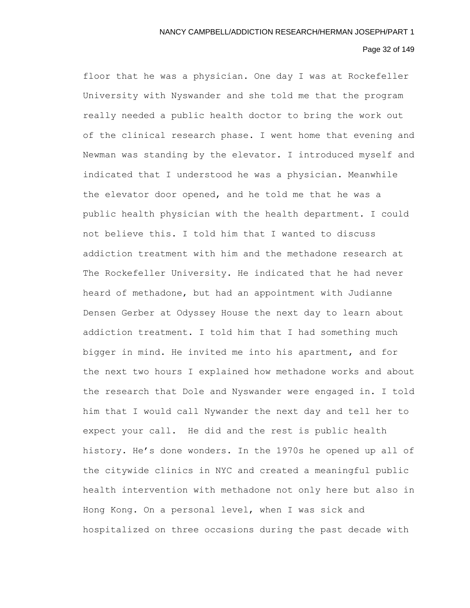# Page 32 of 149

floor that he was a physician. One day I was at Rockefeller University with Nyswander and she told me that the program really needed a public health doctor to bring the work out of the clinical research phase. I went home that evening and Newman was standing by the elevator. I introduced myself and indicated that I understood he was a physician. Meanwhile the elevator door opened, and he told me that he was a public health physician with the health department. I could not believe this. I told him that I wanted to discuss addiction treatment with him and the methadone research at The Rockefeller University. He indicated that he had never heard of methadone, but had an appointment with Judianne Densen Gerber at Odyssey House the next day to learn about addiction treatment. I told him that I had something much bigger in mind. He invited me into his apartment, and for the next two hours I explained how methadone works and about the research that Dole and Nyswander were engaged in. I told him that I would call Nywander the next day and tell her to expect your call. He did and the rest is public health history. He's done wonders. In the 1970s he opened up all of the citywide clinics in NYC and created a meaningful public health intervention with methadone not only here but also in Hong Kong. On a personal level, when I was sick and hospitalized on three occasions during the past decade with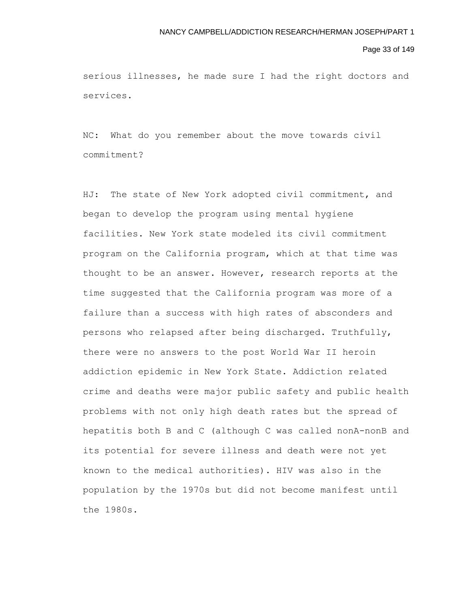## Page 33 of 149

serious illnesses, he made sure I had the right doctors and services.

NC: What do you remember about the move towards civil commitment?

HJ: The state of New York adopted civil commitment, and began to develop the program using mental hygiene facilities. New York state modeled its civil commitment program on the California program, which at that time was thought to be an answer. However, research reports at the time suggested that the California program was more of a failure than a success with high rates of absconders and persons who relapsed after being discharged. Truthfully, there were no answers to the post World War II heroin addiction epidemic in New York State. Addiction related crime and deaths were major public safety and public health problems with not only high death rates but the spread of hepatitis both B and C (although C was called nonA-nonB and its potential for severe illness and death were not yet known to the medical authorities). HIV was also in the population by the 1970s but did not become manifest until the 1980s.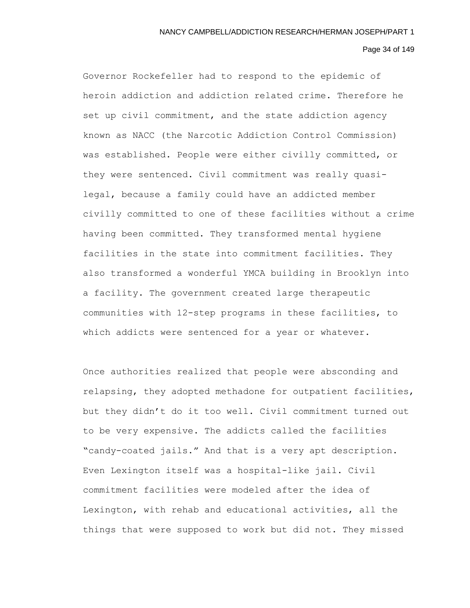# Page 34 of 149

Governor Rockefeller had to respond to the epidemic of heroin addiction and addiction related crime. Therefore he set up civil commitment, and the state addiction agency known as NACC (the Narcotic Addiction Control Commission) was established. People were either civilly committed, or they were sentenced. Civil commitment was really quasilegal, because a family could have an addicted member civilly committed to one of these facilities without a crime having been committed. They transformed mental hygiene facilities in the state into commitment facilities. They also transformed a wonderful YMCA building in Brooklyn into a facility. The government created large therapeutic communities with 12-step programs in these facilities, to which addicts were sentenced for a year or whatever.

Once authorities realized that people were absconding and relapsing, they adopted methadone for outpatient facilities, but they didn't do it too well. Civil commitment turned out to be very expensive. The addicts called the facilities "candy-coated jails." And that is a very apt description. Even Lexington itself was a hospital-like jail. Civil commitment facilities were modeled after the idea of Lexington, with rehab and educational activities, all the things that were supposed to work but did not. They missed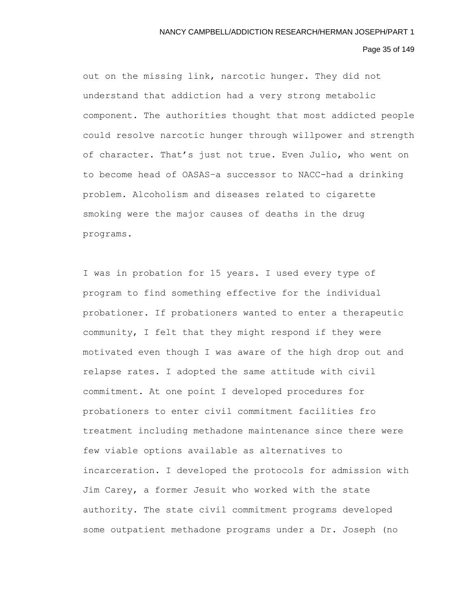## Page 35 of 149

out on the missing link, narcotic hunger. They did not understand that addiction had a very strong metabolic component. The authorities thought that most addicted people could resolve narcotic hunger through willpower and strength of character. That's just not true. Even Julio, who went on to become head of OASAS–a successor to NACC-had a drinking problem. Alcoholism and diseases related to cigarette smoking were the major causes of deaths in the drug programs.

I was in probation for 15 years. I used every type of program to find something effective for the individual probationer. If probationers wanted to enter a therapeutic community, I felt that they might respond if they were motivated even though I was aware of the high drop out and relapse rates. I adopted the same attitude with civil commitment. At one point I developed procedures for probationers to enter civil commitment facilities fro treatment including methadone maintenance since there were few viable options available as alternatives to incarceration. I developed the protocols for admission with Jim Carey, a former Jesuit who worked with the state authority. The state civil commitment programs developed some outpatient methadone programs under a Dr. Joseph (no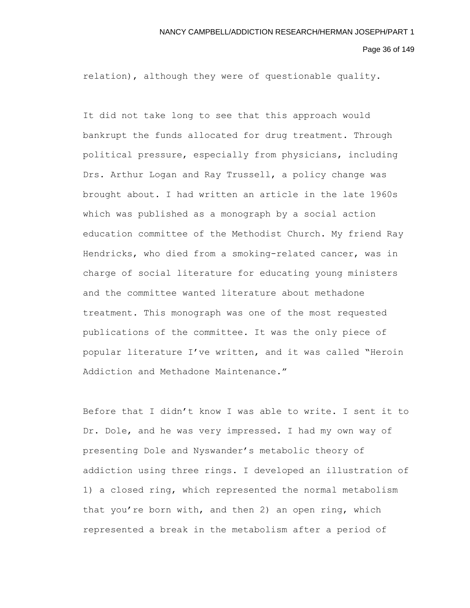Page 36 of 149

relation), although they were of questionable quality.

It did not take long to see that this approach would bankrupt the funds allocated for drug treatment. Through political pressure, especially from physicians, including Drs. Arthur Logan and Ray Trussell, a policy change was brought about. I had written an article in the late 1960s which was published as a monograph by a social action education committee of the Methodist Church. My friend Ray Hendricks, who died from a smoking-related cancer, was in charge of social literature for educating young ministers and the committee wanted literature about methadone treatment. This monograph was one of the most requested publications of the committee. It was the only piece of popular literature I've written, and it was called "Heroin Addiction and Methadone Maintenance."

Before that I didn't know I was able to write. I sent it to Dr. Dole, and he was very impressed. I had my own way of presenting Dole and Nyswander's metabolic theory of addiction using three rings. I developed an illustration of 1) a closed ring, which represented the normal metabolism that you're born with, and then 2) an open ring, which represented a break in the metabolism after a period of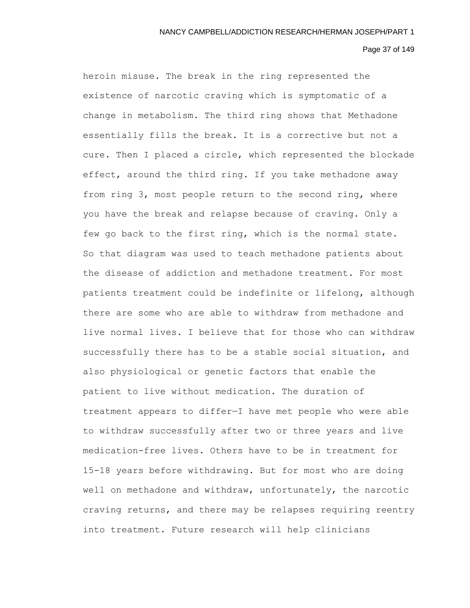## Page 37 of 149

heroin misuse. The break in the ring represented the existence of narcotic craving which is symptomatic of a change in metabolism. The third ring shows that Methadone essentially fills the break. It is a corrective but not a cure. Then I placed a circle, which represented the blockade effect, around the third ring. If you take methadone away from ring 3, most people return to the second ring, where you have the break and relapse because of craving. Only a few go back to the first ring, which is the normal state. So that diagram was used to teach methadone patients about the disease of addiction and methadone treatment. For most patients treatment could be indefinite or lifelong, although there are some who are able to withdraw from methadone and live normal lives. I believe that for those who can withdraw successfully there has to be a stable social situation, and also physiological or genetic factors that enable the patient to live without medication. The duration of treatment appears to differ—I have met people who were able to withdraw successfully after two or three years and live medication-free lives. Others have to be in treatment for 15-18 years before withdrawing. But for most who are doing well on methadone and withdraw, unfortunately, the narcotic craving returns, and there may be relapses requiring reentry into treatment. Future research will help clinicians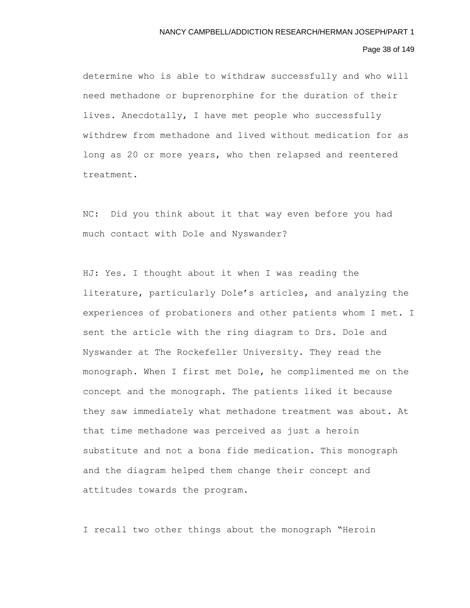# Page 38 of 149

determine who is able to withdraw successfully and who will need methadone or buprenorphine for the duration of their lives. Anecdotally, I have met people who successfully withdrew from methadone and lived without medication for as long as 20 or more years, who then relapsed and reentered treatment.

NC: Did you think about it that way even before you had much contact with Dole and Nyswander?

HJ: Yes. I thought about it when I was reading the literature, particularly Dole's articles, and analyzing the experiences of probationers and other patients whom I met. I sent the article with the ring diagram to Drs. Dole and Nyswander at The Rockefeller University. They read the monograph. When I first met Dole, he complimented me on the concept and the monograph. The patients liked it because they saw immediately what methadone treatment was about. At that time methadone was perceived as just a heroin substitute and not a bona fide medication. This monograph and the diagram helped them change their concept and attitudes towards the program.

I recall two other things about the monograph "Heroin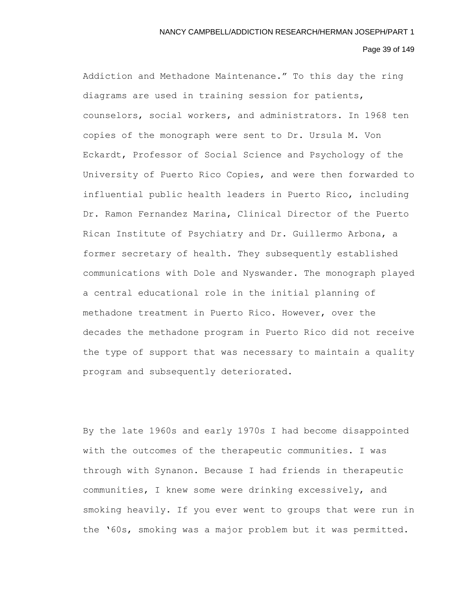## Page 39 of 149

Addiction and Methadone Maintenance." To this day the ring diagrams are used in training session for patients, counselors, social workers, and administrators. In 1968 ten copies of the monograph were sent to Dr. Ursula M. Von Eckardt, Professor of Social Science and Psychology of the University of Puerto Rico Copies, and were then forwarded to influential public health leaders in Puerto Rico, including Dr. Ramon Fernandez Marina, Clinical Director of the Puerto Rican Institute of Psychiatry and Dr. Guillermo Arbona, a former secretary of health. They subsequently established communications with Dole and Nyswander. The monograph played a central educational role in the initial planning of methadone treatment in Puerto Rico. However, over the decades the methadone program in Puerto Rico did not receive the type of support that was necessary to maintain a quality program and subsequently deteriorated.

By the late 1960s and early 1970s I had become disappointed with the outcomes of the therapeutic communities. I was through with Synanon. Because I had friends in therapeutic communities, I knew some were drinking excessively, and smoking heavily. If you ever went to groups that were run in the '60s, smoking was a major problem but it was permitted.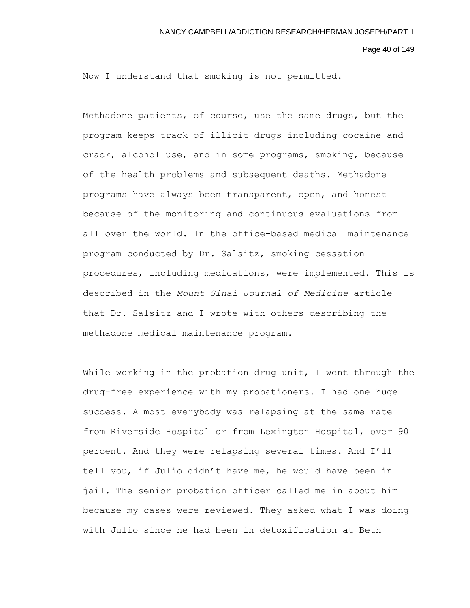Page 40 of 149

Now I understand that smoking is not permitted.

Methadone patients, of course, use the same drugs, but the program keeps track of illicit drugs including cocaine and crack, alcohol use, and in some programs, smoking, because of the health problems and subsequent deaths. Methadone programs have always been transparent, open, and honest because of the monitoring and continuous evaluations from all over the world. In the office-based medical maintenance program conducted by Dr. Salsitz, smoking cessation procedures, including medications, were implemented. This is described in the *Mount Sinai Journal of Medicine* article that Dr. Salsitz and I wrote with others describing the methadone medical maintenance program.

While working in the probation drug unit, I went through the drug-free experience with my probationers. I had one huge success. Almost everybody was relapsing at the same rate from Riverside Hospital or from Lexington Hospital, over 90 percent. And they were relapsing several times. And I'll tell you, if Julio didn't have me, he would have been in jail. The senior probation officer called me in about him because my cases were reviewed. They asked what I was doing with Julio since he had been in detoxification at Beth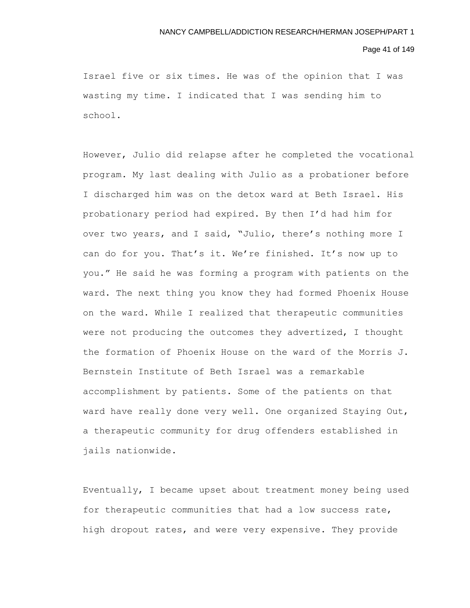### Page 41 of 149

Israel five or six times. He was of the opinion that I was wasting my time. I indicated that I was sending him to school.

However, Julio did relapse after he completed the vocational program. My last dealing with Julio as a probationer before I discharged him was on the detox ward at Beth Israel. His probationary period had expired. By then I'd had him for over two years, and I said, "Julio, there's nothing more I can do for you. That's it. We're finished. It's now up to you." He said he was forming a program with patients on the ward. The next thing you know they had formed Phoenix House on the ward. While I realized that therapeutic communities were not producing the outcomes they advertized, I thought the formation of Phoenix House on the ward of the Morris J. Bernstein Institute of Beth Israel was a remarkable accomplishment by patients. Some of the patients on that ward have really done very well. One organized Staying Out, a therapeutic community for drug offenders established in jails nationwide.

Eventually, I became upset about treatment money being used for therapeutic communities that had a low success rate, high dropout rates, and were very expensive. They provide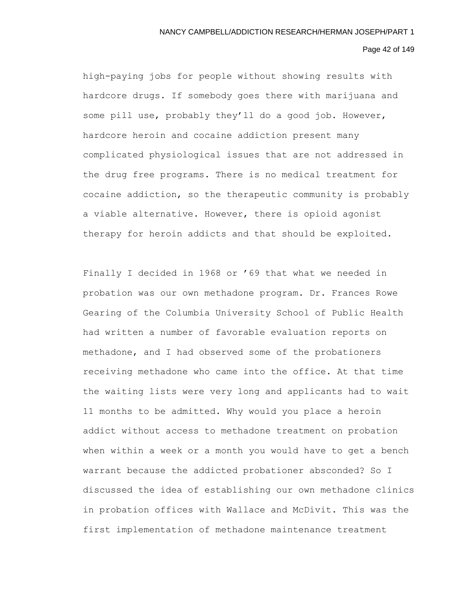### Page 42 of 149

high-paying jobs for people without showing results with hardcore drugs. If somebody goes there with marijuana and some pill use, probably they'll do a good job. However, hardcore heroin and cocaine addiction present many complicated physiological issues that are not addressed in the drug free programs. There is no medical treatment for cocaine addiction, so the therapeutic community is probably a viable alternative. However, there is opioid agonist therapy for heroin addicts and that should be exploited.

Finally I decided in 1968 or '69 that what we needed in probation was our own methadone program. Dr. Frances Rowe Gearing of the Columbia University School of Public Health had written a number of favorable evaluation reports on methadone, and I had observed some of the probationers receiving methadone who came into the office. At that time the waiting lists were very long and applicants had to wait 11 months to be admitted. Why would you place a heroin addict without access to methadone treatment on probation when within a week or a month you would have to get a bench warrant because the addicted probationer absconded? So I discussed the idea of establishing our own methadone clinics in probation offices with Wallace and McDivit. This was the first implementation of methadone maintenance treatment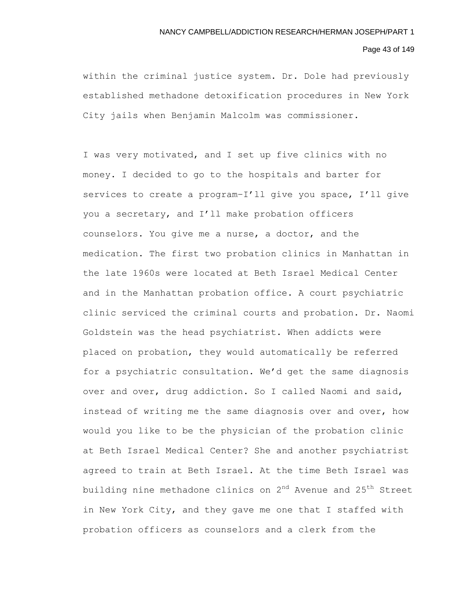# Page 43 of 149

within the criminal justice system. Dr. Dole had previously established methadone detoxification procedures in New York City jails when Benjamin Malcolm was commissioner.

I was very motivated, and I set up five clinics with no money. I decided to go to the hospitals and barter for services to create a program–I'll give you space, I'll give you a secretary, and I'll make probation officers counselors. You give me a nurse, a doctor, and the medication. The first two probation clinics in Manhattan in the late 1960s were located at Beth Israel Medical Center and in the Manhattan probation office. A court psychiatric clinic serviced the criminal courts and probation. Dr. Naomi Goldstein was the head psychiatrist. When addicts were placed on probation, they would automatically be referred for a psychiatric consultation. We'd get the same diagnosis over and over, drug addiction. So I called Naomi and said, instead of writing me the same diagnosis over and over, how would you like to be the physician of the probation clinic at Beth Israel Medical Center? She and another psychiatrist agreed to train at Beth Israel. At the time Beth Israel was building nine methadone clinics on 2<sup>nd</sup> Avenue and 25<sup>th</sup> Street in New York City, and they gave me one that I staffed with probation officers as counselors and a clerk from the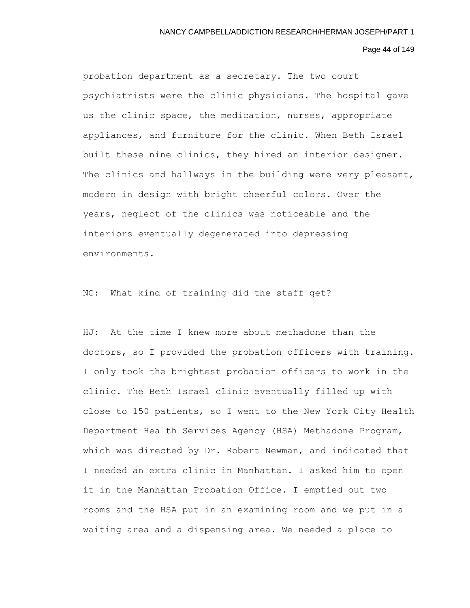## Page 44 of 149

probation department as a secretary. The two court psychiatrists were the clinic physicians. The hospital gave us the clinic space, the medication, nurses, appropriate appliances, and furniture for the clinic. When Beth Israel built these nine clinics, they hired an interior designer. The clinics and hallways in the building were very pleasant, modern in design with bright cheerful colors. Over the years, neglect of the clinics was noticeable and the interiors eventually degenerated into depressing environments.

NC: What kind of training did the staff get?

HJ: At the time I knew more about methadone than the doctors, so I provided the probation officers with training. I only took the brightest probation officers to work in the clinic. The Beth Israel clinic eventually filled up with close to 150 patients, so I went to the New York City Health Department Health Services Agency (HSA) Methadone Program, which was directed by Dr. Robert Newman, and indicated that I needed an extra clinic in Manhattan. I asked him to open it in the Manhattan Probation Office. I emptied out two rooms and the HSA put in an examining room and we put in a waiting area and a dispensing area. We needed a place to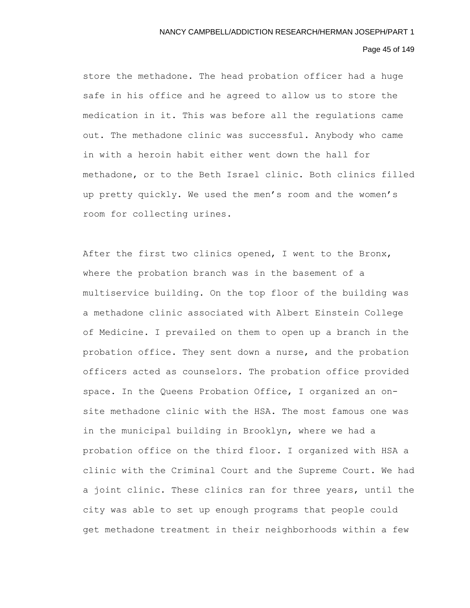### Page 45 of 149

store the methadone. The head probation officer had a huge safe in his office and he agreed to allow us to store the medication in it. This was before all the regulations came out. The methadone clinic was successful. Anybody who came in with a heroin habit either went down the hall for methadone, or to the Beth Israel clinic. Both clinics filled up pretty quickly. We used the men's room and the women's room for collecting urines.

After the first two clinics opened, I went to the Bronx, where the probation branch was in the basement of a multiservice building. On the top floor of the building was a methadone clinic associated with Albert Einstein College of Medicine. I prevailed on them to open up a branch in the probation office. They sent down a nurse, and the probation officers acted as counselors. The probation office provided space. In the Queens Probation Office, I organized an onsite methadone clinic with the HSA. The most famous one was in the municipal building in Brooklyn, where we had a probation office on the third floor. I organized with HSA a clinic with the Criminal Court and the Supreme Court. We had a joint clinic. These clinics ran for three years, until the city was able to set up enough programs that people could get methadone treatment in their neighborhoods within a few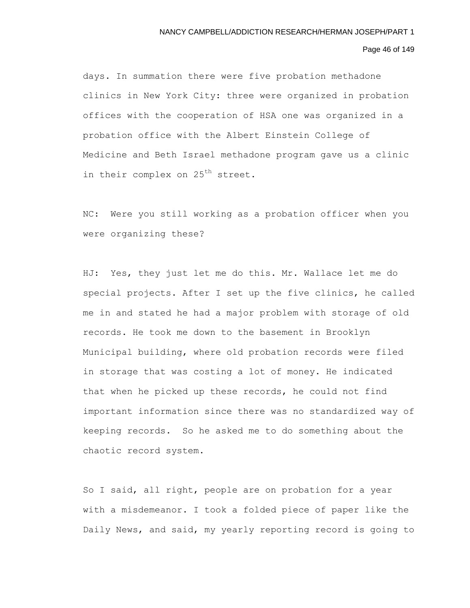### Page 46 of 149

days. In summation there were five probation methadone clinics in New York City: three were organized in probation offices with the cooperation of HSA one was organized in a probation office with the Albert Einstein College of Medicine and Beth Israel methadone program gave us a clinic in their complex on 25<sup>th</sup> street.

NC: Were you still working as a probation officer when you were organizing these?

HJ: Yes, they just let me do this. Mr. Wallace let me do special projects. After I set up the five clinics, he called me in and stated he had a major problem with storage of old records. He took me down to the basement in Brooklyn Municipal building, where old probation records were filed in storage that was costing a lot of money. He indicated that when he picked up these records, he could not find important information since there was no standardized way of keeping records. So he asked me to do something about the chaotic record system.

So I said, all right, people are on probation for a year with a misdemeanor. I took a folded piece of paper like the Daily News, and said, my yearly reporting record is going to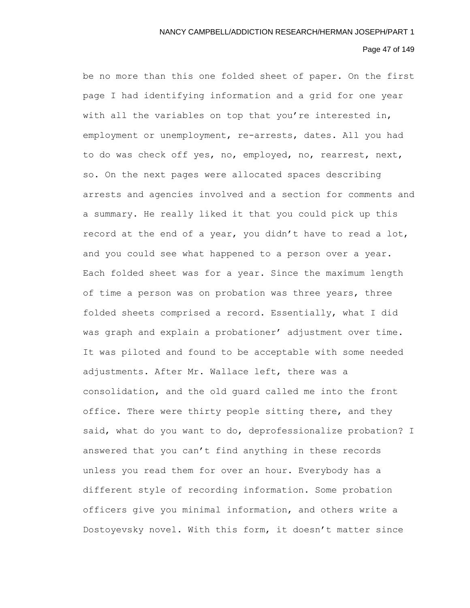# Page 47 of 149

be no more than this one folded sheet of paper. On the first page I had identifying information and a grid for one year with all the variables on top that you're interested in, employment or unemployment, re-arrests, dates. All you had to do was check off yes, no, employed, no, rearrest, next, so. On the next pages were allocated spaces describing arrests and agencies involved and a section for comments and a summary. He really liked it that you could pick up this record at the end of a year, you didn't have to read a lot, and you could see what happened to a person over a year. Each folded sheet was for a year. Since the maximum length of time a person was on probation was three years, three folded sheets comprised a record. Essentially, what I did was graph and explain a probationer' adjustment over time. It was piloted and found to be acceptable with some needed adjustments. After Mr. Wallace left, there was a consolidation, and the old guard called me into the front office. There were thirty people sitting there, and they said, what do you want to do, deprofessionalize probation? I answered that you can't find anything in these records unless you read them for over an hour. Everybody has a different style of recording information. Some probation officers give you minimal information, and others write a Dostoyevsky novel. With this form, it doesn't matter since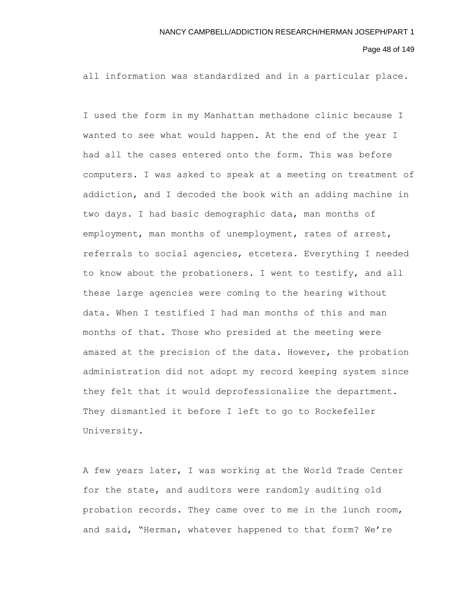Page 48 of 149

all information was standardized and in a particular place.

I used the form in my Manhattan methadone clinic because I wanted to see what would happen. At the end of the year I had all the cases entered onto the form. This was before computers. I was asked to speak at a meeting on treatment of addiction, and I decoded the book with an adding machine in two days. I had basic demographic data, man months of employment, man months of unemployment, rates of arrest, referrals to social agencies, etcetera. Everything I needed to know about the probationers. I went to testify, and all these large agencies were coming to the hearing without data. When I testified I had man months of this and man months of that. Those who presided at the meeting were amazed at the precision of the data. However, the probation administration did not adopt my record keeping system since they felt that it would deprofessionalize the department. They dismantled it before I left to go to Rockefeller University.

A few years later, I was working at the World Trade Center for the state, and auditors were randomly auditing old probation records. They came over to me in the lunch room, and said, "Herman, whatever happened to that form? We're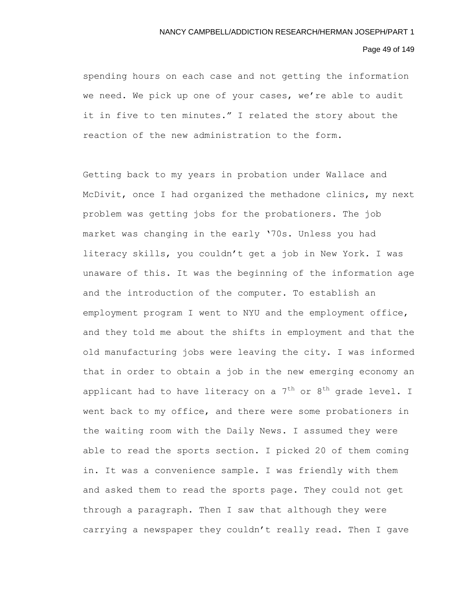# Page 49 of 149

spending hours on each case and not getting the information we need. We pick up one of your cases, we're able to audit it in five to ten minutes." I related the story about the reaction of the new administration to the form.

Getting back to my years in probation under Wallace and McDivit, once I had organized the methadone clinics, my next problem was getting jobs for the probationers. The job market was changing in the early '70s. Unless you had literacy skills, you couldn't get a job in New York. I was unaware of this. It was the beginning of the information age and the introduction of the computer. To establish an employment program I went to NYU and the employment office, and they told me about the shifts in employment and that the old manufacturing jobs were leaving the city. I was informed that in order to obtain a job in the new emerging economy an applicant had to have literacy on a  $7^{\rm th}$  or  $8^{\rm th}$  grade level. I went back to my office, and there were some probationers in the waiting room with the Daily News. I assumed they were able to read the sports section. I picked 20 of them coming in. It was a convenience sample. I was friendly with them and asked them to read the sports page. They could not get through a paragraph. Then I saw that although they were carrying a newspaper they couldn't really read. Then I gave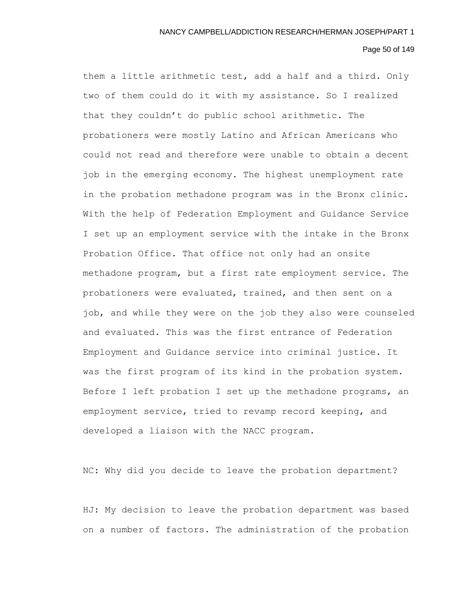## Page 50 of 149

them a little arithmetic test, add a half and a third. Only two of them could do it with my assistance. So I realized that they couldn't do public school arithmetic. The probationers were mostly Latino and African Americans who could not read and therefore were unable to obtain a decent job in the emerging economy. The highest unemployment rate in the probation methadone program was in the Bronx clinic. With the help of Federation Employment and Guidance Service I set up an employment service with the intake in the Bronx Probation Office. That office not only had an onsite methadone program, but a first rate employment service. The probationers were evaluated, trained, and then sent on a job, and while they were on the job they also were counseled and evaluated. This was the first entrance of Federation Employment and Guidance service into criminal justice. It was the first program of its kind in the probation system. Before I left probation I set up the methadone programs, an employment service, tried to revamp record keeping, and developed a liaison with the NACC program.

NC: Why did you decide to leave the probation department?

HJ: My decision to leave the probation department was based on a number of factors. The administration of the probation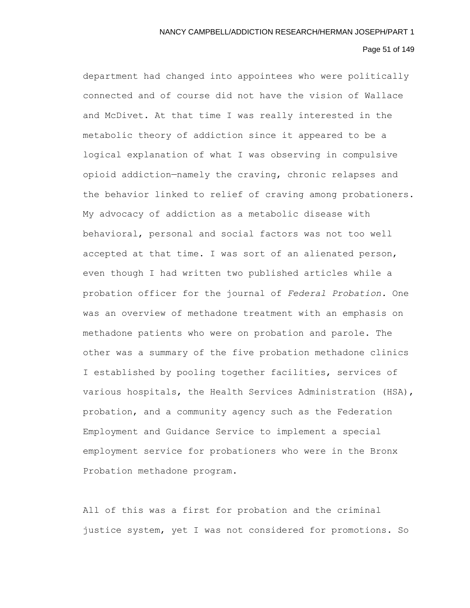# Page 51 of 149

department had changed into appointees who were politically connected and of course did not have the vision of Wallace and McDivet. At that time I was really interested in the metabolic theory of addiction since it appeared to be a logical explanation of what I was observing in compulsive opioid addiction—namely the craving, chronic relapses and the behavior linked to relief of craving among probationers. My advocacy of addiction as a metabolic disease with behavioral, personal and social factors was not too well accepted at that time. I was sort of an alienated person, even though I had written two published articles while a probation officer for the journal of *Federal Probation.* One was an overview of methadone treatment with an emphasis on methadone patients who were on probation and parole. The other was a summary of the five probation methadone clinics I established by pooling together facilities, services of various hospitals, the Health Services Administration (HSA), probation, and a community agency such as the Federation Employment and Guidance Service to implement a special employment service for probationers who were in the Bronx Probation methadone program.

All of this was a first for probation and the criminal justice system, yet I was not considered for promotions. So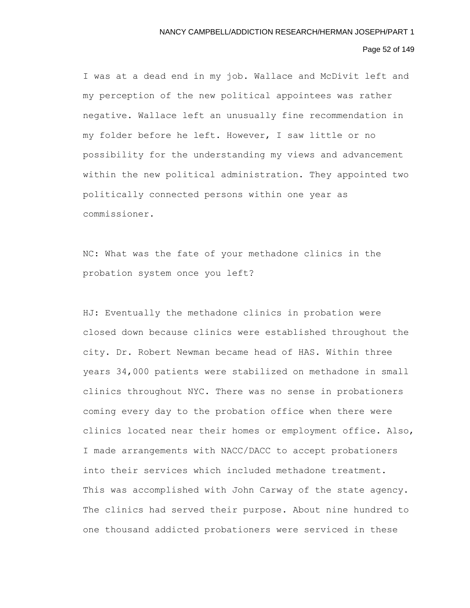# Page 52 of 149

I was at a dead end in my job. Wallace and McDivit left and my perception of the new political appointees was rather negative. Wallace left an unusually fine recommendation in my folder before he left. However, I saw little or no possibility for the understanding my views and advancement within the new political administration. They appointed two politically connected persons within one year as commissioner.

NC: What was the fate of your methadone clinics in the probation system once you left?

HJ: Eventually the methadone clinics in probation were closed down because clinics were established throughout the city. Dr. Robert Newman became head of HAS. Within three years 34,000 patients were stabilized on methadone in small clinics throughout NYC. There was no sense in probationers coming every day to the probation office when there were clinics located near their homes or employment office. Also, I made arrangements with NACC/DACC to accept probationers into their services which included methadone treatment. This was accomplished with John Carway of the state agency. The clinics had served their purpose. About nine hundred to one thousand addicted probationers were serviced in these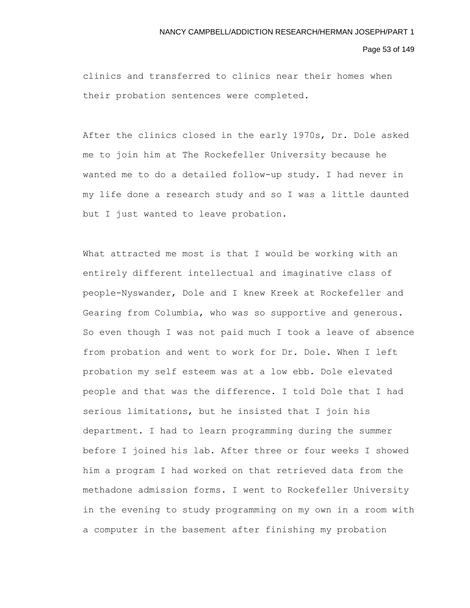Page 53 of 149

clinics and transferred to clinics near their homes when their probation sentences were completed.

After the clinics closed in the early 1970s, Dr. Dole asked me to join him at The Rockefeller University because he wanted me to do a detailed follow-up study. I had never in my life done a research study and so I was a little daunted but I just wanted to leave probation.

What attracted me most is that I would be working with an entirely different intellectual and imaginative class of people-Nyswander, Dole and I knew Kreek at Rockefeller and Gearing from Columbia, who was so supportive and generous. So even though I was not paid much I took a leave of absence from probation and went to work for Dr. Dole. When I left probation my self esteem was at a low ebb. Dole elevated people and that was the difference. I told Dole that I had serious limitations, but he insisted that I join his department. I had to learn programming during the summer before I joined his lab. After three or four weeks I showed him a program I had worked on that retrieved data from the methadone admission forms. I went to Rockefeller University in the evening to study programming on my own in a room with a computer in the basement after finishing my probation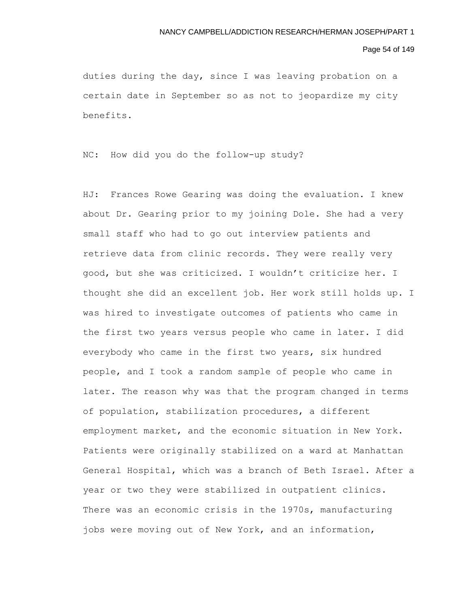### Page 54 of 149

duties during the day, since I was leaving probation on a certain date in September so as not to jeopardize my city benefits.

NC: How did you do the follow-up study?

HJ: Frances Rowe Gearing was doing the evaluation. I knew about Dr. Gearing prior to my joining Dole. She had a very small staff who had to go out interview patients and retrieve data from clinic records. They were really very good, but she was criticized. I wouldn't criticize her. I thought she did an excellent job. Her work still holds up. I was hired to investigate outcomes of patients who came in the first two years versus people who came in later. I did everybody who came in the first two years, six hundred people, and I took a random sample of people who came in later. The reason why was that the program changed in terms of population, stabilization procedures, a different employment market, and the economic situation in New York. Patients were originally stabilized on a ward at Manhattan General Hospital, which was a branch of Beth Israel. After a year or two they were stabilized in outpatient clinics. There was an economic crisis in the 1970s, manufacturing jobs were moving out of New York, and an information,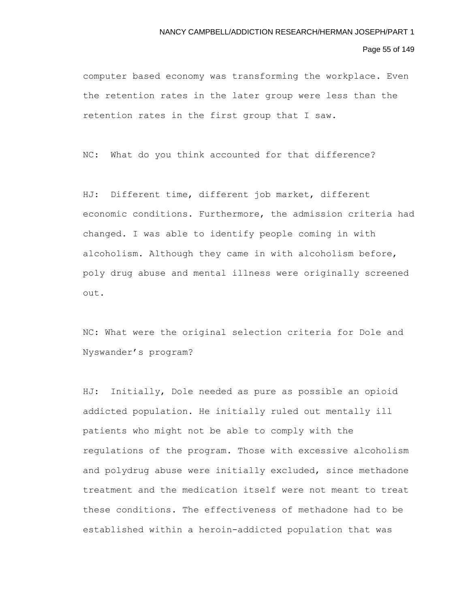#### Page 55 of 149

computer based economy was transforming the workplace. Even the retention rates in the later group were less than the retention rates in the first group that I saw.

NC: What do you think accounted for that difference?

HJ: Different time, different job market, different economic conditions. Furthermore, the admission criteria had changed. I was able to identify people coming in with alcoholism. Although they came in with alcoholism before, poly drug abuse and mental illness were originally screened out.

NC: What were the original selection criteria for Dole and Nyswander's program?

HJ: Initially, Dole needed as pure as possible an opioid addicted population. He initially ruled out mentally ill patients who might not be able to comply with the regulations of the program. Those with excessive alcoholism and polydrug abuse were initially excluded, since methadone treatment and the medication itself were not meant to treat these conditions. The effectiveness of methadone had to be established within a heroin-addicted population that was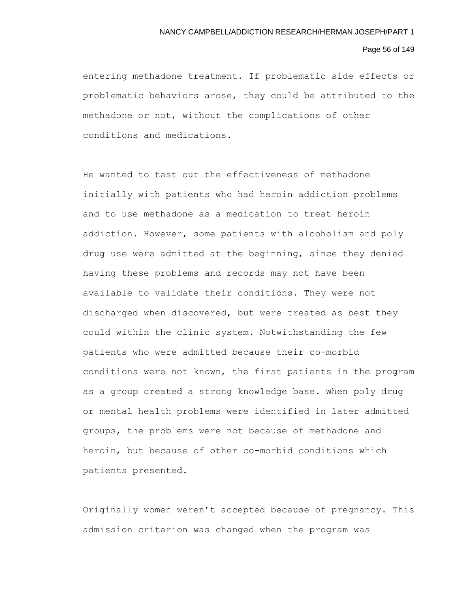# Page 56 of 149

entering methadone treatment. If problematic side effects or problematic behaviors arose, they could be attributed to the methadone or not, without the complications of other conditions and medications.

He wanted to test out the effectiveness of methadone initially with patients who had heroin addiction problems and to use methadone as a medication to treat heroin addiction. However, some patients with alcoholism and poly drug use were admitted at the beginning, since they denied having these problems and records may not have been available to validate their conditions. They were not discharged when discovered, but were treated as best they could within the clinic system. Notwithstanding the few patients who were admitted because their co-morbid conditions were not known, the first patients in the program as a group created a strong knowledge base. When poly drug or mental health problems were identified in later admitted groups, the problems were not because of methadone and heroin, but because of other co-morbid conditions which patients presented.

Originally women weren't accepted because of pregnancy. This admission criterion was changed when the program was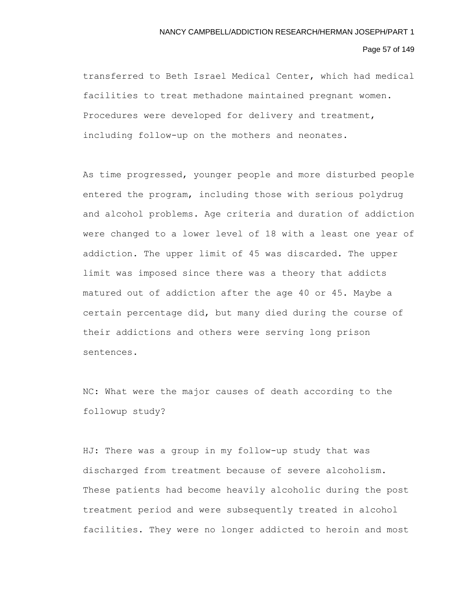### Page 57 of 149

transferred to Beth Israel Medical Center, which had medical facilities to treat methadone maintained pregnant women. Procedures were developed for delivery and treatment, including follow-up on the mothers and neonates.

As time progressed, younger people and more disturbed people entered the program, including those with serious polydrug and alcohol problems. Age criteria and duration of addiction were changed to a lower level of 18 with a least one year of addiction. The upper limit of 45 was discarded. The upper limit was imposed since there was a theory that addicts matured out of addiction after the age 40 or 45. Maybe a certain percentage did, but many died during the course of their addictions and others were serving long prison sentences.

NC: What were the major causes of death according to the followup study?

HJ: There was a group in my follow-up study that was discharged from treatment because of severe alcoholism. These patients had become heavily alcoholic during the post treatment period and were subsequently treated in alcohol facilities. They were no longer addicted to heroin and most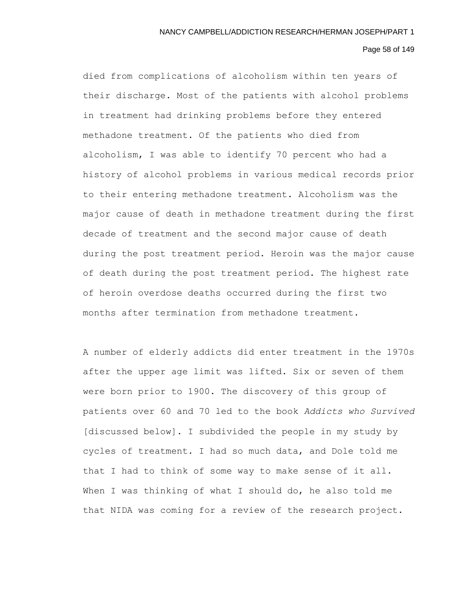# Page 58 of 149

died from complications of alcoholism within ten years of their discharge. Most of the patients with alcohol problems in treatment had drinking problems before they entered methadone treatment. Of the patients who died from alcoholism, I was able to identify 70 percent who had a history of alcohol problems in various medical records prior to their entering methadone treatment. Alcoholism was the major cause of death in methadone treatment during the first decade of treatment and the second major cause of death during the post treatment period. Heroin was the major cause of death during the post treatment period. The highest rate of heroin overdose deaths occurred during the first two months after termination from methadone treatment.

A number of elderly addicts did enter treatment in the 1970s after the upper age limit was lifted. Six or seven of them were born prior to 1900. The discovery of this group of patients over 60 and 70 led to the book *Addicts who Survived* [discussed below]. I subdivided the people in my study by cycles of treatment. I had so much data, and Dole told me that I had to think of some way to make sense of it all. When I was thinking of what I should do, he also told me that NIDA was coming for a review of the research project.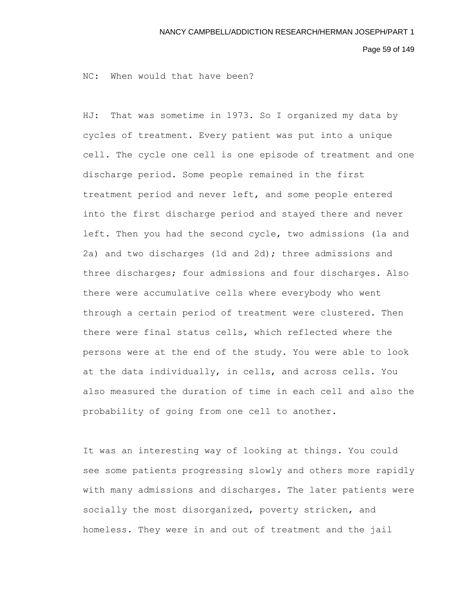Page 59 of 149

NC: When would that have been?

HJ: That was sometime in 1973. So I organized my data by cycles of treatment. Every patient was put into a unique cell. The cycle one cell is one episode of treatment and one discharge period. Some people remained in the first treatment period and never left, and some people entered into the first discharge period and stayed there and never left. Then you had the second cycle, two admissions (1a and 2a) and two discharges (1d and 2d); three admissions and three discharges; four admissions and four discharges. Also there were accumulative cells where everybody who went through a certain period of treatment were clustered. Then there were final status cells, which reflected where the persons were at the end of the study. You were able to look at the data individually, in cells, and across cells. You also measured the duration of time in each cell and also the probability of going from one cell to another.

It was an interesting way of looking at things. You could see some patients progressing slowly and others more rapidly with many admissions and discharges. The later patients were socially the most disorganized, poverty stricken, and homeless. They were in and out of treatment and the jail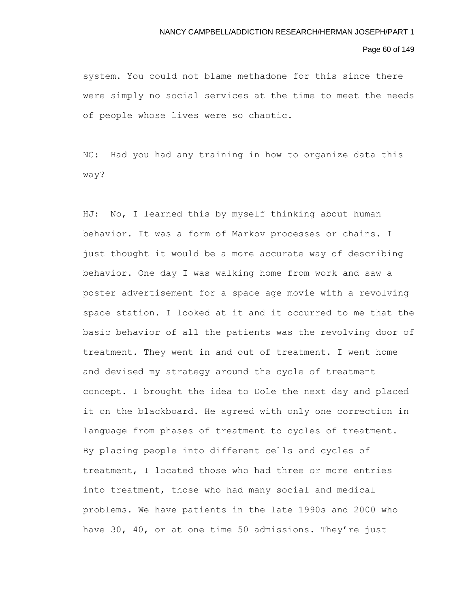## Page 60 of 149

system. You could not blame methadone for this since there were simply no social services at the time to meet the needs of people whose lives were so chaotic.

NC: Had you had any training in how to organize data this way?

HJ: No, I learned this by myself thinking about human behavior. It was a form of Markov processes or chains. I just thought it would be a more accurate way of describing behavior. One day I was walking home from work and saw a poster advertisement for a space age movie with a revolving space station. I looked at it and it occurred to me that the basic behavior of all the patients was the revolving door of treatment. They went in and out of treatment. I went home and devised my strategy around the cycle of treatment concept. I brought the idea to Dole the next day and placed it on the blackboard. He agreed with only one correction in language from phases of treatment to cycles of treatment. By placing people into different cells and cycles of treatment, I located those who had three or more entries into treatment, those who had many social and medical problems. We have patients in the late 1990s and 2000 who have 30, 40, or at one time 50 admissions. They're just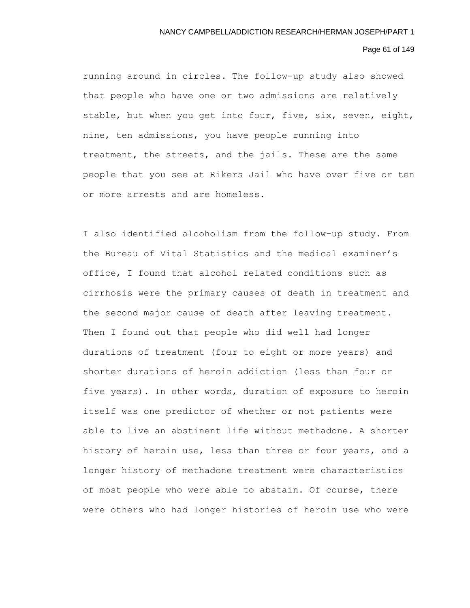# Page 61 of 149

running around in circles. The follow-up study also showed that people who have one or two admissions are relatively stable, but when you get into four, five, six, seven, eight, nine, ten admissions, you have people running into treatment, the streets, and the jails. These are the same people that you see at Rikers Jail who have over five or ten or more arrests and are homeless.

I also identified alcoholism from the follow-up study. From the Bureau of Vital Statistics and the medical examiner's office, I found that alcohol related conditions such as cirrhosis were the primary causes of death in treatment and the second major cause of death after leaving treatment. Then I found out that people who did well had longer durations of treatment (four to eight or more years) and shorter durations of heroin addiction (less than four or five years). In other words, duration of exposure to heroin itself was one predictor of whether or not patients were able to live an abstinent life without methadone. A shorter history of heroin use, less than three or four years, and a longer history of methadone treatment were characteristics of most people who were able to abstain. Of course, there were others who had longer histories of heroin use who were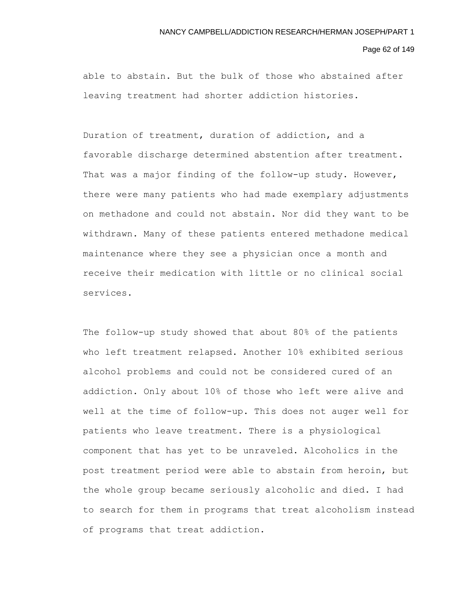### Page 62 of 149

able to abstain. But the bulk of those who abstained after leaving treatment had shorter addiction histories.

Duration of treatment, duration of addiction, and a favorable discharge determined abstention after treatment. That was a major finding of the follow-up study. However, there were many patients who had made exemplary adjustments on methadone and could not abstain. Nor did they want to be withdrawn. Many of these patients entered methadone medical maintenance where they see a physician once a month and receive their medication with little or no clinical social services.

The follow-up study showed that about 80% of the patients who left treatment relapsed. Another 10% exhibited serious alcohol problems and could not be considered cured of an addiction. Only about 10% of those who left were alive and well at the time of follow-up. This does not auger well for patients who leave treatment. There is a physiological component that has yet to be unraveled. Alcoholics in the post treatment period were able to abstain from heroin, but the whole group became seriously alcoholic and died. I had to search for them in programs that treat alcoholism instead of programs that treat addiction.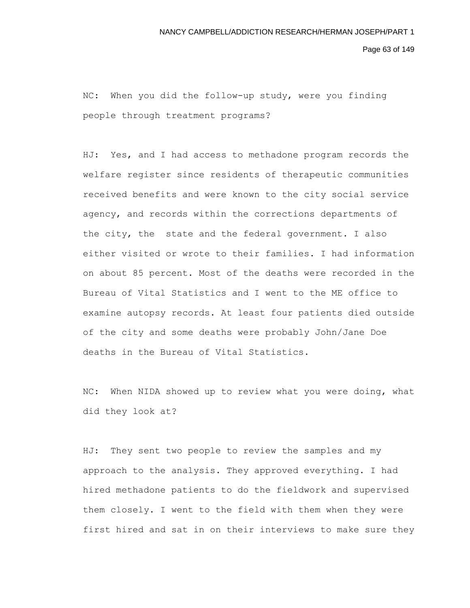Page 63 of 149

NC: When you did the follow-up study, were you finding people through treatment programs?

HJ: Yes, and I had access to methadone program records the welfare register since residents of therapeutic communities received benefits and were known to the city social service agency, and records within the corrections departments of the city, the state and the federal government. I also either visited or wrote to their families. I had information on about 85 percent. Most of the deaths were recorded in the Bureau of Vital Statistics and I went to the ME office to examine autopsy records. At least four patients died outside of the city and some deaths were probably John/Jane Doe deaths in the Bureau of Vital Statistics.

NC: When NIDA showed up to review what you were doing, what did they look at?

HJ: They sent two people to review the samples and my approach to the analysis. They approved everything. I had hired methadone patients to do the fieldwork and supervised them closely. I went to the field with them when they were first hired and sat in on their interviews to make sure they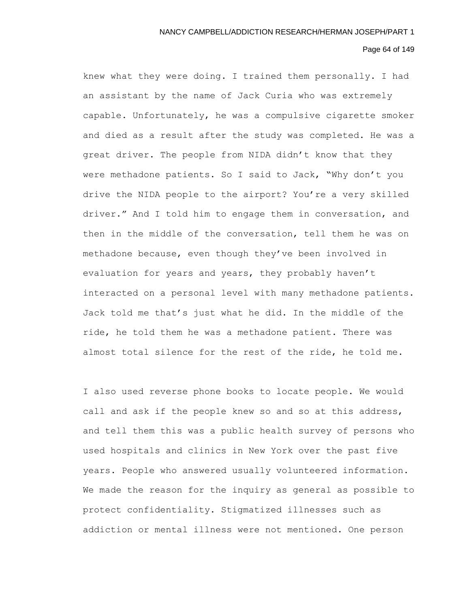## Page 64 of 149

knew what they were doing. I trained them personally. I had an assistant by the name of Jack Curia who was extremely capable. Unfortunately, he was a compulsive cigarette smoker and died as a result after the study was completed. He was a great driver. The people from NIDA didn't know that they were methadone patients. So I said to Jack, "Why don't you drive the NIDA people to the airport? You're a very skilled driver." And I told him to engage them in conversation, and then in the middle of the conversation, tell them he was on methadone because, even though they've been involved in evaluation for years and years, they probably haven't interacted on a personal level with many methadone patients. Jack told me that's just what he did. In the middle of the ride, he told them he was a methadone patient. There was almost total silence for the rest of the ride, he told me.

I also used reverse phone books to locate people. We would call and ask if the people knew so and so at this address, and tell them this was a public health survey of persons who used hospitals and clinics in New York over the past five years. People who answered usually volunteered information. We made the reason for the inquiry as general as possible to protect confidentiality. Stigmatized illnesses such as addiction or mental illness were not mentioned. One person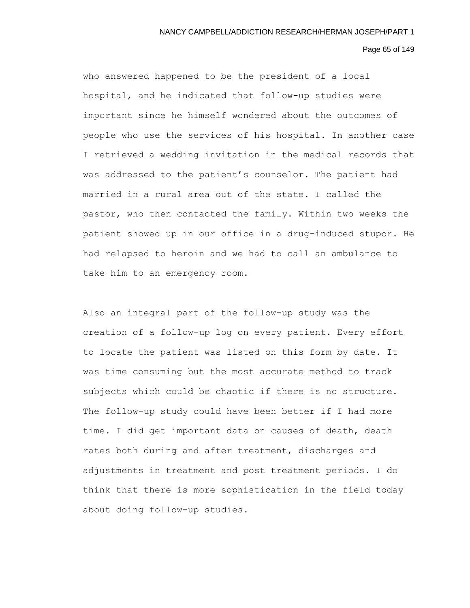### Page 65 of 149

who answered happened to be the president of a local hospital, and he indicated that follow-up studies were important since he himself wondered about the outcomes of people who use the services of his hospital. In another case I retrieved a wedding invitation in the medical records that was addressed to the patient's counselor. The patient had married in a rural area out of the state. I called the pastor, who then contacted the family. Within two weeks the patient showed up in our office in a drug-induced stupor. He had relapsed to heroin and we had to call an ambulance to take him to an emergency room.

Also an integral part of the follow-up study was the creation of a follow-up log on every patient. Every effort to locate the patient was listed on this form by date. It was time consuming but the most accurate method to track subjects which could be chaotic if there is no structure. The follow-up study could have been better if I had more time. I did get important data on causes of death, death rates both during and after treatment, discharges and adjustments in treatment and post treatment periods. I do think that there is more sophistication in the field today about doing follow-up studies.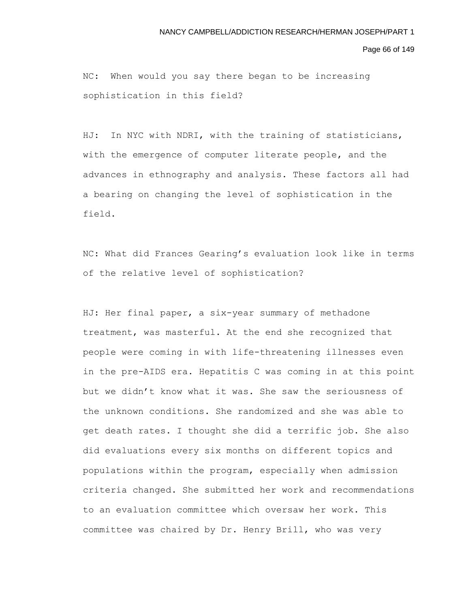Page 66 of 149

NC: When would you say there began to be increasing sophistication in this field?

HJ: In NYC with NDRI, with the training of statisticians, with the emergence of computer literate people, and the advances in ethnography and analysis. These factors all had a bearing on changing the level of sophistication in the field.

NC: What did Frances Gearing's evaluation look like in terms of the relative level of sophistication?

HJ: Her final paper, a six-year summary of methadone treatment, was masterful. At the end she recognized that people were coming in with life-threatening illnesses even in the pre-AIDS era. Hepatitis C was coming in at this point but we didn't know what it was. She saw the seriousness of the unknown conditions. She randomized and she was able to get death rates. I thought she did a terrific job. She also did evaluations every six months on different topics and populations within the program, especially when admission criteria changed. She submitted her work and recommendations to an evaluation committee which oversaw her work. This committee was chaired by Dr. Henry Brill, who was very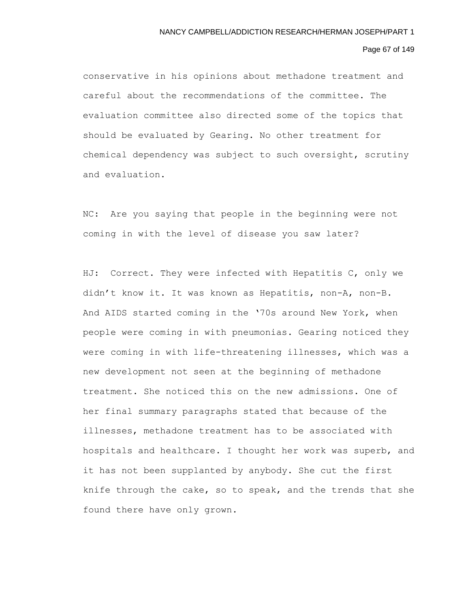## Page 67 of 149

conservative in his opinions about methadone treatment and careful about the recommendations of the committee. The evaluation committee also directed some of the topics that should be evaluated by Gearing. No other treatment for chemical dependency was subject to such oversight, scrutiny and evaluation.

NC: Are you saying that people in the beginning were not coming in with the level of disease you saw later?

HJ: Correct. They were infected with Hepatitis C, only we didn't know it. It was known as Hepatitis, non-A, non-B. And AIDS started coming in the '70s around New York, when people were coming in with pneumonias. Gearing noticed they were coming in with life-threatening illnesses, which was a new development not seen at the beginning of methadone treatment. She noticed this on the new admissions. One of her final summary paragraphs stated that because of the illnesses, methadone treatment has to be associated with hospitals and healthcare. I thought her work was superb, and it has not been supplanted by anybody. She cut the first knife through the cake, so to speak, and the trends that she found there have only grown.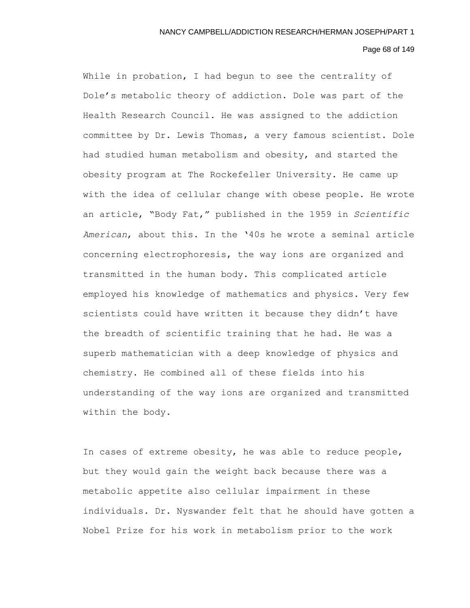# Page 68 of 149

While in probation, I had begun to see the centrality of Dole's metabolic theory of addiction. Dole was part of the Health Research Council. He was assigned to the addiction committee by Dr. Lewis Thomas, a very famous scientist. Dole had studied human metabolism and obesity, and started the obesity program at The Rockefeller University. He came up with the idea of cellular change with obese people. He wrote an article, "Body Fat," published in the 1959 in *Scientific American*, about this. In the '40s he wrote a seminal article concerning electrophoresis, the way ions are organized and transmitted in the human body. This complicated article employed his knowledge of mathematics and physics. Very few scientists could have written it because they didn't have the breadth of scientific training that he had. He was a superb mathematician with a deep knowledge of physics and chemistry. He combined all of these fields into his understanding of the way ions are organized and transmitted within the body.

In cases of extreme obesity, he was able to reduce people, but they would gain the weight back because there was a metabolic appetite also cellular impairment in these individuals. Dr. Nyswander felt that he should have gotten a Nobel Prize for his work in metabolism prior to the work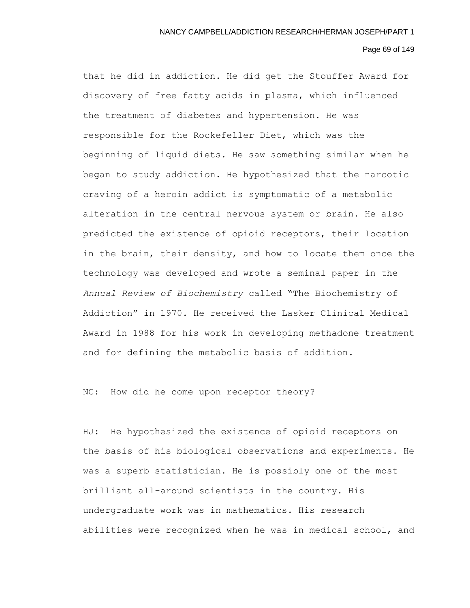# Page 69 of 149

that he did in addiction. He did get the Stouffer Award for discovery of free fatty acids in plasma, which influenced the treatment of diabetes and hypertension. He was responsible for the Rockefeller Diet, which was the beginning of liquid diets. He saw something similar when he began to study addiction. He hypothesized that the narcotic craving of a heroin addict is symptomatic of a metabolic alteration in the central nervous system or brain. He also predicted the existence of opioid receptors, their location in the brain, their density, and how to locate them once the technology was developed and wrote a seminal paper in the *Annual Review of Biochemistry* called "The Biochemistry of Addiction" in 1970. He received the Lasker Clinical Medical Award in 1988 for his work in developing methadone treatment and for defining the metabolic basis of addition.

NC: How did he come upon receptor theory?

HJ: He hypothesized the existence of opioid receptors on the basis of his biological observations and experiments. He was a superb statistician. He is possibly one of the most brilliant all-around scientists in the country. His undergraduate work was in mathematics. His research abilities were recognized when he was in medical school, and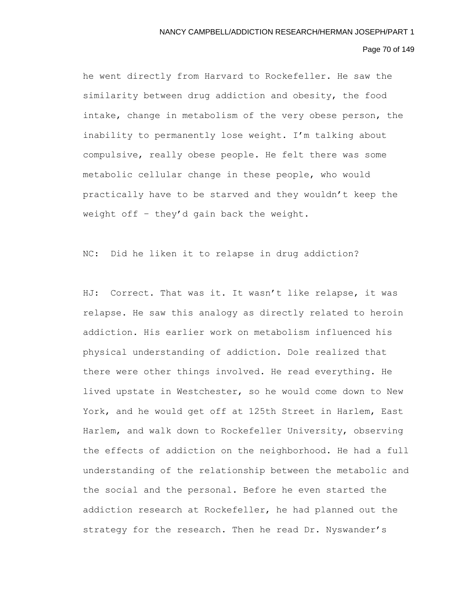## Page 70 of 149

he went directly from Harvard to Rockefeller. He saw the similarity between drug addiction and obesity, the food intake, change in metabolism of the very obese person, the inability to permanently lose weight. I'm talking about compulsive, really obese people. He felt there was some metabolic cellular change in these people, who would practically have to be starved and they wouldn't keep the weight off – they'd gain back the weight.

NC: Did he liken it to relapse in drug addiction?

HJ: Correct. That was it. It wasn't like relapse, it was relapse. He saw this analogy as directly related to heroin addiction. His earlier work on metabolism influenced his physical understanding of addiction. Dole realized that there were other things involved. He read everything. He lived upstate in Westchester, so he would come down to New York, and he would get off at 125th Street in Harlem, East Harlem, and walk down to Rockefeller University, observing the effects of addiction on the neighborhood. He had a full understanding of the relationship between the metabolic and the social and the personal. Before he even started the addiction research at Rockefeller, he had planned out the strategy for the research. Then he read Dr. Nyswander's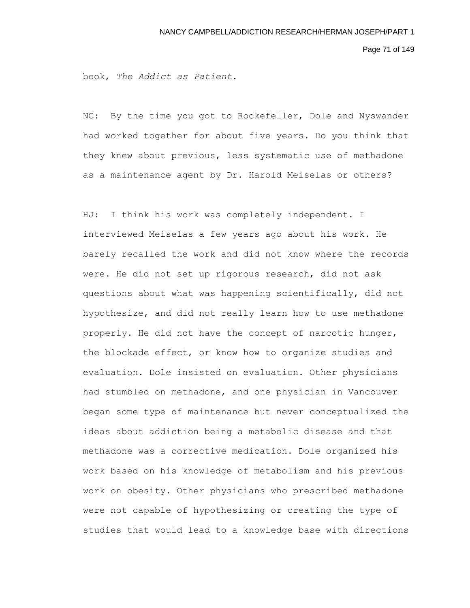Page 71 of 149

book, *The Addict as Patient*.

NC: By the time you got to Rockefeller, Dole and Nyswander had worked together for about five years. Do you think that they knew about previous, less systematic use of methadone as a maintenance agent by Dr. Harold Meiselas or others?

HJ: I think his work was completely independent. I interviewed Meiselas a few years ago about his work. He barely recalled the work and did not know where the records were. He did not set up rigorous research, did not ask questions about what was happening scientifically, did not hypothesize, and did not really learn how to use methadone properly. He did not have the concept of narcotic hunger, the blockade effect, or know how to organize studies and evaluation. Dole insisted on evaluation. Other physicians had stumbled on methadone, and one physician in Vancouver began some type of maintenance but never conceptualized the ideas about addiction being a metabolic disease and that methadone was a corrective medication. Dole organized his work based on his knowledge of metabolism and his previous work on obesity. Other physicians who prescribed methadone were not capable of hypothesizing or creating the type of studies that would lead to a knowledge base with directions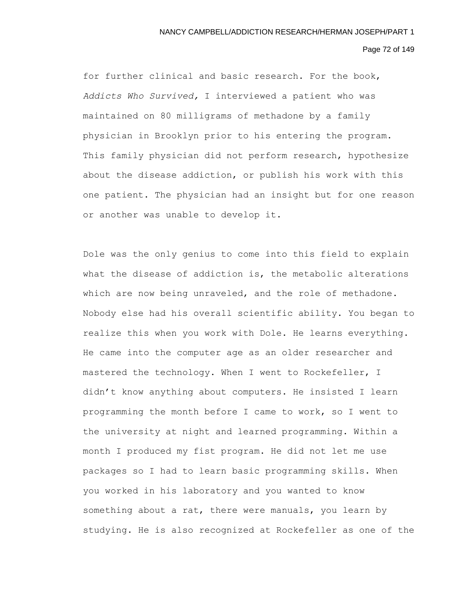## Page 72 of 149

for further clinical and basic research. For the book, *Addicts Who Survived,* I interviewed a patient who was maintained on 80 milligrams of methadone by a family physician in Brooklyn prior to his entering the program. This family physician did not perform research, hypothesize about the disease addiction, or publish his work with this one patient. The physician had an insight but for one reason or another was unable to develop it.

Dole was the only genius to come into this field to explain what the disease of addiction is, the metabolic alterations which are now being unraveled, and the role of methadone. Nobody else had his overall scientific ability. You began to realize this when you work with Dole. He learns everything. He came into the computer age as an older researcher and mastered the technology. When I went to Rockefeller, I didn't know anything about computers. He insisted I learn programming the month before I came to work, so I went to the university at night and learned programming. Within a month I produced my fist program. He did not let me use packages so I had to learn basic programming skills. When you worked in his laboratory and you wanted to know something about a rat, there were manuals, you learn by studying. He is also recognized at Rockefeller as one of the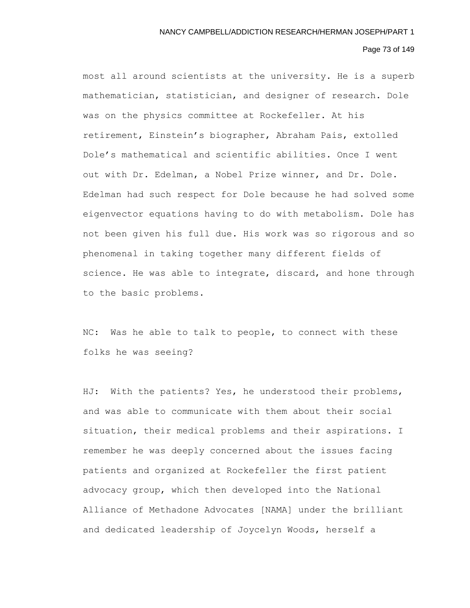# Page 73 of 149

most all around scientists at the university. He is a superb mathematician, statistician, and designer of research. Dole was on the physics committee at Rockefeller. At his retirement, Einstein's biographer, Abraham Pais, extolled Dole's mathematical and scientific abilities. Once I went out with Dr. Edelman, a Nobel Prize winner, and Dr. Dole. Edelman had such respect for Dole because he had solved some eigenvector equations having to do with metabolism. Dole has not been given his full due. His work was so rigorous and so phenomenal in taking together many different fields of science. He was able to integrate, discard, and hone through to the basic problems.

NC: Was he able to talk to people, to connect with these folks he was seeing?

HJ: With the patients? Yes, he understood their problems, and was able to communicate with them about their social situation, their medical problems and their aspirations. I remember he was deeply concerned about the issues facing patients and organized at Rockefeller the first patient advocacy group, which then developed into the National Alliance of Methadone Advocates [NAMA] under the brilliant and dedicated leadership of Joycelyn Woods, herself a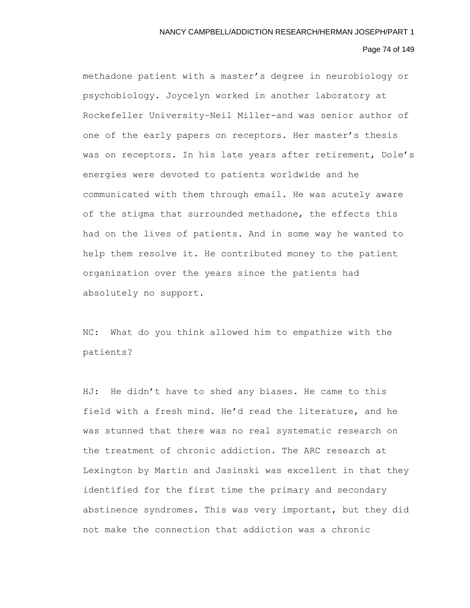# Page 74 of 149

methadone patient with a master's degree in neurobiology or psychobiology. Joycelyn worked in another laboratory at Rockefeller University–Neil Miller-and was senior author of one of the early papers on receptors. Her master's thesis was on receptors. In his late years after retirement, Dole's energies were devoted to patients worldwide and he communicated with them through email. He was acutely aware of the stigma that surrounded methadone, the effects this had on the lives of patients. And in some way he wanted to help them resolve it. He contributed money to the patient organization over the years since the patients had absolutely no support.

NC: What do you think allowed him to empathize with the patients?

HJ: He didn't have to shed any biases. He came to this field with a fresh mind. He'd read the literature, and he was stunned that there was no real systematic research on the treatment of chronic addiction. The ARC research at Lexington by Martin and Jasinski was excellent in that they identified for the first time the primary and secondary abstinence syndromes. This was very important, but they did not make the connection that addiction was a chronic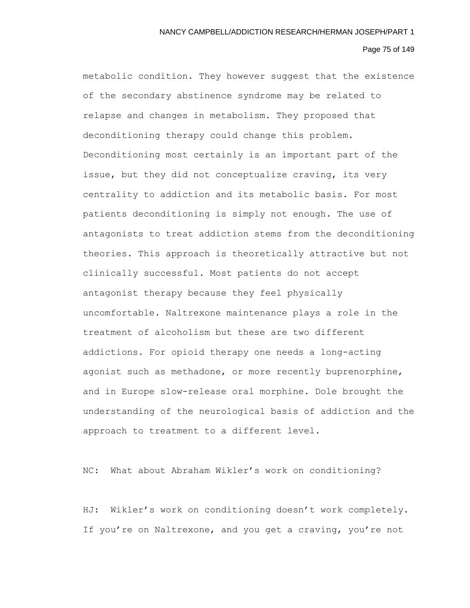# Page 75 of 149

metabolic condition. They however suggest that the existence of the secondary abstinence syndrome may be related to relapse and changes in metabolism. They proposed that deconditioning therapy could change this problem. Deconditioning most certainly is an important part of the issue, but they did not conceptualize craving, its very centrality to addiction and its metabolic basis. For most patients deconditioning is simply not enough. The use of antagonists to treat addiction stems from the deconditioning theories. This approach is theoretically attractive but not clinically successful. Most patients do not accept antagonist therapy because they feel physically uncomfortable. Naltrexone maintenance plays a role in the treatment of alcoholism but these are two different addictions. For opioid therapy one needs a long-acting agonist such as methadone, or more recently buprenorphine, and in Europe slow-release oral morphine. Dole brought the understanding of the neurological basis of addiction and the approach to treatment to a different level.

NC: What about Abraham Wikler's work on conditioning?

HJ: Wikler's work on conditioning doesn't work completely. If you're on Naltrexone, and you get a craving, you're not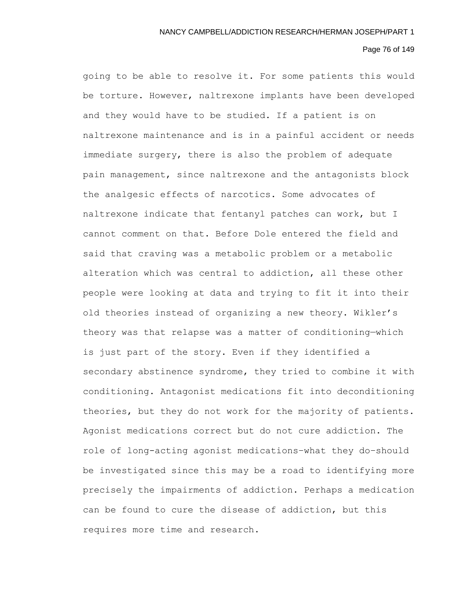# Page 76 of 149

going to be able to resolve it. For some patients this would be torture. However, naltrexone implants have been developed and they would have to be studied. If a patient is on naltrexone maintenance and is in a painful accident or needs immediate surgery, there is also the problem of adequate pain management, since naltrexone and the antagonists block the analgesic effects of narcotics. Some advocates of naltrexone indicate that fentanyl patches can work, but I cannot comment on that. Before Dole entered the field and said that craving was a metabolic problem or a metabolic alteration which was central to addiction, all these other people were looking at data and trying to fit it into their old theories instead of organizing a new theory. Wikler's theory was that relapse was a matter of conditioning—which is just part of the story. Even if they identified a secondary abstinence syndrome, they tried to combine it with conditioning. Antagonist medications fit into deconditioning theories, but they do not work for the majority of patients. Agonist medications correct but do not cure addiction. The role of long-acting agonist medications–what they do–should be investigated since this may be a road to identifying more precisely the impairments of addiction. Perhaps a medication can be found to cure the disease of addiction, but this requires more time and research.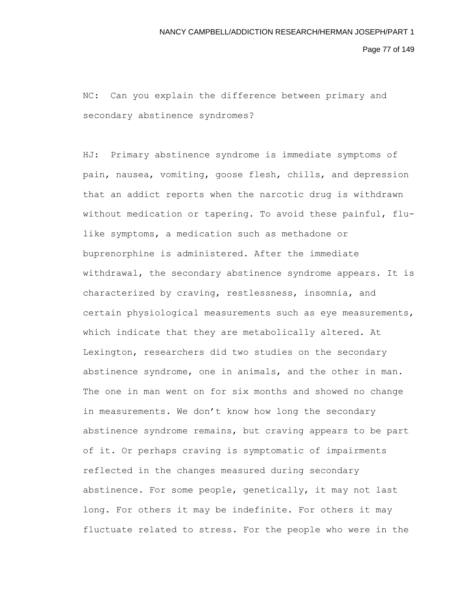Page 77 of 149

NC: Can you explain the difference between primary and secondary abstinence syndromes?

HJ: Primary abstinence syndrome is immediate symptoms of pain, nausea, vomiting, goose flesh, chills, and depression that an addict reports when the narcotic drug is withdrawn without medication or tapering. To avoid these painful, flulike symptoms, a medication such as methadone or buprenorphine is administered. After the immediate withdrawal, the secondary abstinence syndrome appears. It is characterized by craving, restlessness, insomnia, and certain physiological measurements such as eye measurements, which indicate that they are metabolically altered. At Lexington, researchers did two studies on the secondary abstinence syndrome, one in animals, and the other in man. The one in man went on for six months and showed no change in measurements. We don't know how long the secondary abstinence syndrome remains, but craving appears to be part of it. Or perhaps craving is symptomatic of impairments reflected in the changes measured during secondary abstinence. For some people, genetically, it may not last long. For others it may be indefinite. For others it may fluctuate related to stress. For the people who were in the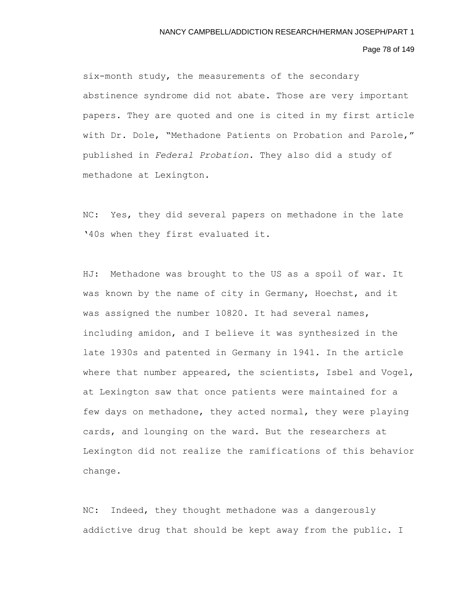# Page 78 of 149

six-month study, the measurements of the secondary abstinence syndrome did not abate. Those are very important papers. They are quoted and one is cited in my first article with Dr. Dole, "Methadone Patients on Probation and Parole," published in *Federal Probation*. They also did a study of methadone at Lexington.

NC: Yes, they did several papers on methadone in the late '40s when they first evaluated it.

HJ: Methadone was brought to the US as a spoil of war. It was known by the name of city in Germany, Hoechst, and it was assigned the number 10820. It had several names, including amidon, and I believe it was synthesized in the late 1930s and patented in Germany in 1941. In the article where that number appeared, the scientists, Isbel and Vogel, at Lexington saw that once patients were maintained for a few days on methadone, they acted normal, they were playing cards, and lounging on the ward. But the researchers at Lexington did not realize the ramifications of this behavior change.

NC: Indeed, they thought methadone was a dangerously addictive drug that should be kept away from the public. I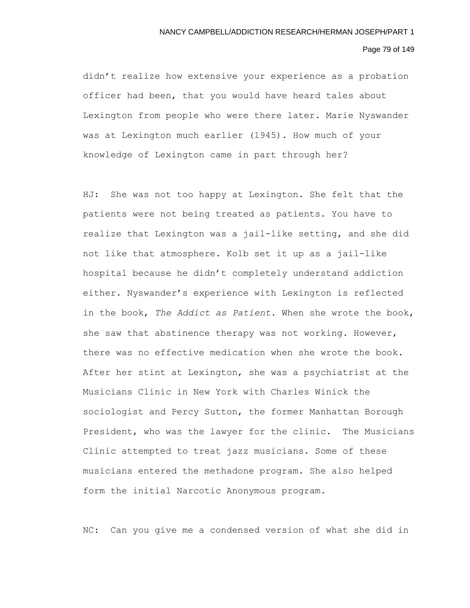# Page 79 of 149

didn't realize how extensive your experience as a probation officer had been, that you would have heard tales about Lexington from people who were there later. Marie Nyswander was at Lexington much earlier (1945). How much of your knowledge of Lexington came in part through her?

HJ: She was not too happy at Lexington. She felt that the patients were not being treated as patients. You have to realize that Lexington was a jail-like setting, and she did not like that atmosphere. Kolb set it up as a jail-like hospital because he didn't completely understand addiction either. Nyswander's experience with Lexington is reflected in the book, *The Addict as Patient*. When she wrote the book, she saw that abstinence therapy was not working. However, there was no effective medication when she wrote the book. After her stint at Lexington, she was a psychiatrist at the Musicians Clinic in New York with Charles Winick the sociologist and Percy Sutton, the former Manhattan Borough President, who was the lawyer for the clinic. The Musicians Clinic attempted to treat jazz musicians. Some of these musicians entered the methadone program. She also helped form the initial Narcotic Anonymous program.

NC: Can you give me a condensed version of what she did in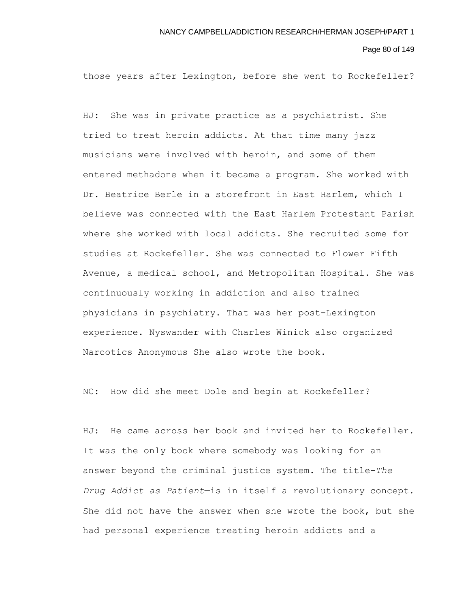Page 80 of 149

those years after Lexington, before she went to Rockefeller?

HJ: She was in private practice as a psychiatrist. She tried to treat heroin addicts. At that time many jazz musicians were involved with heroin, and some of them entered methadone when it became a program. She worked with Dr. Beatrice Berle in a storefront in East Harlem, which I believe was connected with the East Harlem Protestant Parish where she worked with local addicts. She recruited some for studies at Rockefeller. She was connected to Flower Fifth Avenue, a medical school, and Metropolitan Hospital. She was continuously working in addiction and also trained physicians in psychiatry. That was her post-Lexington experience. Nyswander with Charles Winick also organized Narcotics Anonymous She also wrote the book.

NC: How did she meet Dole and begin at Rockefeller?

HJ: He came across her book and invited her to Rockefeller. It was the only book where somebody was looking for an answer beyond the criminal justice system. The title-*The Drug Addict as Patient*—is in itself a revolutionary concept. She did not have the answer when she wrote the book, but she had personal experience treating heroin addicts and a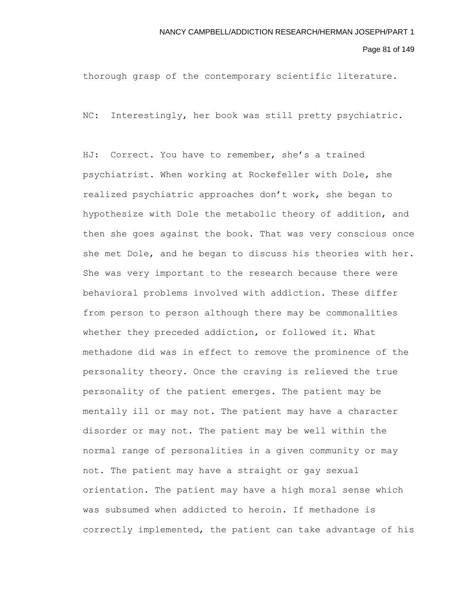Page 81 of 149

thorough grasp of the contemporary scientific literature.

NC: Interestingly, her book was still pretty psychiatric.

HJ: Correct. You have to remember, she's a trained psychiatrist. When working at Rockefeller with Dole, she realized psychiatric approaches don't work, she began to hypothesize with Dole the metabolic theory of addition, and then she goes against the book. That was very conscious once she met Dole, and he began to discuss his theories with her. She was very important to the research because there were behavioral problems involved with addiction. These differ from person to person although there may be commonalities whether they preceded addiction, or followed it. What methadone did was in effect to remove the prominence of the personality theory. Once the craving is relieved the true personality of the patient emerges. The patient may be mentally ill or may not. The patient may have a character disorder or may not. The patient may be well within the normal range of personalities in a given community or may not. The patient may have a straight or gay sexual orientation. The patient may have a high moral sense which was subsumed when addicted to heroin. If methadone is correctly implemented, the patient can take advantage of his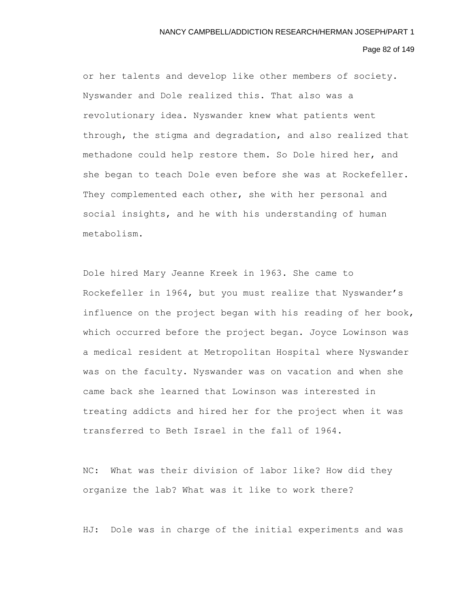#### Page 82 of 149

or her talents and develop like other members of society. Nyswander and Dole realized this. That also was a revolutionary idea. Nyswander knew what patients went through, the stigma and degradation, and also realized that methadone could help restore them. So Dole hired her, and she began to teach Dole even before she was at Rockefeller. They complemented each other, she with her personal and social insights, and he with his understanding of human metabolism.

Dole hired Mary Jeanne Kreek in 1963. She came to Rockefeller in 1964, but you must realize that Nyswander's influence on the project began with his reading of her book, which occurred before the project began. Joyce Lowinson was a medical resident at Metropolitan Hospital where Nyswander was on the faculty. Nyswander was on vacation and when she came back she learned that Lowinson was interested in treating addicts and hired her for the project when it was transferred to Beth Israel in the fall of 1964.

NC: What was their division of labor like? How did they organize the lab? What was it like to work there?

HJ: Dole was in charge of the initial experiments and was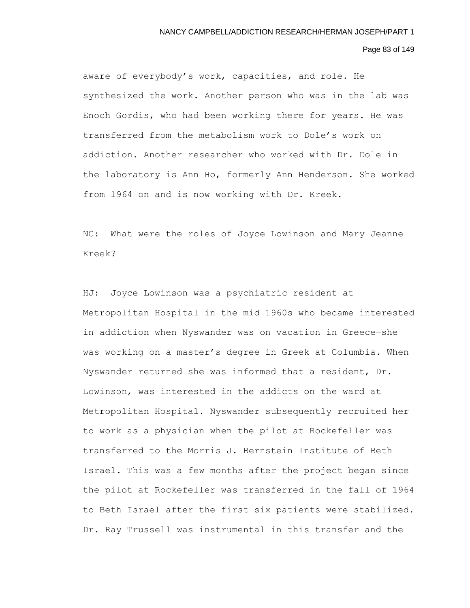# Page 83 of 149

aware of everybody's work, capacities, and role. He synthesized the work. Another person who was in the lab was Enoch Gordis, who had been working there for years. He was transferred from the metabolism work to Dole's work on addiction. Another researcher who worked with Dr. Dole in the laboratory is Ann Ho, formerly Ann Henderson. She worked from 1964 on and is now working with Dr. Kreek.

NC: What were the roles of Joyce Lowinson and Mary Jeanne Kreek?

HJ: Joyce Lowinson was a psychiatric resident at Metropolitan Hospital in the mid 1960s who became interested in addiction when Nyswander was on vacation in Greece—she was working on a master's degree in Greek at Columbia. When Nyswander returned she was informed that a resident, Dr. Lowinson, was interested in the addicts on the ward at Metropolitan Hospital. Nyswander subsequently recruited her to work as a physician when the pilot at Rockefeller was transferred to the Morris J. Bernstein Institute of Beth Israel. This was a few months after the project began since the pilot at Rockefeller was transferred in the fall of 1964 to Beth Israel after the first six patients were stabilized. Dr. Ray Trussell was instrumental in this transfer and the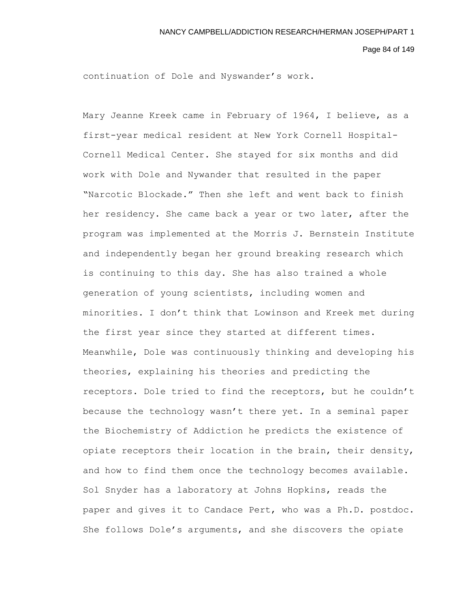Page 84 of 149

continuation of Dole and Nyswander's work.

Mary Jeanne Kreek came in February of 1964, I believe, as a first-year medical resident at New York Cornell Hospital-Cornell Medical Center. She stayed for six months and did work with Dole and Nywander that resulted in the paper "Narcotic Blockade." Then she left and went back to finish her residency. She came back a year or two later, after the program was implemented at the Morris J. Bernstein Institute and independently began her ground breaking research which is continuing to this day. She has also trained a whole generation of young scientists, including women and minorities. I don't think that Lowinson and Kreek met during the first year since they started at different times. Meanwhile, Dole was continuously thinking and developing his theories, explaining his theories and predicting the receptors. Dole tried to find the receptors, but he couldn't because the technology wasn't there yet. In a seminal paper the Biochemistry of Addiction he predicts the existence of opiate receptors their location in the brain, their density, and how to find them once the technology becomes available. Sol Snyder has a laboratory at Johns Hopkins, reads the paper and gives it to Candace Pert, who was a Ph.D. postdoc. She follows Dole's arguments, and she discovers the opiate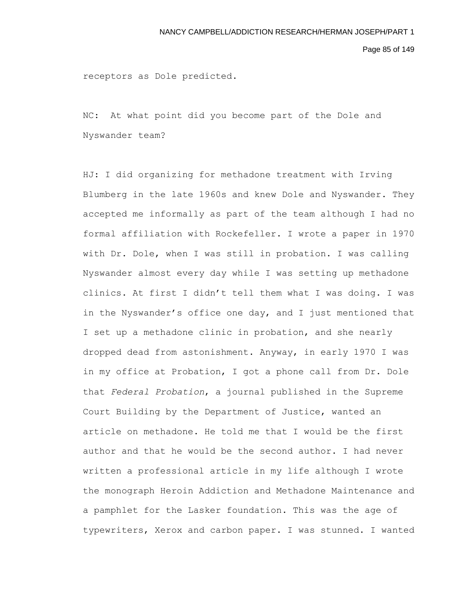Page 85 of 149

receptors as Dole predicted.

NC: At what point did you become part of the Dole and Nyswander team?

HJ: I did organizing for methadone treatment with Irving Blumberg in the late 1960s and knew Dole and Nyswander. They accepted me informally as part of the team although I had no formal affiliation with Rockefeller. I wrote a paper in 1970 with Dr. Dole, when I was still in probation. I was calling Nyswander almost every day while I was setting up methadone clinics. At first I didn't tell them what I was doing. I was in the Nyswander's office one day, and I just mentioned that I set up a methadone clinic in probation, and she nearly dropped dead from astonishment. Anyway, in early 1970 I was in my office at Probation, I got a phone call from Dr. Dole that *Federal Probation*, a journal published in the Supreme Court Building by the Department of Justice, wanted an article on methadone. He told me that I would be the first author and that he would be the second author. I had never written a professional article in my life although I wrote the monograph Heroin Addiction and Methadone Maintenance and a pamphlet for the Lasker foundation. This was the age of typewriters, Xerox and carbon paper. I was stunned. I wanted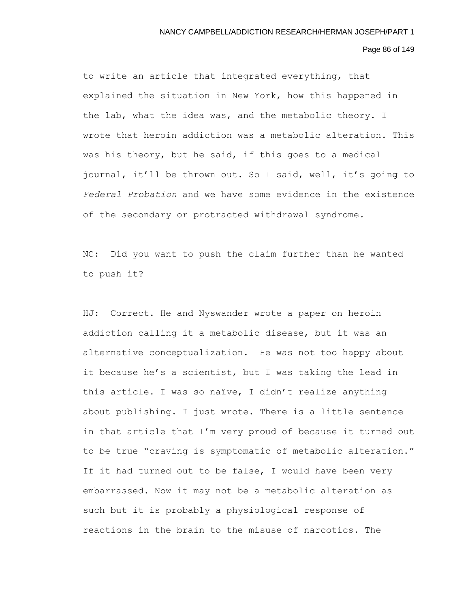### Page 86 of 149

to write an article that integrated everything, that explained the situation in New York, how this happened in the lab, what the idea was, and the metabolic theory. I wrote that heroin addiction was a metabolic alteration. This was his theory, but he said, if this goes to a medical journal, it'll be thrown out. So I said, well, it's going to *Federal Probation* and we have some evidence in the existence of the secondary or protracted withdrawal syndrome.

NC: Did you want to push the claim further than he wanted to push it?

HJ: Correct. He and Nyswander wrote a paper on heroin addiction calling it a metabolic disease, but it was an alternative conceptualization. He was not too happy about it because he's a scientist, but I was taking the lead in this article. I was so naïve, I didn't realize anything about publishing. I just wrote. There is a little sentence in that article that I'm very proud of because it turned out to be true–"craving is symptomatic of metabolic alteration." If it had turned out to be false, I would have been very embarrassed. Now it may not be a metabolic alteration as such but it is probably a physiological response of reactions in the brain to the misuse of narcotics. The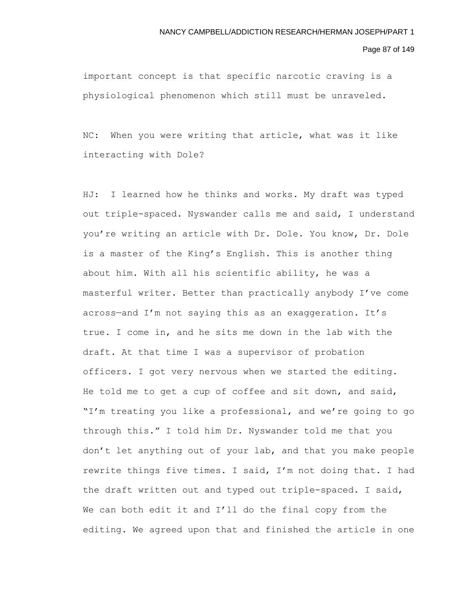Page 87 of 149

important concept is that specific narcotic craving is a physiological phenomenon which still must be unraveled.

NC: When you were writing that article, what was it like interacting with Dole?

HJ: I learned how he thinks and works. My draft was typed out triple-spaced. Nyswander calls me and said, I understand you're writing an article with Dr. Dole. You know, Dr. Dole is a master of the King's English. This is another thing about him. With all his scientific ability, he was a masterful writer. Better than practically anybody I've come across—and I'm not saying this as an exaggeration. It's true. I come in, and he sits me down in the lab with the draft. At that time I was a supervisor of probation officers. I got very nervous when we started the editing. He told me to get a cup of coffee and sit down, and said, "I'm treating you like a professional, and we're going to go through this." I told him Dr. Nyswander told me that you don't let anything out of your lab, and that you make people rewrite things five times. I said, I'm not doing that. I had the draft written out and typed out triple-spaced. I said, We can both edit it and I'll do the final copy from the editing. We agreed upon that and finished the article in one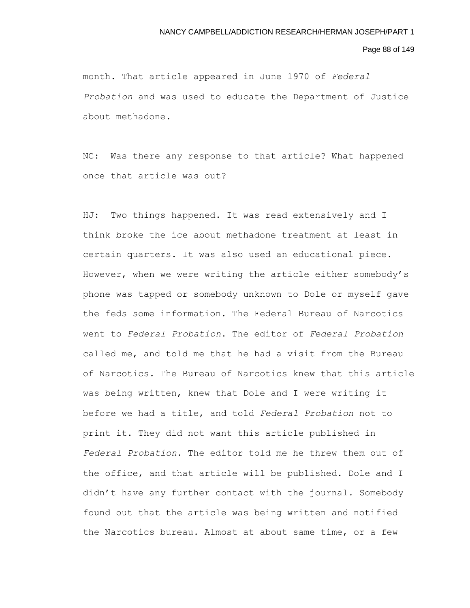### Page 88 of 149

month. That article appeared in June 1970 of *Federal Probation* and was used to educate the Department of Justice about methadone.

NC: Was there any response to that article? What happened once that article was out?

HJ: Two things happened. It was read extensively and I think broke the ice about methadone treatment at least in certain quarters. It was also used an educational piece. However, when we were writing the article either somebody's phone was tapped or somebody unknown to Dole or myself gave the feds some information. The Federal Bureau of Narcotics went to *Federal Probation*. The editor of *Federal Probation* called me, and told me that he had a visit from the Bureau of Narcotics. The Bureau of Narcotics knew that this article was being written, knew that Dole and I were writing it before we had a title, and told *Federal Probation* not to print it. They did not want this article published in *Federal Probation*. The editor told me he threw them out of the office, and that article will be published. Dole and I didn't have any further contact with the journal. Somebody found out that the article was being written and notified the Narcotics bureau. Almost at about same time, or a few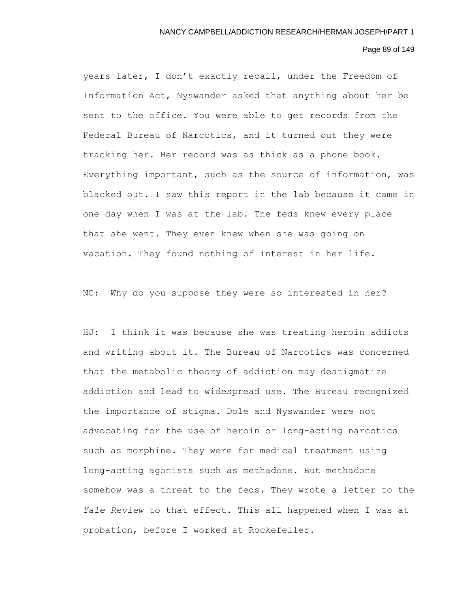# Page 89 of 149

years later, I don't exactly recall, under the Freedom of Information Act, Nyswander asked that anything about her be sent to the office. You were able to get records from the Federal Bureau of Narcotics, and it turned out they were tracking her. Her record was as thick as a phone book. Everything important, such as the source of information, was blacked out. I saw this report in the lab because it came in one day when I was at the lab. The feds knew every place that she went. They even knew when she was going on vacation. They found nothing of interest in her life.

NC: Why do you suppose they were so interested in her?

HJ: I think it was because she was treating heroin addicts and writing about it. The Bureau of Narcotics was concerned that the metabolic theory of addiction may destigmatize addiction and lead to widespread use. The Bureau recognized the importance of stigma. Dole and Nyswander were not advocating for the use of heroin or long-acting narcotics such as morphine. They were for medical treatment using long-acting agonists such as methadone. But methadone somehow was a threat to the feds. They wrote a letter to the *Yale Review* to that effect. This all happened when I was at probation, before I worked at Rockefeller.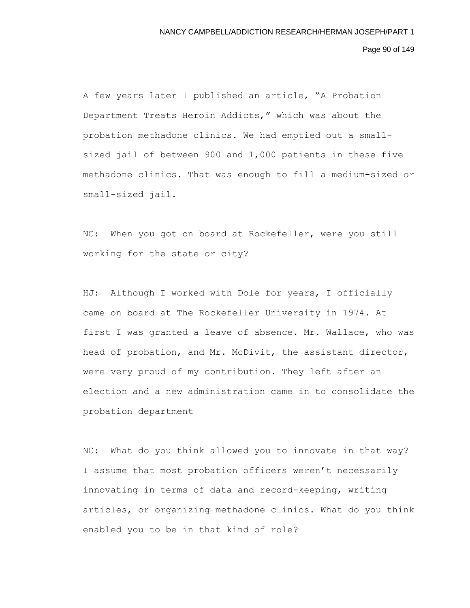# Page 90 of 149

A few years later I published an article, "A Probation Department Treats Heroin Addicts," which was about the probation methadone clinics. We had emptied out a smallsized jail of between 900 and 1,000 patients in these five methadone clinics. That was enough to fill a medium-sized or small-sized jail.

NC: When you got on board at Rockefeller, were you still working for the state or city?

HJ: Although I worked with Dole for years, I officially came on board at The Rockefeller University in 1974. At first I was granted a leave of absence. Mr. Wallace, who was head of probation, and Mr. McDivit, the assistant director, were very proud of my contribution. They left after an election and a new administration came in to consolidate the probation department

NC: What do you think allowed you to innovate in that way? I assume that most probation officers weren't necessarily innovating in terms of data and record-keeping, writing articles, or organizing methadone clinics. What do you think enabled you to be in that kind of role?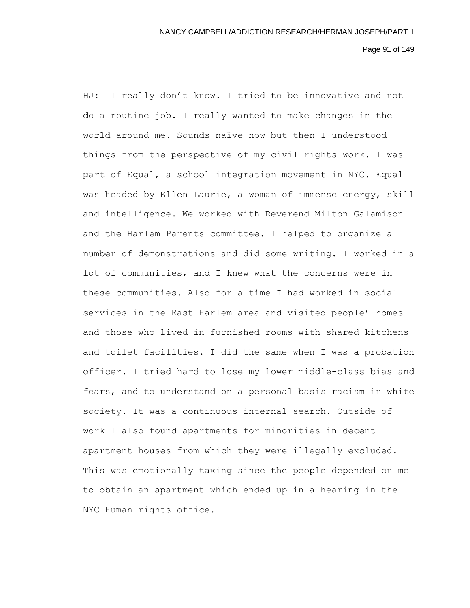# Page 91 of 149

HJ: I really don't know. I tried to be innovative and not do a routine job. I really wanted to make changes in the world around me. Sounds naïve now but then I understood things from the perspective of my civil rights work. I was part of Equal, a school integration movement in NYC. Equal was headed by Ellen Laurie, a woman of immense energy, skill and intelligence. We worked with Reverend Milton Galamison and the Harlem Parents committee. I helped to organize a number of demonstrations and did some writing. I worked in a lot of communities, and I knew what the concerns were in these communities. Also for a time I had worked in social services in the East Harlem area and visited people' homes and those who lived in furnished rooms with shared kitchens and toilet facilities. I did the same when I was a probation officer. I tried hard to lose my lower middle-class bias and fears, and to understand on a personal basis racism in white society. It was a continuous internal search. Outside of work I also found apartments for minorities in decent apartment houses from which they were illegally excluded. This was emotionally taxing since the people depended on me to obtain an apartment which ended up in a hearing in the NYC Human rights office.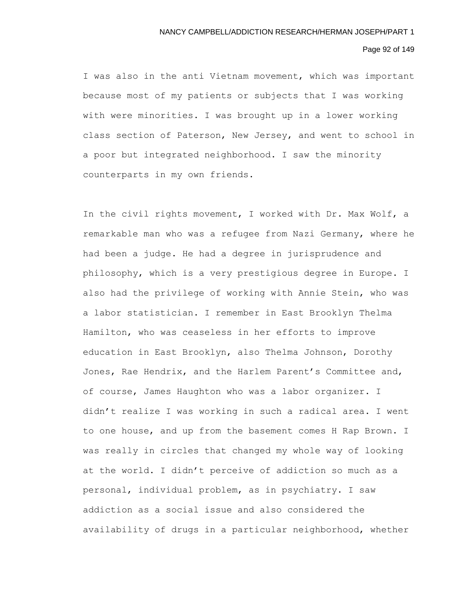# Page 92 of 149

I was also in the anti Vietnam movement, which was important because most of my patients or subjects that I was working with were minorities. I was brought up in a lower working class section of Paterson, New Jersey, and went to school in a poor but integrated neighborhood. I saw the minority counterparts in my own friends.

In the civil rights movement, I worked with Dr. Max Wolf, a remarkable man who was a refugee from Nazi Germany, where he had been a judge. He had a degree in jurisprudence and philosophy, which is a very prestigious degree in Europe. I also had the privilege of working with Annie Stein, who was a labor statistician. I remember in East Brooklyn Thelma Hamilton, who was ceaseless in her efforts to improve education in East Brooklyn, also Thelma Johnson, Dorothy Jones, Rae Hendrix, and the Harlem Parent's Committee and, of course, James Haughton who was a labor organizer. I didn't realize I was working in such a radical area. I went to one house, and up from the basement comes H Rap Brown. I was really in circles that changed my whole way of looking at the world. I didn't perceive of addiction so much as a personal, individual problem, as in psychiatry. I saw addiction as a social issue and also considered the availability of drugs in a particular neighborhood, whether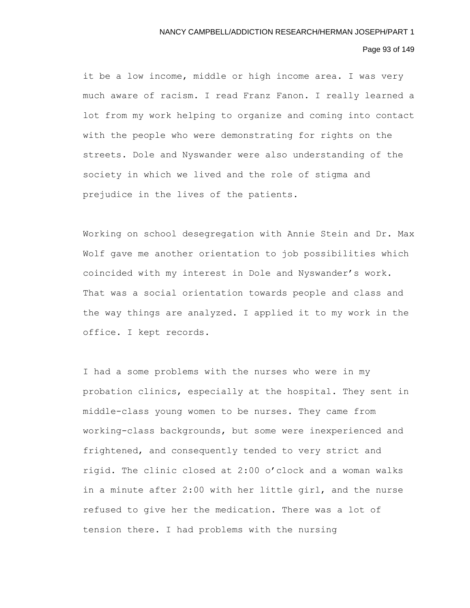# Page 93 of 149

it be a low income, middle or high income area. I was very much aware of racism. I read Franz Fanon. I really learned a lot from my work helping to organize and coming into contact with the people who were demonstrating for rights on the streets. Dole and Nyswander were also understanding of the society in which we lived and the role of stigma and prejudice in the lives of the patients.

Working on school desegregation with Annie Stein and Dr. Max Wolf gave me another orientation to job possibilities which coincided with my interest in Dole and Nyswander's work. That was a social orientation towards people and class and the way things are analyzed. I applied it to my work in the office. I kept records.

I had a some problems with the nurses who were in my probation clinics, especially at the hospital. They sent in middle-class young women to be nurses. They came from working-class backgrounds, but some were inexperienced and frightened, and consequently tended to very strict and rigid. The clinic closed at 2:00 o'clock and a woman walks in a minute after 2:00 with her little girl, and the nurse refused to give her the medication. There was a lot of tension there. I had problems with the nursing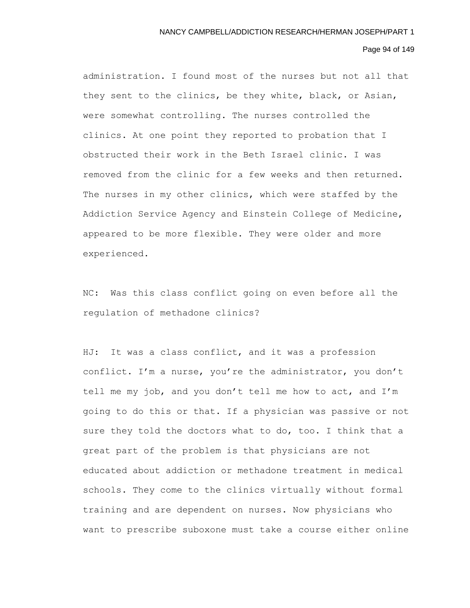# Page 94 of 149

administration. I found most of the nurses but not all that they sent to the clinics, be they white, black, or Asian, were somewhat controlling. The nurses controlled the clinics. At one point they reported to probation that I obstructed their work in the Beth Israel clinic. I was removed from the clinic for a few weeks and then returned. The nurses in my other clinics, which were staffed by the Addiction Service Agency and Einstein College of Medicine, appeared to be more flexible. They were older and more experienced.

NC: Was this class conflict going on even before all the regulation of methadone clinics?

HJ: It was a class conflict, and it was a profession conflict. I'm a nurse, you're the administrator, you don't tell me my job, and you don't tell me how to act, and I'm going to do this or that. If a physician was passive or not sure they told the doctors what to do, too. I think that a great part of the problem is that physicians are not educated about addiction or methadone treatment in medical schools. They come to the clinics virtually without formal training and are dependent on nurses. Now physicians who want to prescribe suboxone must take a course either online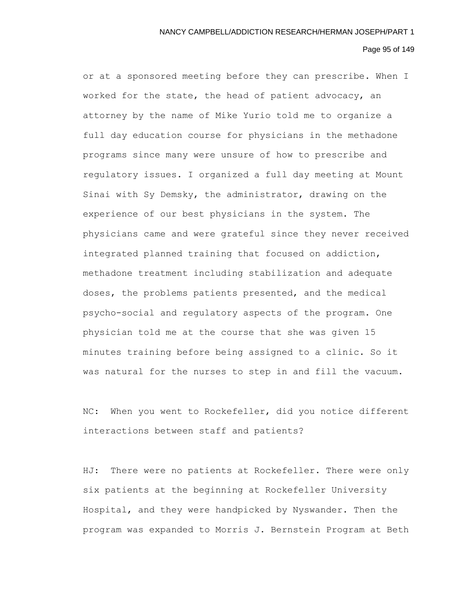#### Page 95 of 149

or at a sponsored meeting before they can prescribe. When I worked for the state, the head of patient advocacy, an attorney by the name of Mike Yurio told me to organize a full day education course for physicians in the methadone programs since many were unsure of how to prescribe and regulatory issues. I organized a full day meeting at Mount Sinai with Sy Demsky, the administrator, drawing on the experience of our best physicians in the system. The physicians came and were grateful since they never received integrated planned training that focused on addiction, methadone treatment including stabilization and adequate doses, the problems patients presented, and the medical psycho-social and regulatory aspects of the program. One physician told me at the course that she was given 15 minutes training before being assigned to a clinic. So it was natural for the nurses to step in and fill the vacuum.

NC: When you went to Rockefeller, did you notice different interactions between staff and patients?

HJ: There were no patients at Rockefeller. There were only six patients at the beginning at Rockefeller University Hospital, and they were handpicked by Nyswander. Then the program was expanded to Morris J. Bernstein Program at Beth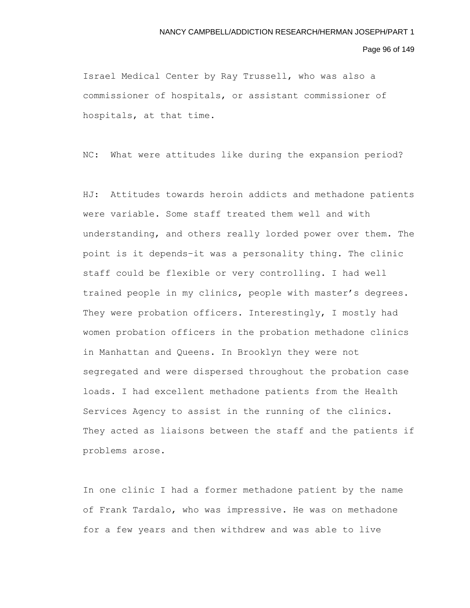Page 96 of 149

Israel Medical Center by Ray Trussell, who was also a commissioner of hospitals, or assistant commissioner of hospitals, at that time.

NC: What were attitudes like during the expansion period?

HJ: Attitudes towards heroin addicts and methadone patients were variable. Some staff treated them well and with understanding, and others really lorded power over them. The point is it depends–it was a personality thing. The clinic staff could be flexible or very controlling. I had well trained people in my clinics, people with master's degrees. They were probation officers. Interestingly, I mostly had women probation officers in the probation methadone clinics in Manhattan and Queens. In Brooklyn they were not segregated and were dispersed throughout the probation case loads. I had excellent methadone patients from the Health Services Agency to assist in the running of the clinics. They acted as liaisons between the staff and the patients if problems arose.

In one clinic I had a former methadone patient by the name of Frank Tardalo, who was impressive. He was on methadone for a few years and then withdrew and was able to live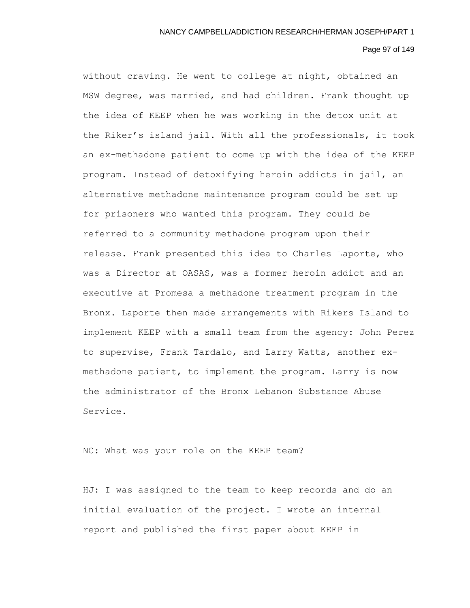# Page 97 of 149

without craving. He went to college at night, obtained an MSW degree, was married, and had children. Frank thought up the idea of KEEP when he was working in the detox unit at the Riker's island jail. With all the professionals, it took an ex-methadone patient to come up with the idea of the KEEP program. Instead of detoxifying heroin addicts in jail, an alternative methadone maintenance program could be set up for prisoners who wanted this program. They could be referred to a community methadone program upon their release. Frank presented this idea to Charles Laporte, who was a Director at OASAS, was a former heroin addict and an executive at Promesa a methadone treatment program in the Bronx. Laporte then made arrangements with Rikers Island to implement KEEP with a small team from the agency: John Perez to supervise, Frank Tardalo, and Larry Watts, another exmethadone patient, to implement the program. Larry is now the administrator of the Bronx Lebanon Substance Abuse Service.

NC: What was your role on the KEEP team?

HJ: I was assigned to the team to keep records and do an initial evaluation of the project. I wrote an internal report and published the first paper about KEEP in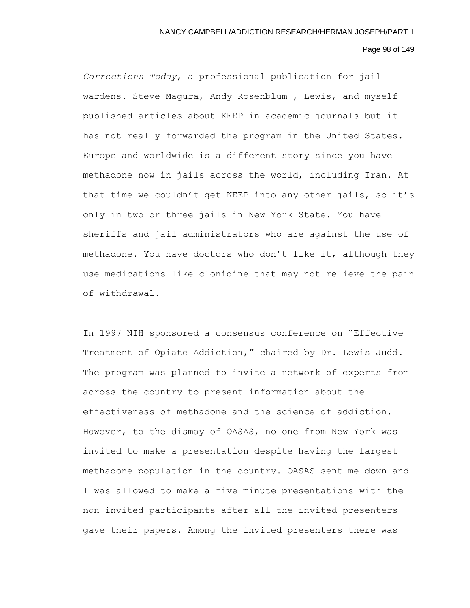# Page 98 of 149

*Corrections Today*, a professional publication for jail wardens. Steve Magura, Andy Rosenblum , Lewis, and myself published articles about KEEP in academic journals but it has not really forwarded the program in the United States. Europe and worldwide is a different story since you have methadone now in jails across the world, including Iran. At that time we couldn't get KEEP into any other jails, so it's only in two or three jails in New York State. You have sheriffs and jail administrators who are against the use of methadone. You have doctors who don't like it, although they use medications like clonidine that may not relieve the pain of withdrawal.

In 1997 NIH sponsored a consensus conference on "Effective Treatment of Opiate Addiction," chaired by Dr. Lewis Judd. The program was planned to invite a network of experts from across the country to present information about the effectiveness of methadone and the science of addiction. However, to the dismay of OASAS, no one from New York was invited to make a presentation despite having the largest methadone population in the country. OASAS sent me down and I was allowed to make a five minute presentations with the non invited participants after all the invited presenters gave their papers. Among the invited presenters there was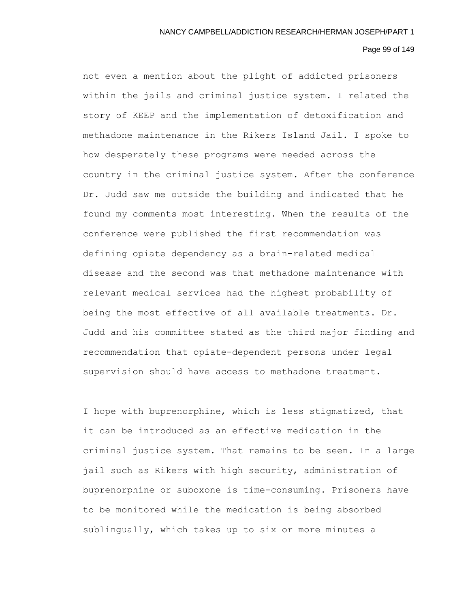## Page 99 of 149

not even a mention about the plight of addicted prisoners within the jails and criminal justice system. I related the story of KEEP and the implementation of detoxification and methadone maintenance in the Rikers Island Jail. I spoke to how desperately these programs were needed across the country in the criminal justice system. After the conference Dr. Judd saw me outside the building and indicated that he found my comments most interesting. When the results of the conference were published the first recommendation was defining opiate dependency as a brain-related medical disease and the second was that methadone maintenance with relevant medical services had the highest probability of being the most effective of all available treatments. Dr. Judd and his committee stated as the third major finding and recommendation that opiate-dependent persons under legal supervision should have access to methadone treatment.

I hope with buprenorphine, which is less stigmatized, that it can be introduced as an effective medication in the criminal justice system. That remains to be seen. In a large jail such as Rikers with high security, administration of buprenorphine or suboxone is time-consuming. Prisoners have to be monitored while the medication is being absorbed sublingually, which takes up to six or more minutes a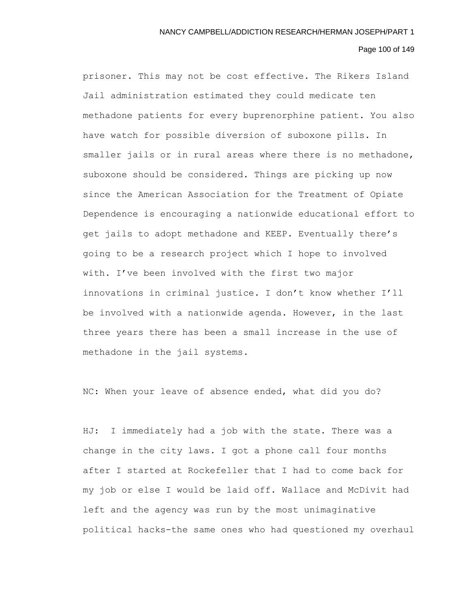# Page 100 of 149

prisoner. This may not be cost effective. The Rikers Island Jail administration estimated they could medicate ten methadone patients for every buprenorphine patient. You also have watch for possible diversion of suboxone pills. In smaller jails or in rural areas where there is no methadone, suboxone should be considered. Things are picking up now since the American Association for the Treatment of Opiate Dependence is encouraging a nationwide educational effort to get jails to adopt methadone and KEEP. Eventually there's going to be a research project which I hope to involved with. I've been involved with the first two major innovations in criminal justice. I don't know whether I'll be involved with a nationwide agenda. However, in the last three years there has been a small increase in the use of methadone in the jail systems.

NC: When your leave of absence ended, what did you do?

HJ: I immediately had a job with the state. There was a change in the city laws. I got a phone call four months after I started at Rockefeller that I had to come back for my job or else I would be laid off. Wallace and McDivit had left and the agency was run by the most unimaginative political hacks-the same ones who had questioned my overhaul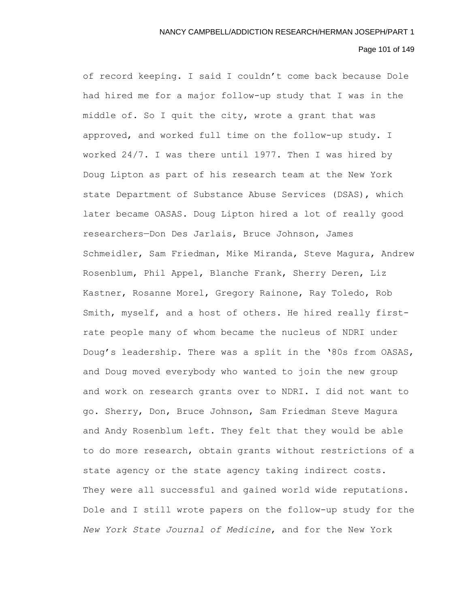# Page 101 of 149

of record keeping. I said I couldn't come back because Dole had hired me for a major follow-up study that I was in the middle of. So I quit the city, wrote a grant that was approved, and worked full time on the follow-up study. I worked 24/7. I was there until 1977. Then I was hired by Doug Lipton as part of his research team at the New York state Department of Substance Abuse Services (DSAS), which later became OASAS. Doug Lipton hired a lot of really good researchers—Don Des Jarlais, Bruce Johnson, James Schmeidler, Sam Friedman, Mike Miranda, Steve Magura, Andrew Rosenblum, Phil Appel, Blanche Frank, Sherry Deren, Liz Kastner, Rosanne Morel, Gregory Rainone, Ray Toledo, Rob Smith, myself, and a host of others. He hired really firstrate people many of whom became the nucleus of NDRI under Doug's leadership. There was a split in the '80s from OASAS, and Doug moved everybody who wanted to join the new group and work on research grants over to NDRI. I did not want to go. Sherry, Don, Bruce Johnson, Sam Friedman Steve Magura and Andy Rosenblum left. They felt that they would be able to do more research, obtain grants without restrictions of a state agency or the state agency taking indirect costs. They were all successful and gained world wide reputations. Dole and I still wrote papers on the follow-up study for the *New York State Journal of Medicine*, and for the New York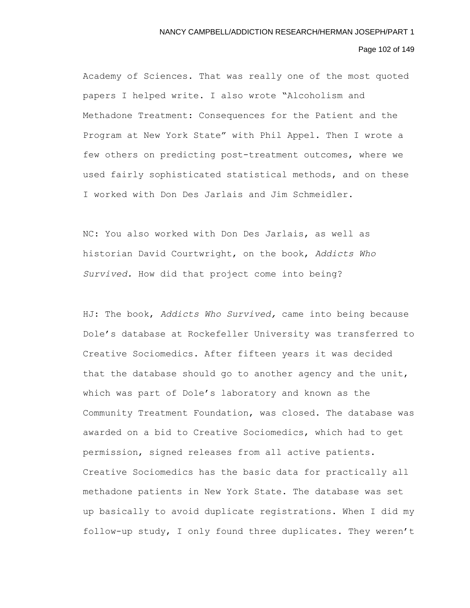# Page 102 of 149

Academy of Sciences. That was really one of the most quoted papers I helped write. I also wrote "Alcoholism and Methadone Treatment: Consequences for the Patient and the Program at New York State" with Phil Appel. Then I wrote a few others on predicting post-treatment outcomes, where we used fairly sophisticated statistical methods, and on these I worked with Don Des Jarlais and Jim Schmeidler.

NC: You also worked with Don Des Jarlais, as well as historian David Courtwright, on the book, *Addicts Who Survived.* How did that project come into being?

HJ: The book, *Addicts Who Survived,* came into being because Dole's database at Rockefeller University was transferred to Creative Sociomedics. After fifteen years it was decided that the database should go to another agency and the unit, which was part of Dole's laboratory and known as the Community Treatment Foundation, was closed. The database was awarded on a bid to Creative Sociomedics, which had to get permission, signed releases from all active patients. Creative Sociomedics has the basic data for practically all methadone patients in New York State. The database was set up basically to avoid duplicate registrations. When I did my follow-up study, I only found three duplicates. They weren't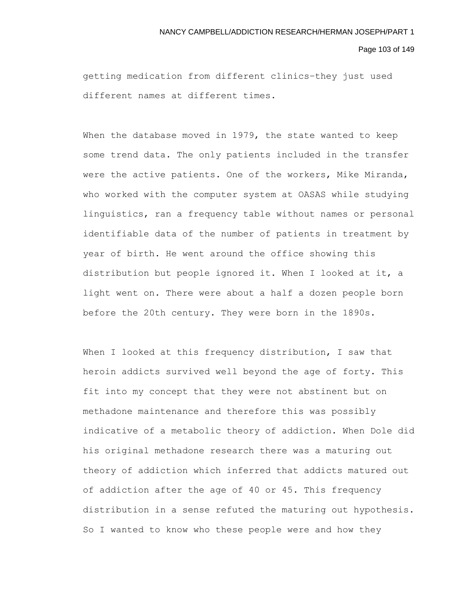#### Page 103 of 149

getting medication from different clinics–they just used different names at different times.

When the database moved in 1979, the state wanted to keep some trend data. The only patients included in the transfer were the active patients. One of the workers, Mike Miranda, who worked with the computer system at OASAS while studying linguistics, ran a frequency table without names or personal identifiable data of the number of patients in treatment by year of birth. He went around the office showing this distribution but people ignored it. When I looked at it, a light went on. There were about a half a dozen people born before the 20th century. They were born in the 1890s.

When I looked at this frequency distribution, I saw that heroin addicts survived well beyond the age of forty. This fit into my concept that they were not abstinent but on methadone maintenance and therefore this was possibly indicative of a metabolic theory of addiction. When Dole did his original methadone research there was a maturing out theory of addiction which inferred that addicts matured out of addiction after the age of 40 or 45. This frequency distribution in a sense refuted the maturing out hypothesis. So I wanted to know who these people were and how they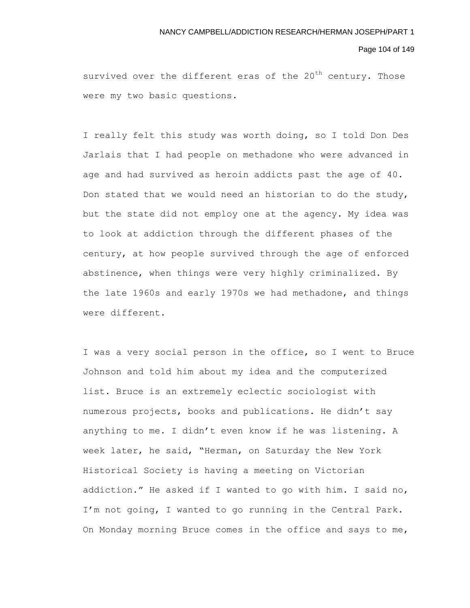#### Page 104 of 149

survived over the different eras of the  $20<sup>th</sup>$  century. Those were my two basic questions.

I really felt this study was worth doing, so I told Don Des Jarlais that I had people on methadone who were advanced in age and had survived as heroin addicts past the age of 40. Don stated that we would need an historian to do the study, but the state did not employ one at the agency. My idea was to look at addiction through the different phases of the century, at how people survived through the age of enforced abstinence, when things were very highly criminalized. By the late 1960s and early 1970s we had methadone, and things were different.

I was a very social person in the office, so I went to Bruce Johnson and told him about my idea and the computerized list. Bruce is an extremely eclectic sociologist with numerous projects, books and publications. He didn't say anything to me. I didn't even know if he was listening. A week later, he said, "Herman, on Saturday the New York Historical Society is having a meeting on Victorian addiction." He asked if I wanted to go with him. I said no, I'm not going, I wanted to go running in the Central Park. On Monday morning Bruce comes in the office and says to me,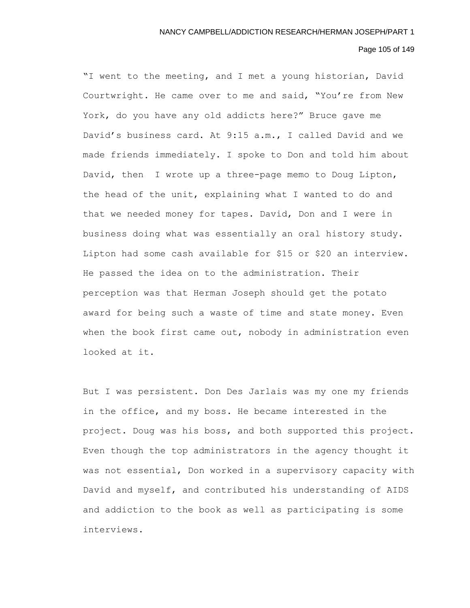# Page 105 of 149

"I went to the meeting, and I met a young historian, David Courtwright. He came over to me and said, "You're from New York, do you have any old addicts here?" Bruce gave me David's business card. At 9:15 a.m., I called David and we made friends immediately. I spoke to Don and told him about David, then I wrote up a three-page memo to Doug Lipton, the head of the unit, explaining what I wanted to do and that we needed money for tapes. David, Don and I were in business doing what was essentially an oral history study. Lipton had some cash available for \$15 or \$20 an interview. He passed the idea on to the administration. Their perception was that Herman Joseph should get the potato award for being such a waste of time and state money. Even when the book first came out, nobody in administration even looked at it.

But I was persistent. Don Des Jarlais was my one my friends in the office, and my boss. He became interested in the project. Doug was his boss, and both supported this project. Even though the top administrators in the agency thought it was not essential, Don worked in a supervisory capacity with David and myself, and contributed his understanding of AIDS and addiction to the book as well as participating is some interviews.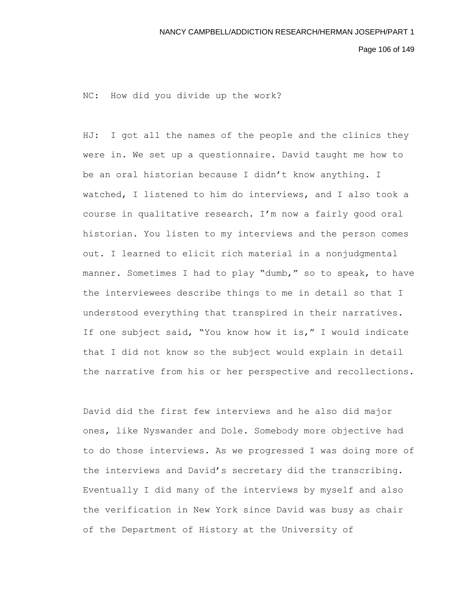NC: How did you divide up the work?

HJ: I got all the names of the people and the clinics they were in. We set up a questionnaire. David taught me how to be an oral historian because I didn't know anything. I watched, I listened to him do interviews, and I also took a course in qualitative research. I'm now a fairly good oral historian. You listen to my interviews and the person comes out. I learned to elicit rich material in a nonjudgmental manner. Sometimes I had to play "dumb," so to speak, to have the interviewees describe things to me in detail so that I understood everything that transpired in their narratives. If one subject said, "You know how it is," I would indicate that I did not know so the subject would explain in detail the narrative from his or her perspective and recollections.

David did the first few interviews and he also did major ones, like Nyswander and Dole. Somebody more objective had to do those interviews. As we progressed I was doing more of the interviews and David's secretary did the transcribing. Eventually I did many of the interviews by myself and also the verification in New York since David was busy as chair of the Department of History at the University of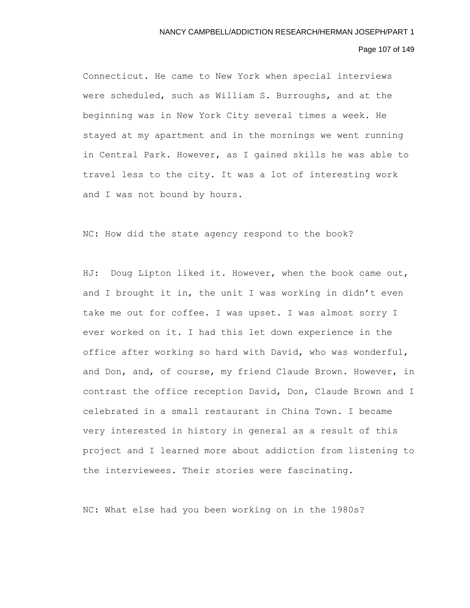# Page 107 of 149

Connecticut. He came to New York when special interviews were scheduled, such as William S. Burroughs, and at the beginning was in New York City several times a week. He stayed at my apartment and in the mornings we went running in Central Park. However, as I gained skills he was able to travel less to the city. It was a lot of interesting work and I was not bound by hours.

NC: How did the state agency respond to the book?

HJ: Doug Lipton liked it. However, when the book came out, and I brought it in, the unit I was working in didn't even take me out for coffee. I was upset. I was almost sorry I ever worked on it. I had this let down experience in the office after working so hard with David, who was wonderful, and Don, and, of course, my friend Claude Brown. However, in contrast the office reception David, Don, Claude Brown and I celebrated in a small restaurant in China Town. I became very interested in history in general as a result of this project and I learned more about addiction from listening to the interviewees. Their stories were fascinating.

NC: What else had you been working on in the 1980s?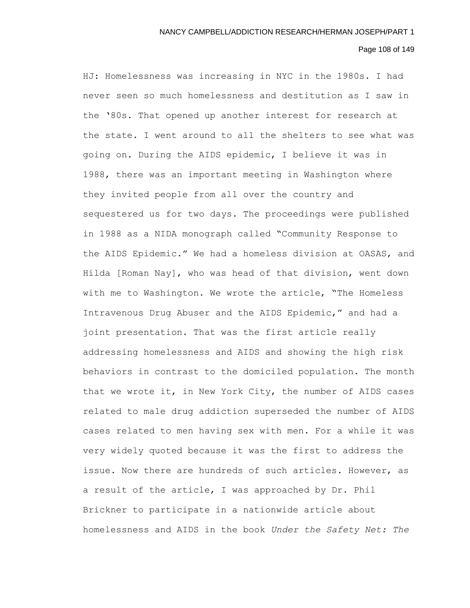# Page 108 of 149

HJ: Homelessness was increasing in NYC in the 1980s. I had never seen so much homelessness and destitution as I saw in the '80s. That opened up another interest for research at the state. I went around to all the shelters to see what was going on. During the AIDS epidemic, I believe it was in 1988, there was an important meeting in Washington where they invited people from all over the country and sequestered us for two days. The proceedings were published in 1988 as a NIDA monograph called "Community Response to the AIDS Epidemic." We had a homeless division at OASAS, and Hilda [Roman Nay], who was head of that division, went down with me to Washington. We wrote the article, "The Homeless Intravenous Drug Abuser and the AIDS Epidemic," and had a joint presentation. That was the first article really addressing homelessness and AIDS and showing the high risk behaviors in contrast to the domiciled population. The month that we wrote it, in New York City, the number of AIDS cases related to male drug addiction superseded the number of AIDS cases related to men having sex with men. For a while it was very widely quoted because it was the first to address the issue. Now there are hundreds of such articles. However, as a result of the article, I was approached by Dr. Phil Brickner to participate in a nationwide article about homelessness and AIDS in the book *Under the Safety Net: The*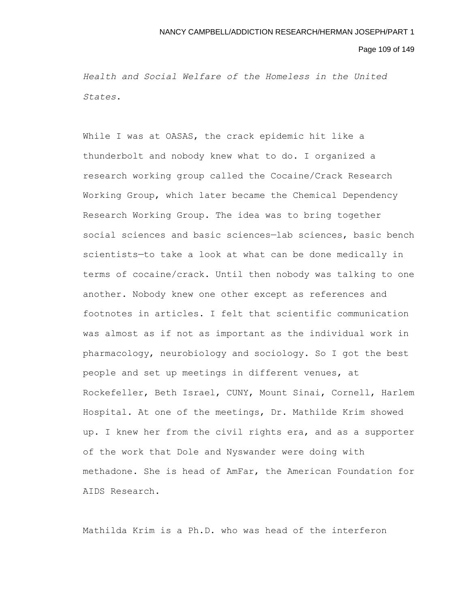Page 109 of 149

*Health and Social Welfare of the Homeless in the United States*.

While I was at OASAS, the crack epidemic hit like a thunderbolt and nobody knew what to do. I organized a research working group called the Cocaine/Crack Research Working Group, which later became the Chemical Dependency Research Working Group. The idea was to bring together social sciences and basic sciences—lab sciences, basic bench scientists—to take a look at what can be done medically in terms of cocaine/crack. Until then nobody was talking to one another. Nobody knew one other except as references and footnotes in articles. I felt that scientific communication was almost as if not as important as the individual work in pharmacology, neurobiology and sociology. So I got the best people and set up meetings in different venues, at Rockefeller, Beth Israel, CUNY, Mount Sinai, Cornell, Harlem Hospital. At one of the meetings, Dr. Mathilde Krim showed up. I knew her from the civil rights era, and as a supporter of the work that Dole and Nyswander were doing with methadone. She is head of AmFar, the American Foundation for AIDS Research.

Mathilda Krim is a Ph.D. who was head of the interferon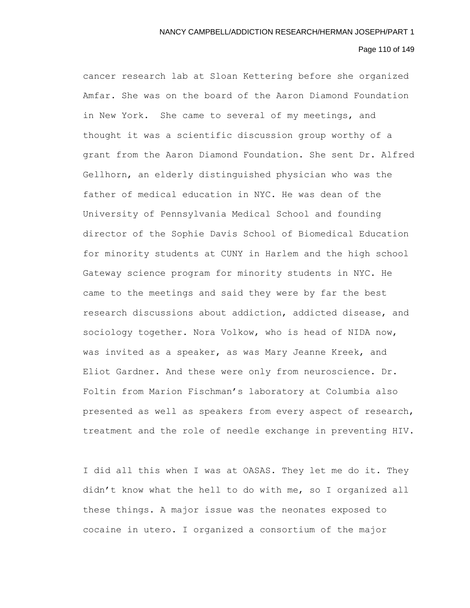# Page 110 of 149

cancer research lab at Sloan Kettering before she organized Amfar. She was on the board of the Aaron Diamond Foundation in New York. She came to several of my meetings, and thought it was a scientific discussion group worthy of a grant from the Aaron Diamond Foundation. She sent Dr. Alfred Gellhorn, an elderly distinguished physician who was the father of medical education in NYC. He was dean of the University of Pennsylvania Medical School and founding director of the Sophie Davis School of Biomedical Education for minority students at CUNY in Harlem and the high school Gateway science program for minority students in NYC. He came to the meetings and said they were by far the best research discussions about addiction, addicted disease, and sociology together. Nora Volkow, who is head of NIDA now, was invited as a speaker, as was Mary Jeanne Kreek, and Eliot Gardner. And these were only from neuroscience. Dr. Foltin from Marion Fischman's laboratory at Columbia also presented as well as speakers from every aspect of research, treatment and the role of needle exchange in preventing HIV.

I did all this when I was at OASAS. They let me do it. They didn't know what the hell to do with me, so I organized all these things. A major issue was the neonates exposed to cocaine in utero. I organized a consortium of the major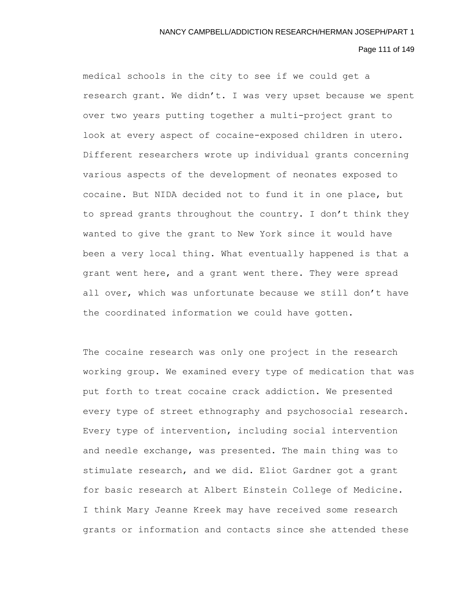# Page 111 of 149

medical schools in the city to see if we could get a research grant. We didn't. I was very upset because we spent over two years putting together a multi-project grant to look at every aspect of cocaine-exposed children in utero. Different researchers wrote up individual grants concerning various aspects of the development of neonates exposed to cocaine. But NIDA decided not to fund it in one place, but to spread grants throughout the country. I don't think they wanted to give the grant to New York since it would have been a very local thing. What eventually happened is that a grant went here, and a grant went there. They were spread all over, which was unfortunate because we still don't have the coordinated information we could have gotten.

The cocaine research was only one project in the research working group. We examined every type of medication that was put forth to treat cocaine crack addiction. We presented every type of street ethnography and psychosocial research. Every type of intervention, including social intervention and needle exchange, was presented. The main thing was to stimulate research, and we did. Eliot Gardner got a grant for basic research at Albert Einstein College of Medicine. I think Mary Jeanne Kreek may have received some research grants or information and contacts since she attended these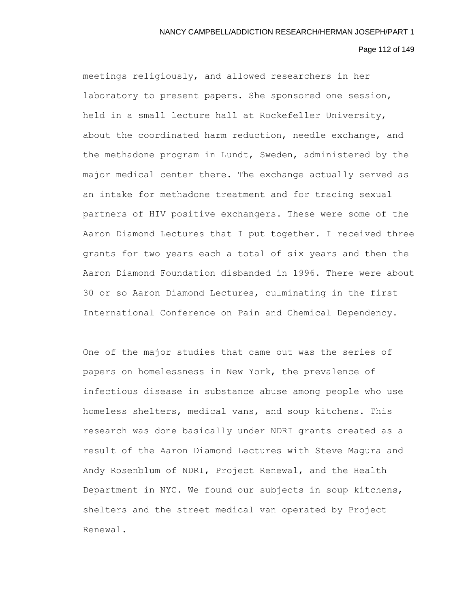#### Page 112 of 149

meetings religiously, and allowed researchers in her laboratory to present papers. She sponsored one session, held in a small lecture hall at Rockefeller University, about the coordinated harm reduction, needle exchange, and the methadone program in Lundt, Sweden, administered by the major medical center there. The exchange actually served as an intake for methadone treatment and for tracing sexual partners of HIV positive exchangers. These were some of the Aaron Diamond Lectures that I put together. I received three grants for two years each a total of six years and then the Aaron Diamond Foundation disbanded in 1996. There were about 30 or so Aaron Diamond Lectures, culminating in the first International Conference on Pain and Chemical Dependency.

One of the major studies that came out was the series of papers on homelessness in New York, the prevalence of infectious disease in substance abuse among people who use homeless shelters, medical vans, and soup kitchens. This research was done basically under NDRI grants created as a result of the Aaron Diamond Lectures with Steve Magura and Andy Rosenblum of NDRI, Project Renewal, and the Health Department in NYC. We found our subjects in soup kitchens, shelters and the street medical van operated by Project Renewal.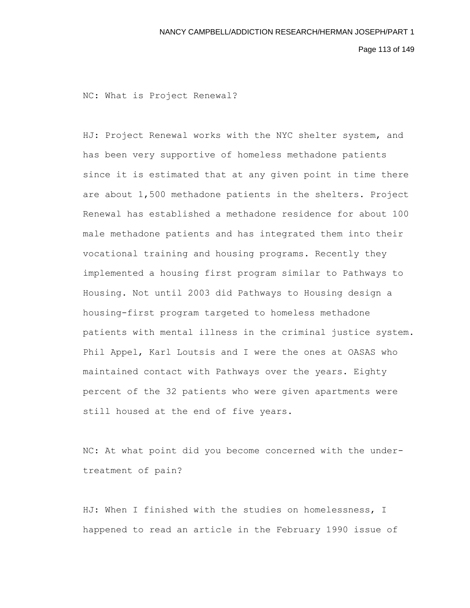Page 113 of 149

NC: What is Project Renewal?

HJ: Project Renewal works with the NYC shelter system, and has been very supportive of homeless methadone patients since it is estimated that at any given point in time there are about 1,500 methadone patients in the shelters. Project Renewal has established a methadone residence for about 100 male methadone patients and has integrated them into their vocational training and housing programs. Recently they implemented a housing first program similar to Pathways to Housing. Not until 2003 did Pathways to Housing design a housing-first program targeted to homeless methadone patients with mental illness in the criminal justice system. Phil Appel, Karl Loutsis and I were the ones at OASAS who maintained contact with Pathways over the years. Eighty percent of the 32 patients who were given apartments were still housed at the end of five years.

NC: At what point did you become concerned with the undertreatment of pain?

HJ: When I finished with the studies on homelessness, I happened to read an article in the February 1990 issue of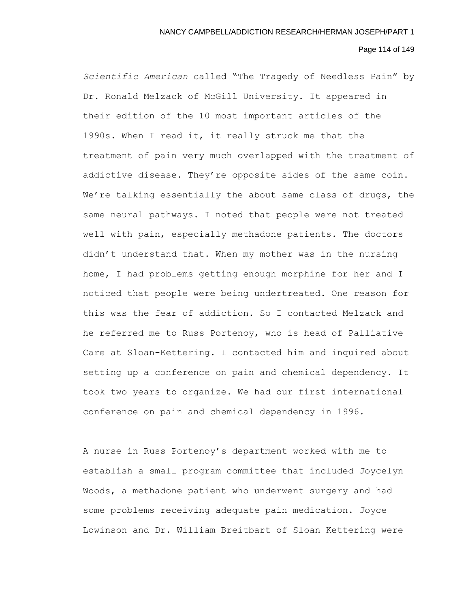# Page 114 of 149

*Scientific American* called "The Tragedy of Needless Pain" by Dr. Ronald Melzack of McGill University. It appeared in their edition of the 10 most important articles of the 1990s. When I read it, it really struck me that the treatment of pain very much overlapped with the treatment of addictive disease. They're opposite sides of the same coin. We're talking essentially the about same class of drugs, the same neural pathways. I noted that people were not treated well with pain, especially methadone patients. The doctors didn't understand that. When my mother was in the nursing home, I had problems getting enough morphine for her and I noticed that people were being undertreated. One reason for this was the fear of addiction. So I contacted Melzack and he referred me to Russ Portenoy, who is head of Palliative Care at Sloan-Kettering. I contacted him and inquired about setting up a conference on pain and chemical dependency. It took two years to organize. We had our first international conference on pain and chemical dependency in 1996.

A nurse in Russ Portenoy's department worked with me to establish a small program committee that included Joycelyn Woods, a methadone patient who underwent surgery and had some problems receiving adequate pain medication. Joyce Lowinson and Dr. William Breitbart of Sloan Kettering were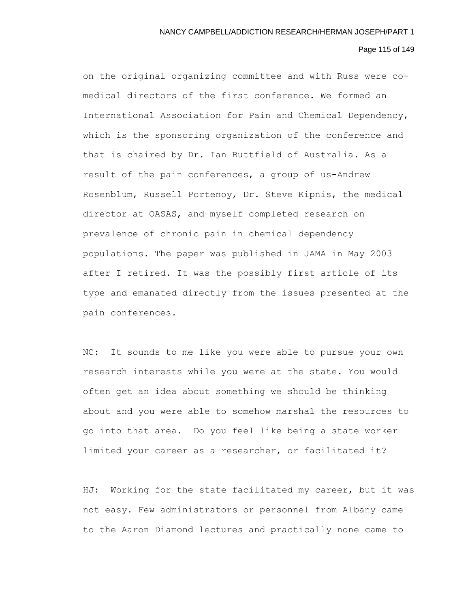#### Page 115 of 149

on the original organizing committee and with Russ were comedical directors of the first conference. We formed an International Association for Pain and Chemical Dependency, which is the sponsoring organization of the conference and that is chaired by Dr. Ian Buttfield of Australia. As a result of the pain conferences, a group of us-Andrew Rosenblum, Russell Portenoy, Dr. Steve Kipnis, the medical director at OASAS, and myself completed research on prevalence of chronic pain in chemical dependency populations. The paper was published in JAMA in May 2003 after I retired. It was the possibly first article of its type and emanated directly from the issues presented at the pain conferences.

NC: It sounds to me like you were able to pursue your own research interests while you were at the state. You would often get an idea about something we should be thinking about and you were able to somehow marshal the resources to go into that area. Do you feel like being a state worker limited your career as a researcher, or facilitated it?

HJ: Working for the state facilitated my career, but it was not easy. Few administrators or personnel from Albany came to the Aaron Diamond lectures and practically none came to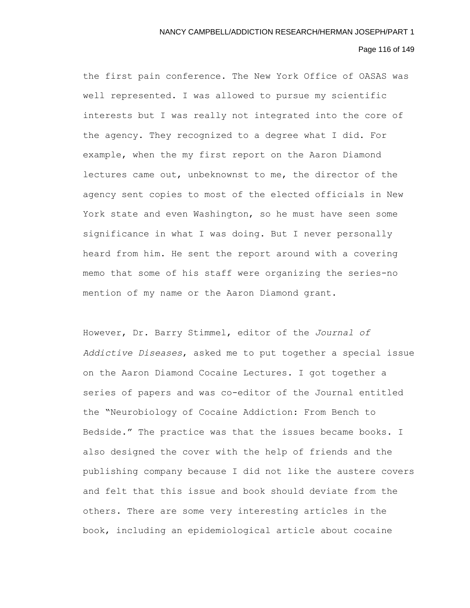## Page 116 of 149

the first pain conference. The New York Office of OASAS was well represented. I was allowed to pursue my scientific interests but I was really not integrated into the core of the agency. They recognized to a degree what I did. For example, when the my first report on the Aaron Diamond lectures came out, unbeknownst to me, the director of the agency sent copies to most of the elected officials in New York state and even Washington, so he must have seen some significance in what I was doing. But I never personally heard from him. He sent the report around with a covering memo that some of his staff were organizing the series-no mention of my name or the Aaron Diamond grant.

However, Dr. Barry Stimmel, editor of the *Journal of Addictive Diseases*, asked me to put together a special issue on the Aaron Diamond Cocaine Lectures. I got together a series of papers and was co-editor of the Journal entitled the "Neurobiology of Cocaine Addiction: From Bench to Bedside." The practice was that the issues became books. I also designed the cover with the help of friends and the publishing company because I did not like the austere covers and felt that this issue and book should deviate from the others. There are some very interesting articles in the book, including an epidemiological article about cocaine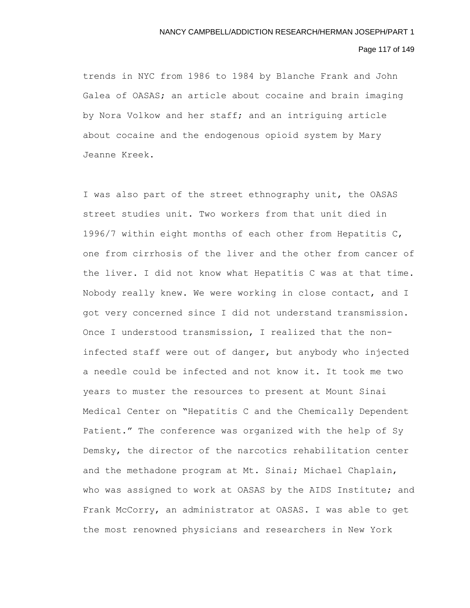## Page 117 of 149

trends in NYC from 1986 to 1984 by Blanche Frank and John Galea of OASAS; an article about cocaine and brain imaging by Nora Volkow and her staff; and an intriguing article about cocaine and the endogenous opioid system by Mary Jeanne Kreek.

I was also part of the street ethnography unit, the OASAS street studies unit. Two workers from that unit died in 1996/7 within eight months of each other from Hepatitis C, one from cirrhosis of the liver and the other from cancer of the liver. I did not know what Hepatitis C was at that time. Nobody really knew. We were working in close contact, and I got very concerned since I did not understand transmission. Once I understood transmission, I realized that the noninfected staff were out of danger, but anybody who injected a needle could be infected and not know it. It took me two years to muster the resources to present at Mount Sinai Medical Center on "Hepatitis C and the Chemically Dependent Patient." The conference was organized with the help of Sy Demsky, the director of the narcotics rehabilitation center and the methadone program at Mt. Sinai; Michael Chaplain, who was assigned to work at OASAS by the AIDS Institute; and Frank McCorry, an administrator at OASAS. I was able to get the most renowned physicians and researchers in New York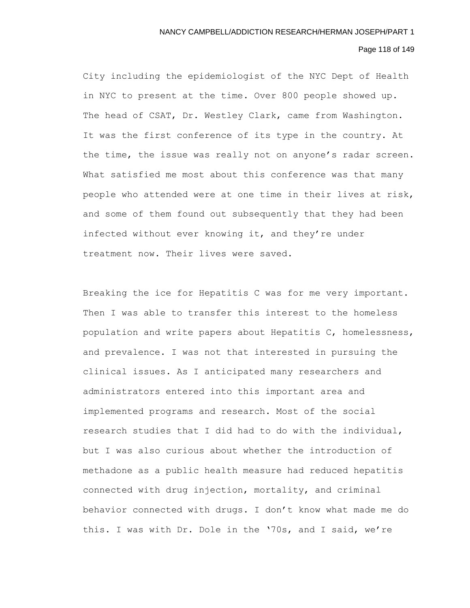# Page 118 of 149

City including the epidemiologist of the NYC Dept of Health in NYC to present at the time. Over 800 people showed up. The head of CSAT, Dr. Westley Clark, came from Washington. It was the first conference of its type in the country. At the time, the issue was really not on anyone's radar screen. What satisfied me most about this conference was that many people who attended were at one time in their lives at risk, and some of them found out subsequently that they had been infected without ever knowing it, and they're under treatment now. Their lives were saved.

Breaking the ice for Hepatitis C was for me very important. Then I was able to transfer this interest to the homeless population and write papers about Hepatitis C, homelessness, and prevalence. I was not that interested in pursuing the clinical issues. As I anticipated many researchers and administrators entered into this important area and implemented programs and research. Most of the social research studies that I did had to do with the individual, but I was also curious about whether the introduction of methadone as a public health measure had reduced hepatitis connected with drug injection, mortality, and criminal behavior connected with drugs. I don't know what made me do this. I was with Dr. Dole in the '70s, and I said, we're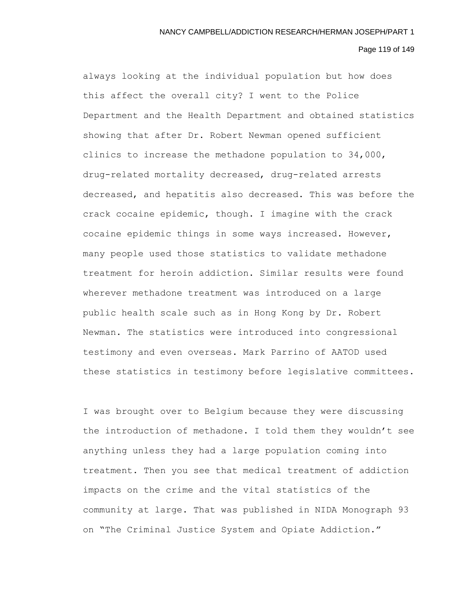## Page 119 of 149

always looking at the individual population but how does this affect the overall city? I went to the Police Department and the Health Department and obtained statistics showing that after Dr. Robert Newman opened sufficient clinics to increase the methadone population to 34,000, drug-related mortality decreased, drug-related arrests decreased, and hepatitis also decreased. This was before the crack cocaine epidemic, though. I imagine with the crack cocaine epidemic things in some ways increased. However, many people used those statistics to validate methadone treatment for heroin addiction. Similar results were found wherever methadone treatment was introduced on a large public health scale such as in Hong Kong by Dr. Robert Newman. The statistics were introduced into congressional testimony and even overseas. Mark Parrino of AATOD used these statistics in testimony before legislative committees.

I was brought over to Belgium because they were discussing the introduction of methadone. I told them they wouldn't see anything unless they had a large population coming into treatment. Then you see that medical treatment of addiction impacts on the crime and the vital statistics of the community at large. That was published in NIDA Monograph 93 on "The Criminal Justice System and Opiate Addiction."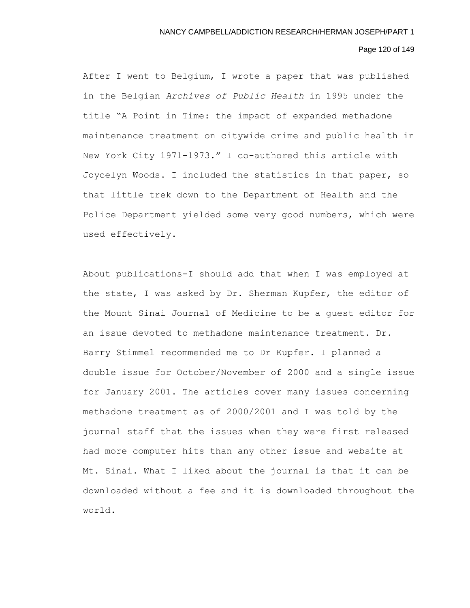# Page 120 of 149

After I went to Belgium, I wrote a paper that was published in the Belgian *Archives of Public Health* in 1995 under the title "A Point in Time: the impact of expanded methadone maintenance treatment on citywide crime and public health in New York City 1971-1973." I co-authored this article with Joycelyn Woods. I included the statistics in that paper, so that little trek down to the Department of Health and the Police Department yielded some very good numbers, which were used effectively.

About publications-I should add that when I was employed at the state, I was asked by Dr. Sherman Kupfer, the editor of the Mount Sinai Journal of Medicine to be a guest editor for an issue devoted to methadone maintenance treatment. Dr. Barry Stimmel recommended me to Dr Kupfer. I planned a double issue for October/November of 2000 and a single issue for January 2001. The articles cover many issues concerning methadone treatment as of 2000/2001 and I was told by the journal staff that the issues when they were first released had more computer hits than any other issue and website at Mt. Sinai. What I liked about the journal is that it can be downloaded without a fee and it is downloaded throughout the world.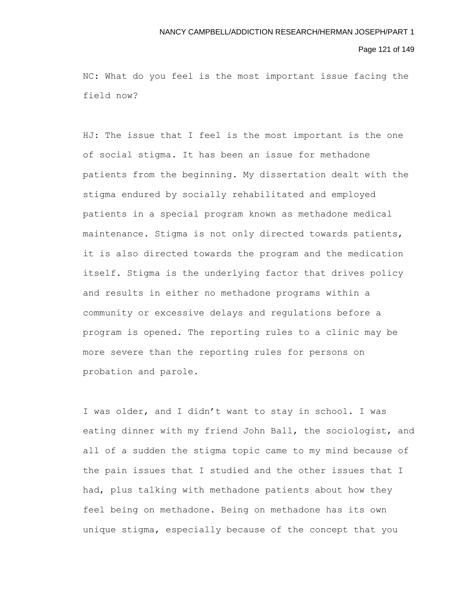#### Page 121 of 149

NC: What do you feel is the most important issue facing the field now?

HJ: The issue that I feel is the most important is the one of social stigma. It has been an issue for methadone patients from the beginning. My dissertation dealt with the stigma endured by socially rehabilitated and employed patients in a special program known as methadone medical maintenance. Stigma is not only directed towards patients, it is also directed towards the program and the medication itself. Stigma is the underlying factor that drives policy and results in either no methadone programs within a community or excessive delays and regulations before a program is opened. The reporting rules to a clinic may be more severe than the reporting rules for persons on probation and parole.

I was older, and I didn't want to stay in school. I was eating dinner with my friend John Ball, the sociologist, and all of a sudden the stigma topic came to my mind because of the pain issues that I studied and the other issues that I had, plus talking with methadone patients about how they feel being on methadone. Being on methadone has its own unique stigma, especially because of the concept that you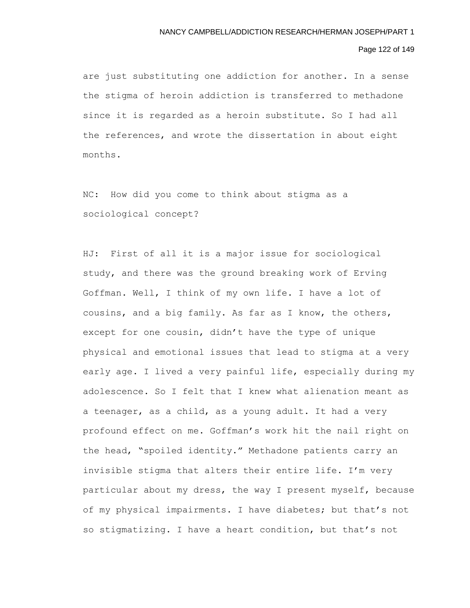# Page 122 of 149

are just substituting one addiction for another. In a sense the stigma of heroin addiction is transferred to methadone since it is regarded as a heroin substitute. So I had all the references, and wrote the dissertation in about eight months.

NC: How did you come to think about stigma as a sociological concept?

HJ: First of all it is a major issue for sociological study, and there was the ground breaking work of Erving Goffman. Well, I think of my own life. I have a lot of cousins, and a big family. As far as I know, the others, except for one cousin, didn't have the type of unique physical and emotional issues that lead to stigma at a very early age. I lived a very painful life, especially during my adolescence. So I felt that I knew what alienation meant as a teenager, as a child, as a young adult. It had a very profound effect on me. Goffman's work hit the nail right on the head, "spoiled identity." Methadone patients carry an invisible stigma that alters their entire life. I'm very particular about my dress, the way I present myself, because of my physical impairments. I have diabetes; but that's not so stigmatizing. I have a heart condition, but that's not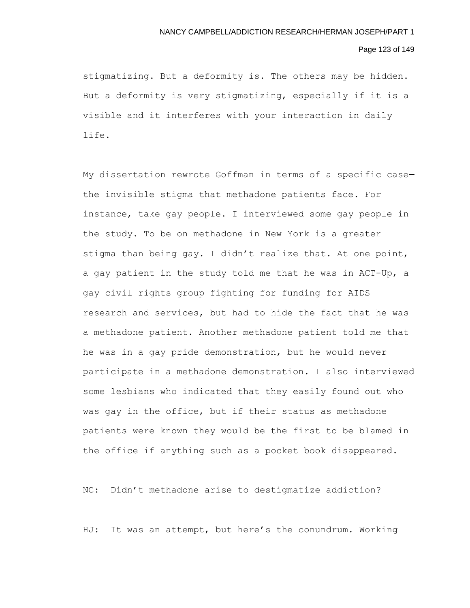## Page 123 of 149

stigmatizing. But a deformity is. The others may be hidden. But a deformity is very stigmatizing, especially if it is a visible and it interferes with your interaction in daily life.

My dissertation rewrote Goffman in terms of a specific case the invisible stigma that methadone patients face. For instance, take gay people. I interviewed some gay people in the study. To be on methadone in New York is a greater stigma than being gay. I didn't realize that. At one point, a gay patient in the study told me that he was in ACT-Up, a gay civil rights group fighting for funding for AIDS research and services, but had to hide the fact that he was a methadone patient. Another methadone patient told me that he was in a gay pride demonstration, but he would never participate in a methadone demonstration. I also interviewed some lesbians who indicated that they easily found out who was gay in the office, but if their status as methadone patients were known they would be the first to be blamed in the office if anything such as a pocket book disappeared.

NC: Didn't methadone arise to destigmatize addiction?

HJ: It was an attempt, but here's the conundrum. Working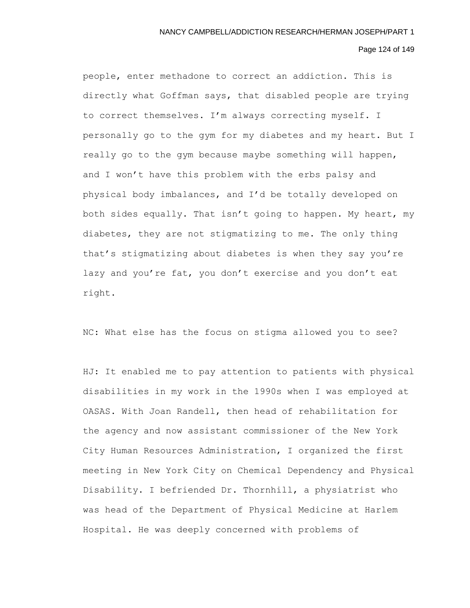# Page 124 of 149

people, enter methadone to correct an addiction. This is directly what Goffman says, that disabled people are trying to correct themselves. I'm always correcting myself. I personally go to the gym for my diabetes and my heart. But I really go to the gym because maybe something will happen, and I won't have this problem with the erbs palsy and physical body imbalances, and I'd be totally developed on both sides equally. That isn't going to happen. My heart, my diabetes, they are not stigmatizing to me. The only thing that's stigmatizing about diabetes is when they say you're lazy and you're fat, you don't exercise and you don't eat right.

NC: What else has the focus on stigma allowed you to see?

HJ: It enabled me to pay attention to patients with physical disabilities in my work in the 1990s when I was employed at OASAS. With Joan Randell, then head of rehabilitation for the agency and now assistant commissioner of the New York City Human Resources Administration, I organized the first meeting in New York City on Chemical Dependency and Physical Disability. I befriended Dr. Thornhill, a physiatrist who was head of the Department of Physical Medicine at Harlem Hospital. He was deeply concerned with problems of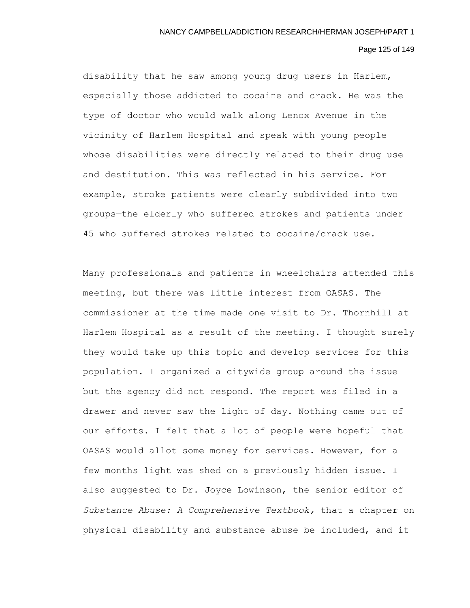#### Page 125 of 149

disability that he saw among young drug users in Harlem, especially those addicted to cocaine and crack. He was the type of doctor who would walk along Lenox Avenue in the vicinity of Harlem Hospital and speak with young people whose disabilities were directly related to their drug use and destitution. This was reflected in his service. For example, stroke patients were clearly subdivided into two groups—the elderly who suffered strokes and patients under 45 who suffered strokes related to cocaine/crack use.

Many professionals and patients in wheelchairs attended this meeting, but there was little interest from OASAS. The commissioner at the time made one visit to Dr. Thornhill at Harlem Hospital as a result of the meeting. I thought surely they would take up this topic and develop services for this population. I organized a citywide group around the issue but the agency did not respond. The report was filed in a drawer and never saw the light of day. Nothing came out of our efforts. I felt that a lot of people were hopeful that OASAS would allot some money for services. However, for a few months light was shed on a previously hidden issue. I also suggested to Dr. Joyce Lowinson, the senior editor of *Substance Abuse: A Comprehensive Textbook,* that a chapter on physical disability and substance abuse be included, and it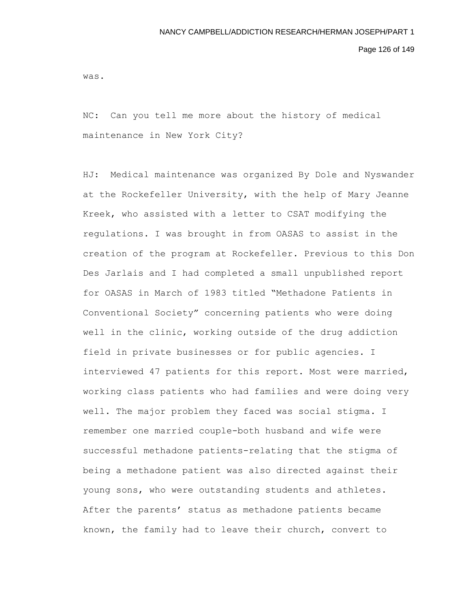Page 126 of 149

was.

NC: Can you tell me more about the history of medical maintenance in New York City?

HJ: Medical maintenance was organized By Dole and Nyswander at the Rockefeller University, with the help of Mary Jeanne Kreek, who assisted with a letter to CSAT modifying the regulations. I was brought in from OASAS to assist in the creation of the program at Rockefeller. Previous to this Don Des Jarlais and I had completed a small unpublished report for OASAS in March of 1983 titled "Methadone Patients in Conventional Society" concerning patients who were doing well in the clinic, working outside of the drug addiction field in private businesses or for public agencies. I interviewed 47 patients for this report. Most were married, working class patients who had families and were doing very well. The major problem they faced was social stigma. I remember one married couple-both husband and wife were successful methadone patients-relating that the stigma of being a methadone patient was also directed against their young sons, who were outstanding students and athletes. After the parents' status as methadone patients became known, the family had to leave their church, convert to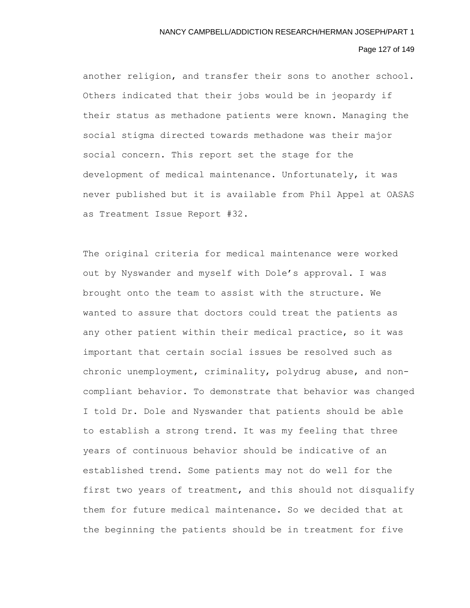## Page 127 of 149

another religion, and transfer their sons to another school. Others indicated that their jobs would be in jeopardy if their status as methadone patients were known. Managing the social stigma directed towards methadone was their major social concern. This report set the stage for the development of medical maintenance. Unfortunately, it was never published but it is available from Phil Appel at OASAS as Treatment Issue Report #32.

The original criteria for medical maintenance were worked out by Nyswander and myself with Dole's approval. I was brought onto the team to assist with the structure. We wanted to assure that doctors could treat the patients as any other patient within their medical practice, so it was important that certain social issues be resolved such as chronic unemployment, criminality, polydrug abuse, and noncompliant behavior. To demonstrate that behavior was changed I told Dr. Dole and Nyswander that patients should be able to establish a strong trend. It was my feeling that three years of continuous behavior should be indicative of an established trend. Some patients may not do well for the first two years of treatment, and this should not disqualify them for future medical maintenance. So we decided that at the beginning the patients should be in treatment for five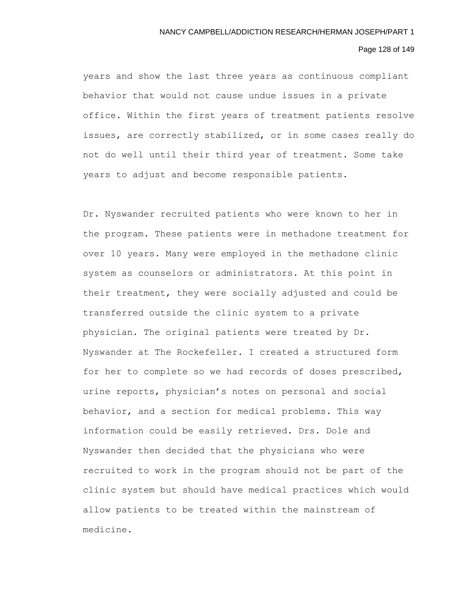## Page 128 of 149

years and show the last three years as continuous compliant behavior that would not cause undue issues in a private office. Within the first years of treatment patients resolve issues, are correctly stabilized, or in some cases really do not do well until their third year of treatment. Some take years to adjust and become responsible patients.

Dr. Nyswander recruited patients who were known to her in the program. These patients were in methadone treatment for over 10 years. Many were employed in the methadone clinic system as counselors or administrators. At this point in their treatment, they were socially adjusted and could be transferred outside the clinic system to a private physician. The original patients were treated by Dr. Nyswander at The Rockefeller. I created a structured form for her to complete so we had records of doses prescribed, urine reports, physician's notes on personal and social behavior, and a section for medical problems. This way information could be easily retrieved. Drs. Dole and Nyswander then decided that the physicians who were recruited to work in the program should not be part of the clinic system but should have medical practices which would allow patients to be treated within the mainstream of medicine.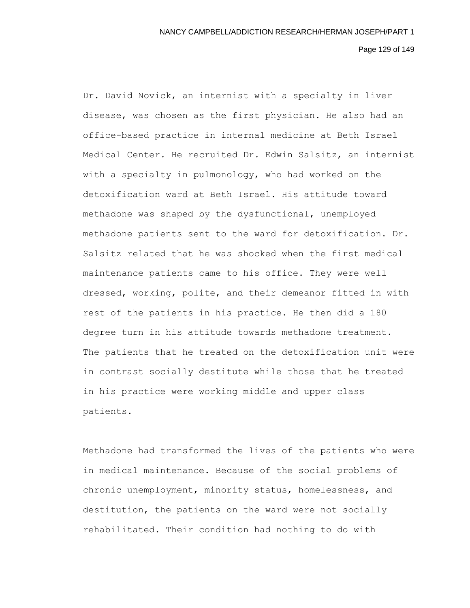Page 129 of 149

Dr. David Novick, an internist with a specialty in liver disease, was chosen as the first physician. He also had an office-based practice in internal medicine at Beth Israel Medical Center. He recruited Dr. Edwin Salsitz, an internist with a specialty in pulmonology, who had worked on the detoxification ward at Beth Israel. His attitude toward methadone was shaped by the dysfunctional, unemployed methadone patients sent to the ward for detoxification. Dr. Salsitz related that he was shocked when the first medical maintenance patients came to his office. They were well dressed, working, polite, and their demeanor fitted in with rest of the patients in his practice. He then did a 180 degree turn in his attitude towards methadone treatment. The patients that he treated on the detoxification unit were in contrast socially destitute while those that he treated in his practice were working middle and upper class patients.

Methadone had transformed the lives of the patients who were in medical maintenance. Because of the social problems of chronic unemployment, minority status, homelessness, and destitution, the patients on the ward were not socially rehabilitated. Their condition had nothing to do with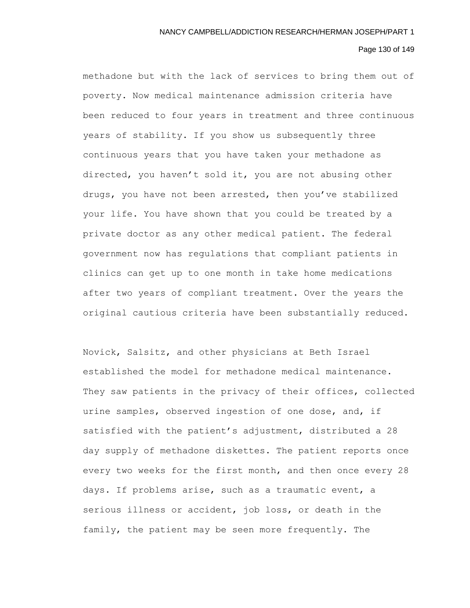# Page 130 of 149

methadone but with the lack of services to bring them out of poverty. Now medical maintenance admission criteria have been reduced to four years in treatment and three continuous years of stability. If you show us subsequently three continuous years that you have taken your methadone as directed, you haven't sold it, you are not abusing other drugs, you have not been arrested, then you've stabilized your life. You have shown that you could be treated by a private doctor as any other medical patient. The federal government now has regulations that compliant patients in clinics can get up to one month in take home medications after two years of compliant treatment. Over the years the original cautious criteria have been substantially reduced.

Novick, Salsitz, and other physicians at Beth Israel established the model for methadone medical maintenance. They saw patients in the privacy of their offices, collected urine samples, observed ingestion of one dose, and, if satisfied with the patient's adjustment, distributed a 28 day supply of methadone diskettes. The patient reports once every two weeks for the first month, and then once every 28 days. If problems arise, such as a traumatic event, a serious illness or accident, job loss, or death in the family, the patient may be seen more frequently. The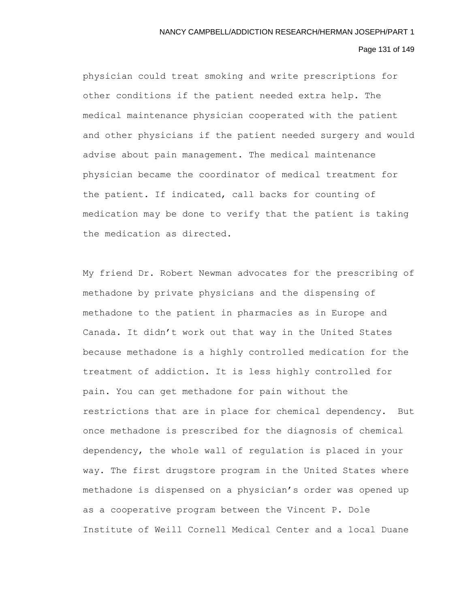## Page 131 of 149

physician could treat smoking and write prescriptions for other conditions if the patient needed extra help. The medical maintenance physician cooperated with the patient and other physicians if the patient needed surgery and would advise about pain management. The medical maintenance physician became the coordinator of medical treatment for the patient. If indicated, call backs for counting of medication may be done to verify that the patient is taking the medication as directed.

My friend Dr. Robert Newman advocates for the prescribing of methadone by private physicians and the dispensing of methadone to the patient in pharmacies as in Europe and Canada. It didn't work out that way in the United States because methadone is a highly controlled medication for the treatment of addiction. It is less highly controlled for pain. You can get methadone for pain without the restrictions that are in place for chemical dependency. But once methadone is prescribed for the diagnosis of chemical dependency, the whole wall of regulation is placed in your way. The first drugstore program in the United States where methadone is dispensed on a physician's order was opened up as a cooperative program between the Vincent P. Dole Institute of Weill Cornell Medical Center and a local Duane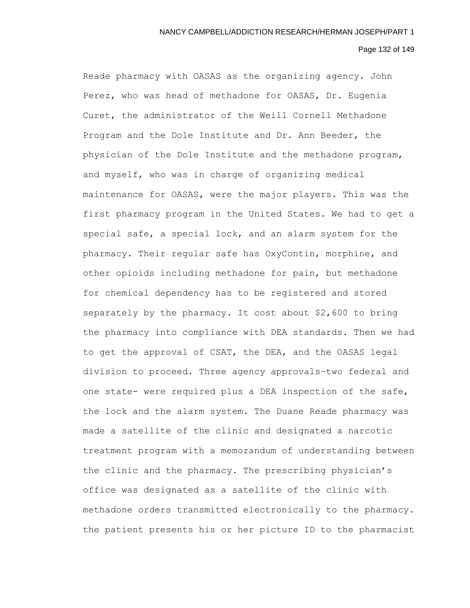#### Page 132 of 149

Reade pharmacy with OASAS as the organizing agency. John Perez, who was head of methadone for OASAS, Dr. Eugenia Curet, the administrator of the Weill Cornell Methadone Program and the Dole Institute and Dr. Ann Beeder, the physician of the Dole Institute and the methadone program, and myself, who was in charge of organizing medical maintenance for OASAS, were the major players. This was the first pharmacy program in the United States. We had to get a special safe, a special lock, and an alarm system for the pharmacy. Their regular safe has OxyContin, morphine, and other opioids including methadone for pain, but methadone for chemical dependency has to be registered and stored separately by the pharmacy. It cost about \$2,600 to bring the pharmacy into compliance with DEA standards. Then we had to get the approval of CSAT, the DEA, and the OASAS legal division to proceed. Three agency approvals–two federal and one state- were required plus a DEA inspection of the safe, the lock and the alarm system. The Duane Reade pharmacy was made a satellite of the clinic and designated a narcotic treatment program with a memorandum of understanding between the clinic and the pharmacy. The prescribing physician's office was designated as a satellite of the clinic with methadone orders transmitted electronically to the pharmacy. the patient presents his or her picture ID to the pharmacist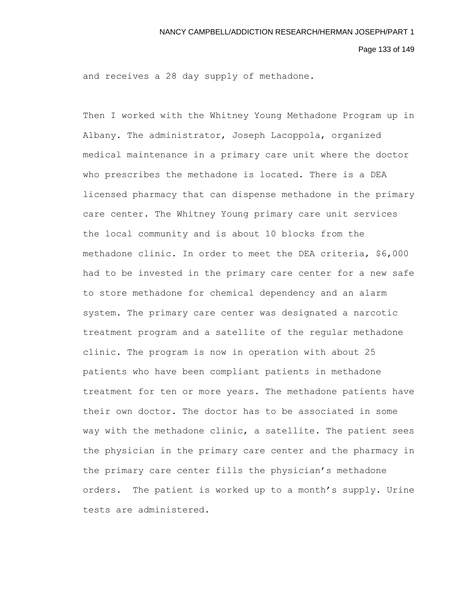Page 133 of 149

and receives a 28 day supply of methadone.

Then I worked with the Whitney Young Methadone Program up in Albany. The administrator, Joseph Lacoppola, organized medical maintenance in a primary care unit where the doctor who prescribes the methadone is located. There is a DEA licensed pharmacy that can dispense methadone in the primary care center. The Whitney Young primary care unit services the local community and is about 10 blocks from the methadone clinic. In order to meet the DEA criteria, \$6,000 had to be invested in the primary care center for a new safe to store methadone for chemical dependency and an alarm system. The primary care center was designated a narcotic treatment program and a satellite of the regular methadone clinic. The program is now in operation with about 25 patients who have been compliant patients in methadone treatment for ten or more years. The methadone patients have their own doctor. The doctor has to be associated in some way with the methadone clinic, a satellite. The patient sees the physician in the primary care center and the pharmacy in the primary care center fills the physician's methadone orders. The patient is worked up to a month's supply. Urine tests are administered.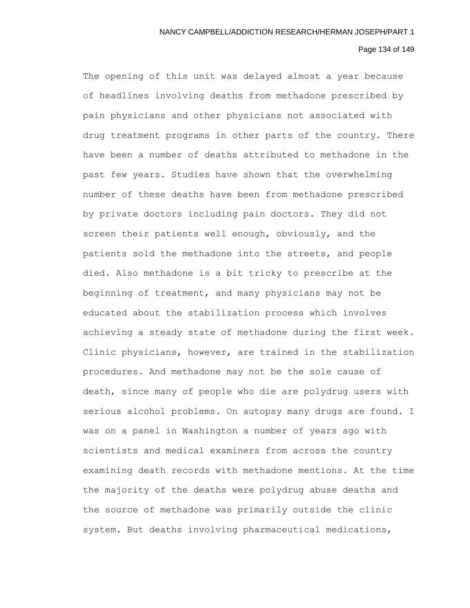# Page 134 of 149

The opening of this unit was delayed almost a year because of headlines involving deaths from methadone prescribed by pain physicians and other physicians not associated with drug treatment programs in other parts of the country. There have been a number of deaths attributed to methadone in the past few years. Studies have shown that the overwhelming number of these deaths have been from methadone prescribed by private doctors including pain doctors. They did not screen their patients well enough, obviously, and the patients sold the methadone into the streets, and people died. Also methadone is a bit tricky to prescribe at the beginning of treatment, and many physicians may not be educated about the stabilization process which involves achieving a steady state of methadone during the first week. Clinic physicians, however, are trained in the stabilization procedures. And methadone may not be the sole cause of death, since many of people who die are polydrug users with serious alcohol problems. On autopsy many drugs are found. I was on a panel in Washington a number of years ago with scientists and medical examiners from across the country examining death records with methadone mentions. At the time the majority of the deaths were polydrug abuse deaths and the source of methadone was primarily outside the clinic system. But deaths involving pharmaceutical medications,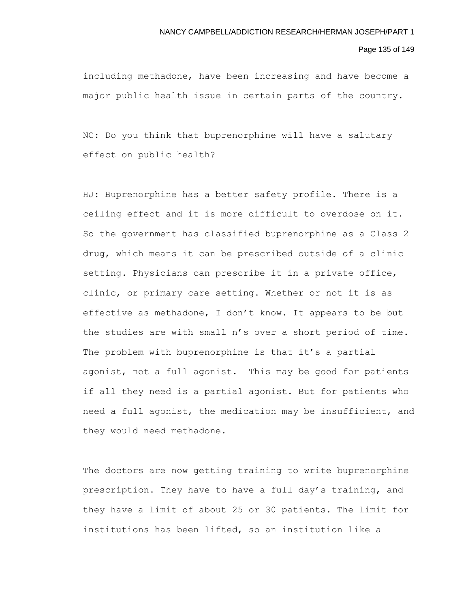#### Page 135 of 149

including methadone, have been increasing and have become a major public health issue in certain parts of the country.

NC: Do you think that buprenorphine will have a salutary effect on public health?

HJ: Buprenorphine has a better safety profile. There is a ceiling effect and it is more difficult to overdose on it. So the government has classified buprenorphine as a Class 2 drug, which means it can be prescribed outside of a clinic setting. Physicians can prescribe it in a private office, clinic, or primary care setting. Whether or not it is as effective as methadone, I don't know. It appears to be but the studies are with small n's over a short period of time. The problem with buprenorphine is that it's a partial agonist, not a full agonist. This may be good for patients if all they need is a partial agonist. But for patients who need a full agonist, the medication may be insufficient, and they would need methadone.

The doctors are now getting training to write buprenorphine prescription. They have to have a full day's training, and they have a limit of about 25 or 30 patients. The limit for institutions has been lifted, so an institution like a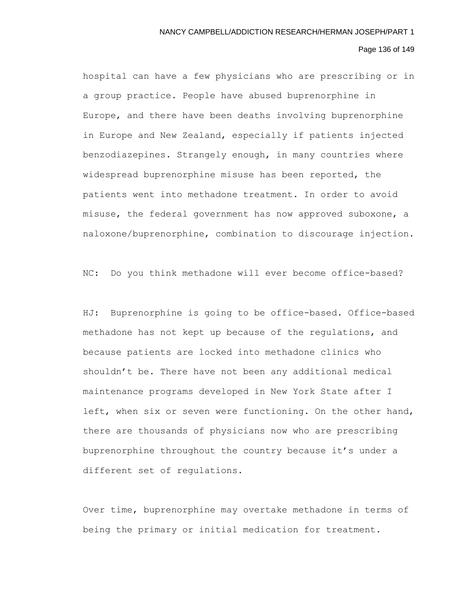#### Page 136 of 149

hospital can have a few physicians who are prescribing or in a group practice. People have abused buprenorphine in Europe, and there have been deaths involving buprenorphine in Europe and New Zealand, especially if patients injected benzodiazepines. Strangely enough, in many countries where widespread buprenorphine misuse has been reported, the patients went into methadone treatment. In order to avoid misuse, the federal government has now approved suboxone, a naloxone/buprenorphine, combination to discourage injection.

NC: Do you think methadone will ever become office-based?

HJ: Buprenorphine is going to be office-based. Office-based methadone has not kept up because of the regulations, and because patients are locked into methadone clinics who shouldn't be. There have not been any additional medical maintenance programs developed in New York State after I left, when six or seven were functioning. On the other hand, there are thousands of physicians now who are prescribing buprenorphine throughout the country because it's under a different set of regulations.

Over time, buprenorphine may overtake methadone in terms of being the primary or initial medication for treatment.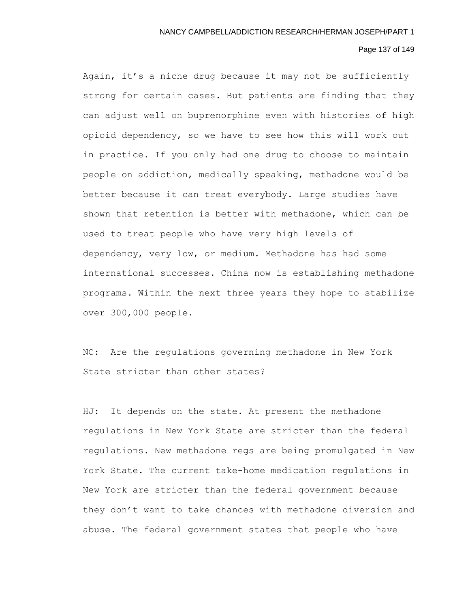# Page 137 of 149

Again, it's a niche drug because it may not be sufficiently strong for certain cases. But patients are finding that they can adjust well on buprenorphine even with histories of high opioid dependency, so we have to see how this will work out in practice. If you only had one drug to choose to maintain people on addiction, medically speaking, methadone would be better because it can treat everybody. Large studies have shown that retention is better with methadone, which can be used to treat people who have very high levels of dependency, very low, or medium. Methadone has had some international successes. China now is establishing methadone programs. Within the next three years they hope to stabilize over 300,000 people.

NC: Are the regulations governing methadone in New York State stricter than other states?

HJ: It depends on the state. At present the methadone regulations in New York State are stricter than the federal regulations. New methadone regs are being promulgated in New York State. The current take-home medication regulations in New York are stricter than the federal government because they don't want to take chances with methadone diversion and abuse. The federal government states that people who have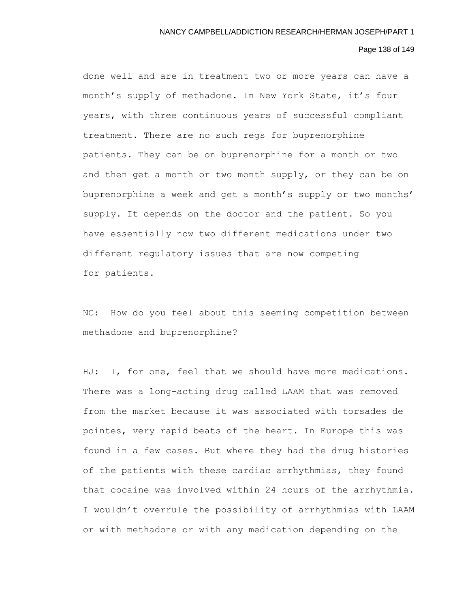# Page 138 of 149

done well and are in treatment two or more years can have a month's supply of methadone. In New York State, it's four years, with three continuous years of successful compliant treatment. There are no such regs for buprenorphine patients. They can be on buprenorphine for a month or two and then get a month or two month supply, or they can be on buprenorphine a week and get a month's supply or two months' supply. It depends on the doctor and the patient. So you have essentially now two different medications under two different regulatory issues that are now competing for patients.

NC: How do you feel about this seeming competition between methadone and buprenorphine?

HJ: I, for one, feel that we should have more medications. There was a long-acting drug called LAAM that was removed from the market because it was associated with torsades de pointes, very rapid beats of the heart. In Europe this was found in a few cases. But where they had the drug histories of the patients with these cardiac arrhythmias, they found that cocaine was involved within 24 hours of the arrhythmia. I wouldn't overrule the possibility of arrhythmias with LAAM or with methadone or with any medication depending on the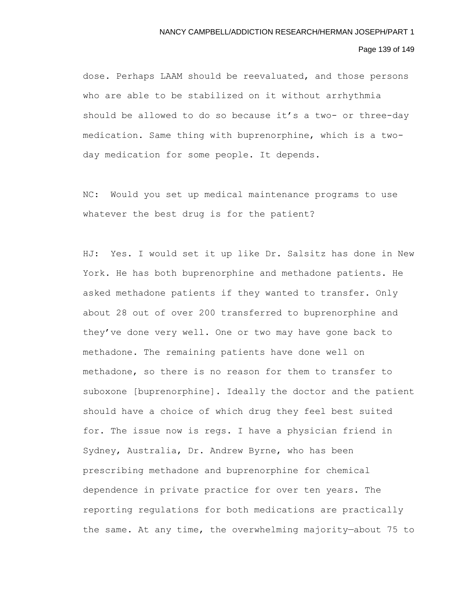# Page 139 of 149

dose. Perhaps LAAM should be reevaluated, and those persons who are able to be stabilized on it without arrhythmia should be allowed to do so because it's a two- or three-day medication. Same thing with buprenorphine, which is a twoday medication for some people. It depends.

NC: Would you set up medical maintenance programs to use whatever the best drug is for the patient?

HJ: Yes. I would set it up like Dr. Salsitz has done in New York. He has both buprenorphine and methadone patients. He asked methadone patients if they wanted to transfer. Only about 28 out of over 200 transferred to buprenorphine and they've done very well. One or two may have gone back to methadone. The remaining patients have done well on methadone, so there is no reason for them to transfer to suboxone [buprenorphine]. Ideally the doctor and the patient should have a choice of which drug they feel best suited for. The issue now is regs. I have a physician friend in Sydney, Australia, Dr. Andrew Byrne, who has been prescribing methadone and buprenorphine for chemical dependence in private practice for over ten years. The reporting regulations for both medications are practically the same. At any time, the overwhelming majority—about 75 to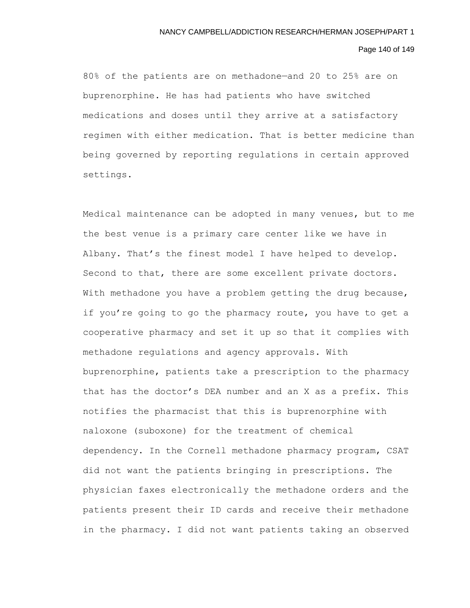## Page 140 of 149

80% of the patients are on methadone—and 20 to 25% are on buprenorphine. He has had patients who have switched medications and doses until they arrive at a satisfactory regimen with either medication. That is better medicine than being governed by reporting regulations in certain approved settings.

Medical maintenance can be adopted in many venues, but to me the best venue is a primary care center like we have in Albany. That's the finest model I have helped to develop. Second to that, there are some excellent private doctors. With methadone you have a problem getting the drug because, if you're going to go the pharmacy route, you have to get a cooperative pharmacy and set it up so that it complies with methadone regulations and agency approvals. With buprenorphine, patients take a prescription to the pharmacy that has the doctor's DEA number and an X as a prefix. This notifies the pharmacist that this is buprenorphine with naloxone (suboxone) for the treatment of chemical dependency. In the Cornell methadone pharmacy program, CSAT did not want the patients bringing in prescriptions. The physician faxes electronically the methadone orders and the patients present their ID cards and receive their methadone in the pharmacy. I did not want patients taking an observed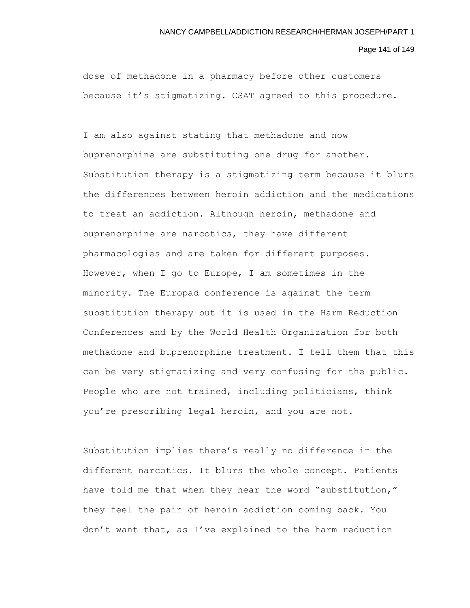Page 141 of 149

dose of methadone in a pharmacy before other customers because it's stigmatizing. CSAT agreed to this procedure.

I am also against stating that methadone and now buprenorphine are substituting one drug for another. Substitution therapy is a stigmatizing term because it blurs the differences between heroin addiction and the medications to treat an addiction. Although heroin, methadone and buprenorphine are narcotics, they have different pharmacologies and are taken for different purposes. However, when I go to Europe, I am sometimes in the minority. The Europad conference is against the term substitution therapy but it is used in the Harm Reduction Conferences and by the World Health Organization for both methadone and buprenorphine treatment. I tell them that this can be very stigmatizing and very confusing for the public. People who are not trained, including politicians, think you're prescribing legal heroin, and you are not.

Substitution implies there's really no difference in the different narcotics. It blurs the whole concept. Patients have told me that when they hear the word "substitution," they feel the pain of heroin addiction coming back. You don't want that, as I've explained to the harm reduction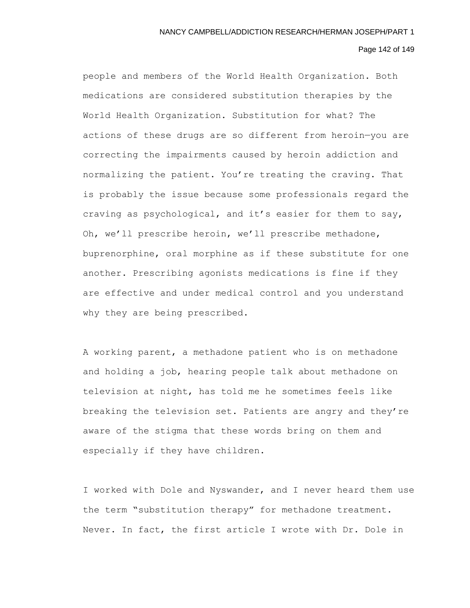#### Page 142 of 149

people and members of the World Health Organization. Both medications are considered substitution therapies by the World Health Organization. Substitution for what? The actions of these drugs are so different from heroin—you are correcting the impairments caused by heroin addiction and normalizing the patient. You're treating the craving. That is probably the issue because some professionals regard the craving as psychological, and it's easier for them to say, Oh, we'll prescribe heroin, we'll prescribe methadone, buprenorphine, oral morphine as if these substitute for one another. Prescribing agonists medications is fine if they are effective and under medical control and you understand why they are being prescribed.

A working parent, a methadone patient who is on methadone and holding a job, hearing people talk about methadone on television at night, has told me he sometimes feels like breaking the television set. Patients are angry and they're aware of the stigma that these words bring on them and especially if they have children.

I worked with Dole and Nyswander, and I never heard them use the term "substitution therapy" for methadone treatment. Never. In fact, the first article I wrote with Dr. Dole in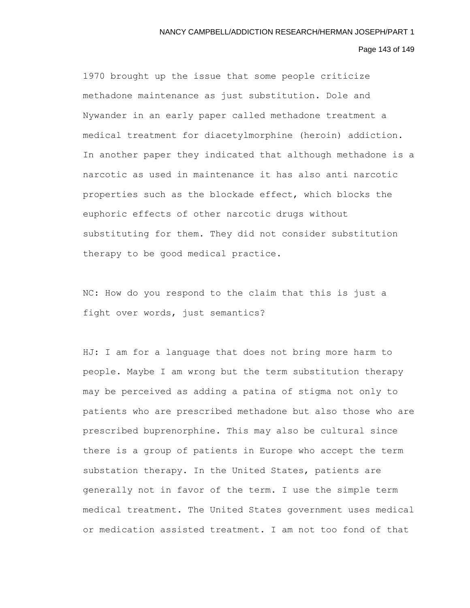#### Page 143 of 149

1970 brought up the issue that some people criticize methadone maintenance as just substitution. Dole and Nywander in an early paper called methadone treatment a medical treatment for diacetylmorphine (heroin) addiction. In another paper they indicated that although methadone is a narcotic as used in maintenance it has also anti narcotic properties such as the blockade effect, which blocks the euphoric effects of other narcotic drugs without substituting for them. They did not consider substitution therapy to be good medical practice.

NC: How do you respond to the claim that this is just a fight over words, just semantics?

HJ: I am for a language that does not bring more harm to people. Maybe I am wrong but the term substitution therapy may be perceived as adding a patina of stigma not only to patients who are prescribed methadone but also those who are prescribed buprenorphine. This may also be cultural since there is a group of patients in Europe who accept the term substation therapy. In the United States, patients are generally not in favor of the term. I use the simple term medical treatment. The United States government uses medical or medication assisted treatment. I am not too fond of that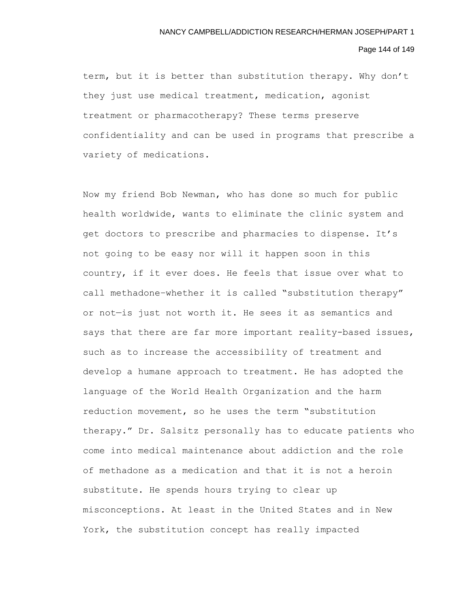# Page 144 of 149

term, but it is better than substitution therapy. Why don't they just use medical treatment, medication, agonist treatment or pharmacotherapy? These terms preserve confidentiality and can be used in programs that prescribe a variety of medications.

Now my friend Bob Newman, who has done so much for public health worldwide, wants to eliminate the clinic system and get doctors to prescribe and pharmacies to dispense. It's not going to be easy nor will it happen soon in this country, if it ever does. He feels that issue over what to call methadone–whether it is called "substitution therapy" or not—is just not worth it. He sees it as semantics and says that there are far more important reality-based issues, such as to increase the accessibility of treatment and develop a humane approach to treatment. He has adopted the language of the World Health Organization and the harm reduction movement, so he uses the term "substitution therapy." Dr. Salsitz personally has to educate patients who come into medical maintenance about addiction and the role of methadone as a medication and that it is not a heroin substitute. He spends hours trying to clear up misconceptions. At least in the United States and in New York, the substitution concept has really impacted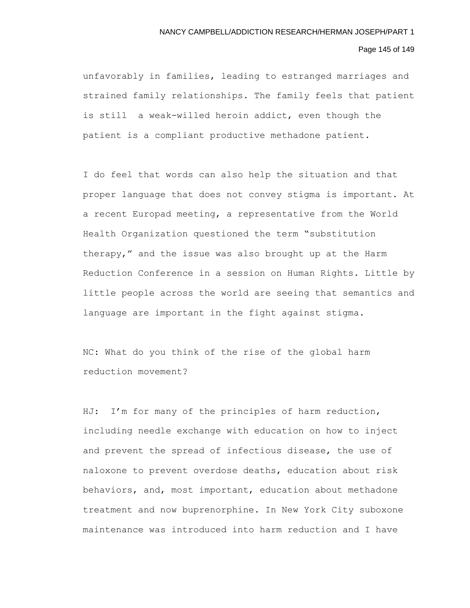## Page 145 of 149

unfavorably in families, leading to estranged marriages and strained family relationships. The family feels that patient is still a weak-willed heroin addict, even though the patient is a compliant productive methadone patient.

I do feel that words can also help the situation and that proper language that does not convey stigma is important. At a recent Europad meeting, a representative from the World Health Organization questioned the term "substitution therapy," and the issue was also brought up at the Harm Reduction Conference in a session on Human Rights. Little by little people across the world are seeing that semantics and language are important in the fight against stigma.

NC: What do you think of the rise of the global harm reduction movement?

HJ: I'm for many of the principles of harm reduction, including needle exchange with education on how to inject and prevent the spread of infectious disease, the use of naloxone to prevent overdose deaths, education about risk behaviors, and, most important, education about methadone treatment and now buprenorphine. In New York City suboxone maintenance was introduced into harm reduction and I have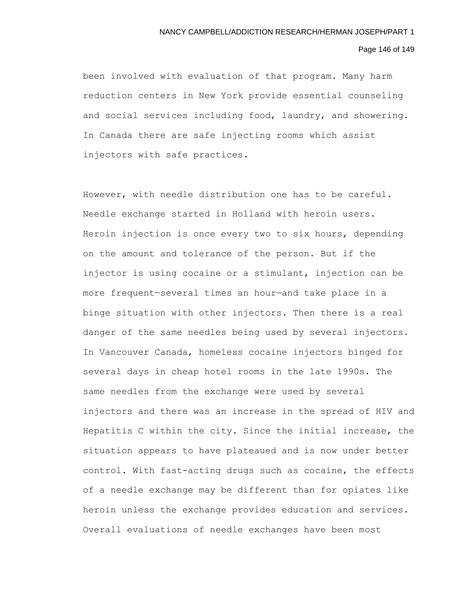### Page 146 of 149

been involved with evaluation of that program. Many harm reduction centers in New York provide essential counseling and social services including food, laundry, and showering. In Canada there are safe injecting rooms which assist injectors with safe practices.

However, with needle distribution one has to be careful. Needle exchange started in Holland with heroin users. Heroin injection is once every two to six hours, depending on the amount and tolerance of the person. But if the injector is using cocaine or a stimulant, injection can be more frequent—several times an hour—and take place in a binge situation with other injectors. Then there is a real danger of the same needles being used by several injectors. In Vancouver Canada, homeless cocaine injectors binged for several days in cheap hotel rooms in the late 1990s. The same needles from the exchange were used by several injectors and there was an increase in the spread of HIV and Hepatitis C within the city. Since the initial increase, the situation appears to have plateaued and is now under better control. With fast-acting drugs such as cocaine, the effects of a needle exchange may be different than for opiates like heroin unless the exchange provides education and services. Overall evaluations of needle exchanges have been most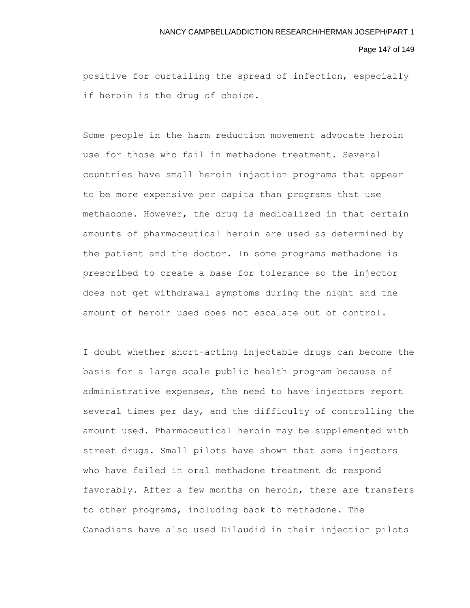#### Page 147 of 149

positive for curtailing the spread of infection, especially if heroin is the drug of choice.

Some people in the harm reduction movement advocate heroin use for those who fail in methadone treatment. Several countries have small heroin injection programs that appear to be more expensive per capita than programs that use methadone. However, the drug is medicalized in that certain amounts of pharmaceutical heroin are used as determined by the patient and the doctor. In some programs methadone is prescribed to create a base for tolerance so the injector does not get withdrawal symptoms during the night and the amount of heroin used does not escalate out of control.

I doubt whether short-acting injectable drugs can become the basis for a large scale public health program because of administrative expenses, the need to have injectors report several times per day, and the difficulty of controlling the amount used. Pharmaceutical heroin may be supplemented with street drugs. Small pilots have shown that some injectors who have failed in oral methadone treatment do respond favorably. After a few months on heroin, there are transfers to other programs, including back to methadone. The Canadians have also used Dilaudid in their injection pilots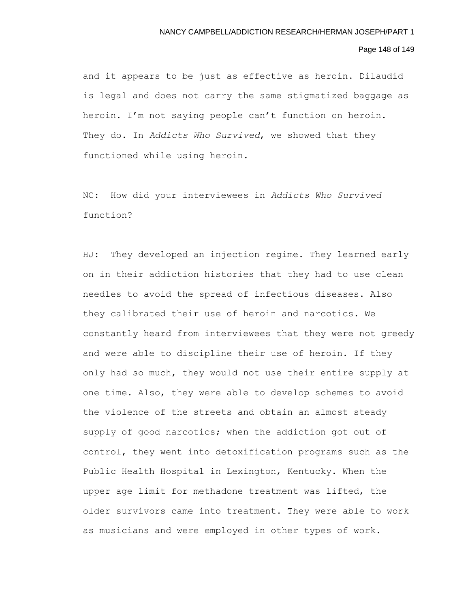## Page 148 of 149

and it appears to be just as effective as heroin. Dilaudid is legal and does not carry the same stigmatized baggage as heroin. I'm not saying people can't function on heroin. They do. In *Addicts Who Survived*, we showed that they functioned while using heroin.

NC: How did your interviewees in *Addicts Who Survived*  function?

HJ: They developed an injection regime. They learned early on in their addiction histories that they had to use clean needles to avoid the spread of infectious diseases. Also they calibrated their use of heroin and narcotics. We constantly heard from interviewees that they were not greedy and were able to discipline their use of heroin. If they only had so much, they would not use their entire supply at one time. Also, they were able to develop schemes to avoid the violence of the streets and obtain an almost steady supply of good narcotics; when the addiction got out of control, they went into detoxification programs such as the Public Health Hospital in Lexington, Kentucky. When the upper age limit for methadone treatment was lifted, the older survivors came into treatment. They were able to work as musicians and were employed in other types of work.